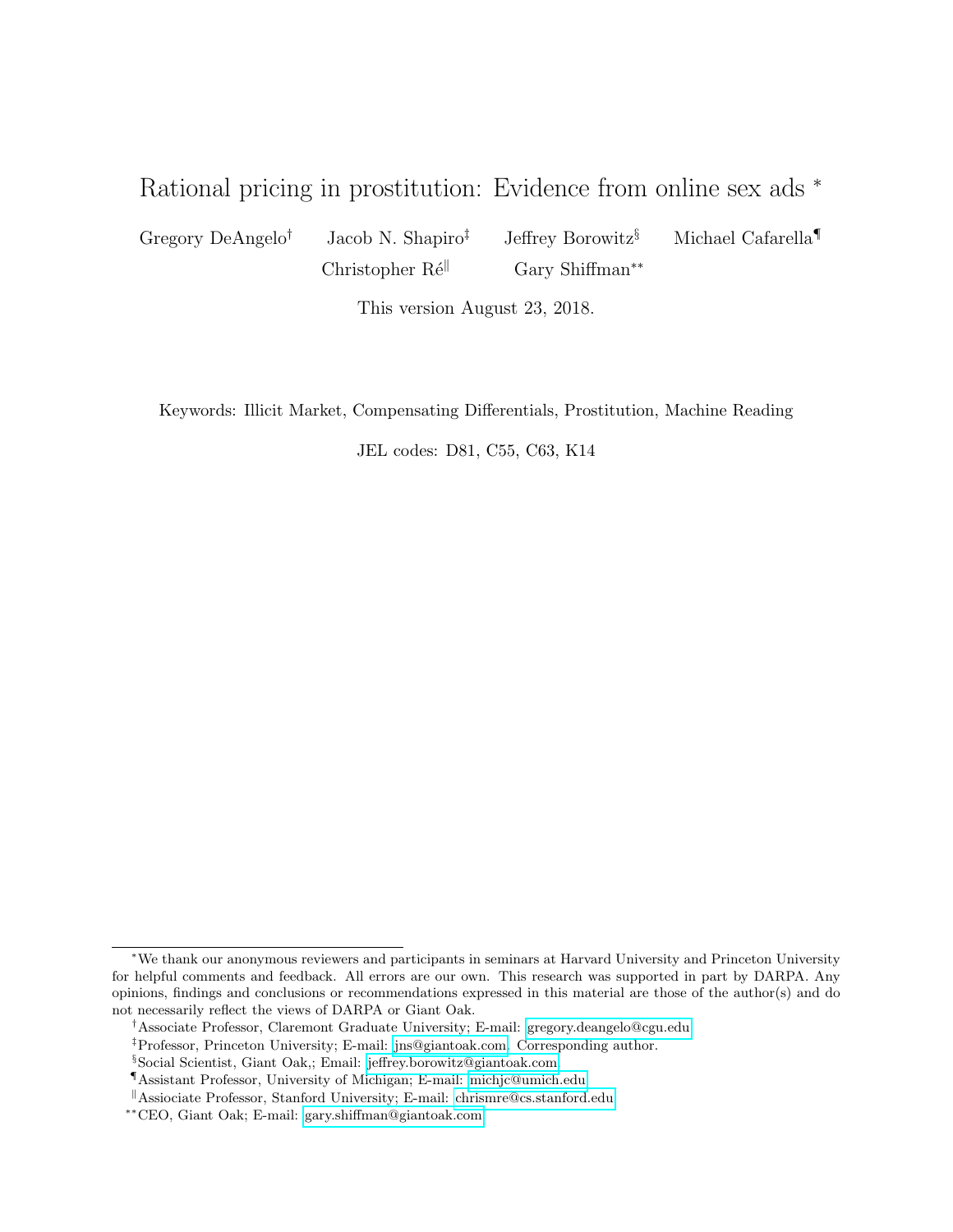# <span id="page-0-0"></span>Rational pricing in prostitution: Evidence from online sex ads <sup>∗</sup>

Christopher Ré<sup>||</sup> Gary Shiffman<sup>\*\*</sup>

Gregory DeAngelo<sup>†</sup> Jacob N. Shapiro<sup>‡</sup> Jeffrey Borowitz<sup>§</sup> Michael Cafarella<sup>¶</sup>

This version August 23, 2018.

Keywords: Illicit Market, Compensating Differentials, Prostitution, Machine Reading

JEL codes: D81, C55, C63, K14

<sup>∗</sup>We thank our anonymous reviewers and participants in seminars at Harvard University and Princeton University for helpful comments and feedback. All errors are our own. This research was supported in part by DARPA. Any opinions, findings and conclusions or recommendations expressed in this material are those of the author(s) and do not necessarily reflect the views of DARPA or Giant Oak.

<sup>†</sup>Associate Professor, Claremont Graduate University; E-mail: [gregory.deangelo@cgu.edu.](mailto:gregory.deangelo@cgu.edu)

 $^\ddag \rm Professor$ , Princeton University; E-mail: [jns@giantoak.com.](mailto:jns@giantoak.com) Corresponding author.

<sup>§</sup>Social Scientist, Giant Oak,; Email: [jeffrey.borowitz@giantoak.com.](mailto:jeffrey.borowitz@giantoak.com)

<sup>¶</sup>Assistant Professor, University of Michigan; E-mail: [michjc@umich.edu.](mailto:michjc@umich.edu)

 $\parallel$ Assiociate Professor, Stanford University; E-mail: [chrismre@cs.stanford.edu.](mailto:chrismre@cs.stanford.edu)

<sup>∗∗</sup>CEO, Giant Oak; E-mail: [gary.shiffman@giantoak.com.](mailto:gary.shiffman@giantoak.com)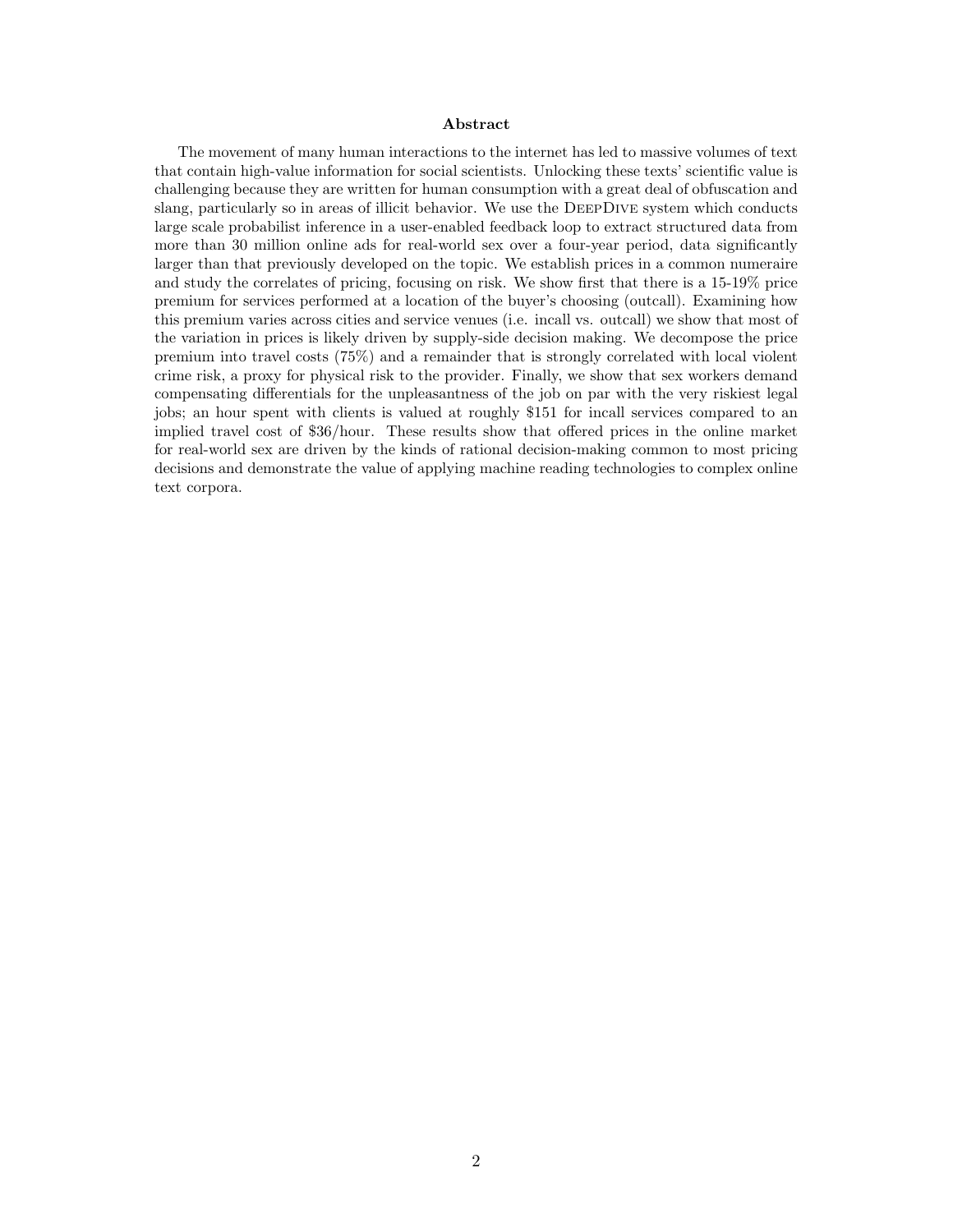#### Abstract

The movement of many human interactions to the internet has led to massive volumes of text that contain high-value information for social scientists. Unlocking these texts' scientific value is challenging because they are written for human consumption with a great deal of obfuscation and slang, particularly so in areas of illicit behavior. We use the DEEPDIVE system which conducts large scale probabilist inference in a user-enabled feedback loop to extract structured data from more than 30 million online ads for real-world sex over a four-year period, data significantly larger than that previously developed on the topic. We establish prices in a common numeraire and study the correlates of pricing, focusing on risk. We show first that there is a 15-19% price premium for services performed at a location of the buyer's choosing (outcall). Examining how this premium varies across cities and service venues (i.e. incall vs. outcall) we show that most of the variation in prices is likely driven by supply-side decision making. We decompose the price premium into travel costs (75%) and a remainder that is strongly correlated with local violent crime risk, a proxy for physical risk to the provider. Finally, we show that sex workers demand compensating differentials for the unpleasantness of the job on par with the very riskiest legal jobs; an hour spent with clients is valued at roughly \$151 for incall services compared to an implied travel cost of \$36/hour. These results show that offered prices in the online market for real-world sex are driven by the kinds of rational decision-making common to most pricing decisions and demonstrate the value of applying machine reading technologies to complex online text corpora.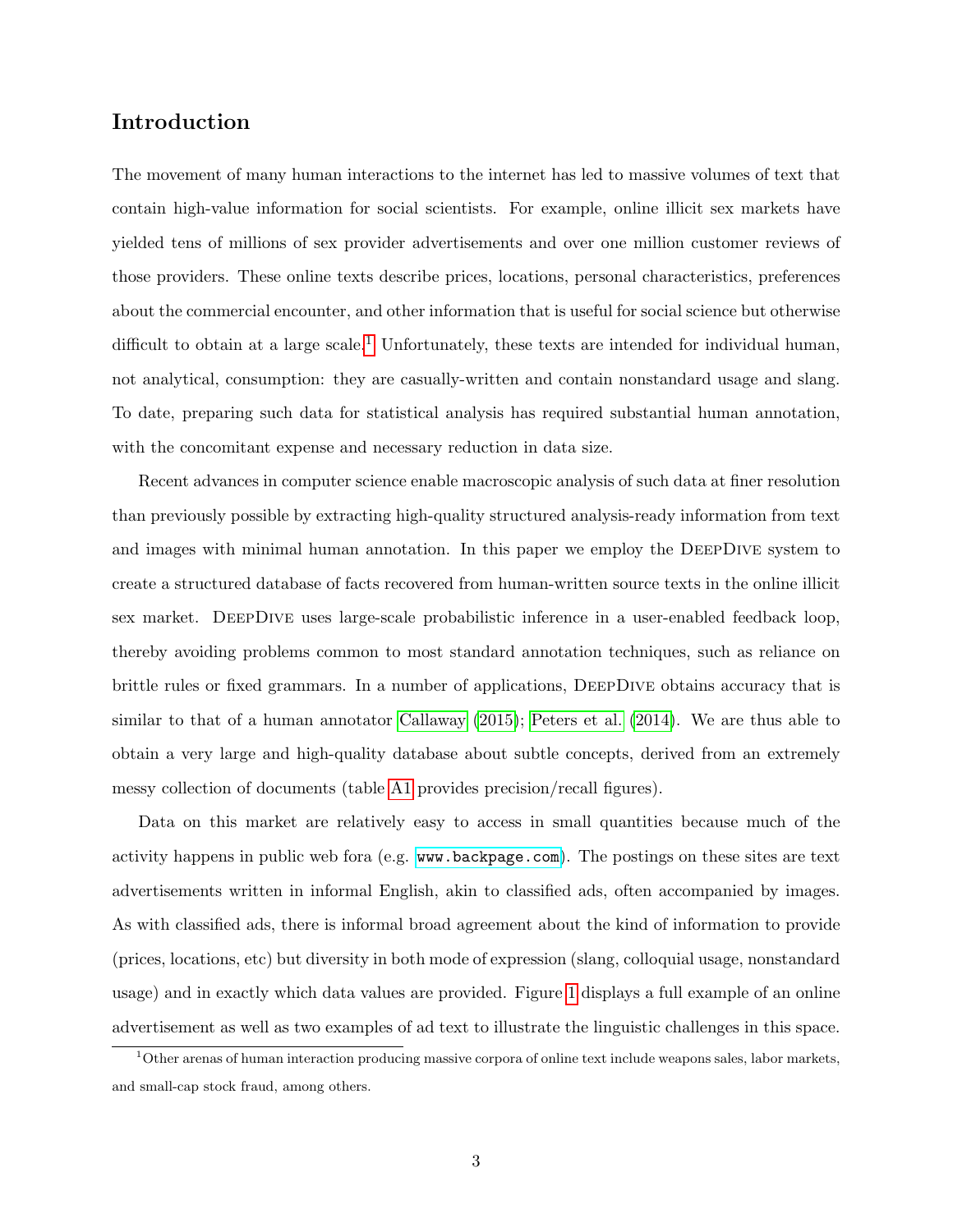### Introduction

The movement of many human interactions to the internet has led to massive volumes of text that contain high-value information for social scientists. For example, online illicit sex markets have yielded tens of millions of sex provider advertisements and over one million customer reviews of those providers. These online texts describe prices, locations, personal characteristics, preferences about the commercial encounter, and other information that is useful for social science but otherwise difficult to obtain at a large scale.<sup>[1](#page-0-0)</sup> Unfortunately, these texts are intended for individual human, not analytical, consumption: they are casually-written and contain nonstandard usage and slang. To date, preparing such data for statistical analysis has required substantial human annotation, with the concomitant expense and necessary reduction in data size.

Recent advances in computer science enable macroscopic analysis of such data at finer resolution than previously possible by extracting high-quality structured analysis-ready information from text and images with minimal human annotation. In this paper we employ the DEEPDIVE system to create a structured database of facts recovered from human-written source texts in the online illicit sex market. DeepDive uses large-scale probabilistic inference in a user-enabled feedback loop, thereby avoiding problems common to most standard annotation techniques, such as reliance on brittle rules or fixed grammars. In a number of applications, DeepDive obtains accuracy that is similar to that of a human annotator [Callaway](#page-32-0) [\(2015\)](#page-32-0); [Peters et al.](#page-33-0) [\(2014\)](#page-33-0). We are thus able to obtain a very large and high-quality database about subtle concepts, derived from an extremely messy collection of documents (table [A1](#page-35-0) provides precision/recall figures).

Data on this market are relatively easy to access in small quantities because much of the activity happens in public web fora (e.g. <www.backpage.com>). The postings on these sites are text advertisements written in informal English, akin to classified ads, often accompanied by images. As with classified ads, there is informal broad agreement about the kind of information to provide (prices, locations, etc) but diversity in both mode of expression (slang, colloquial usage, nonstandard usage) and in exactly which data values are provided. Figure [1](#page-23-0) displays a full example of an online advertisement as well as two examples of ad text to illustrate the linguistic challenges in this space.

 $1$ Other arenas of human interaction producing massive corpora of online text include weapons sales, labor markets, and small-cap stock fraud, among others.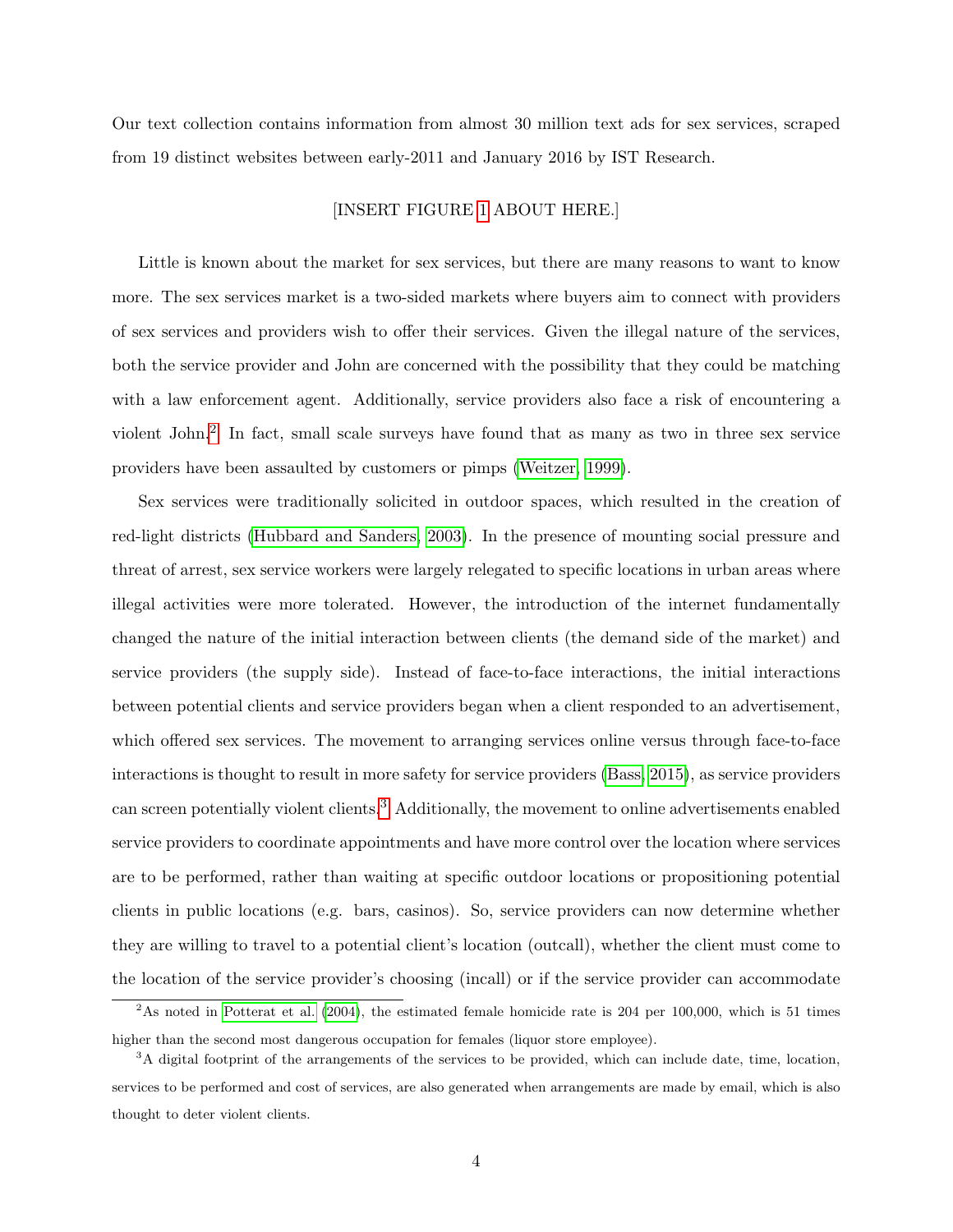Our text collection contains information from almost 30 million text ads for sex services, scraped from 19 distinct websites between early-2011 and January 2016 by IST Research.

#### [INSERT FIGURE [1](#page-23-0) ABOUT HERE.]

Little is known about the market for sex services, but there are many reasons to want to know more. The sex services market is a two-sided markets where buyers aim to connect with providers of sex services and providers wish to offer their services. Given the illegal nature of the services, both the service provider and John are concerned with the possibility that they could be matching with a law enforcement agent. Additionally, service providers also face a risk of encountering a violent John.<sup>[2](#page-0-0)</sup> In fact, small scale surveys have found that as many as two in three sex service providers have been assaulted by customers or pimps [\(Weitzer, 1999\)](#page-34-0).

Sex services were traditionally solicited in outdoor spaces, which resulted in the creation of red-light districts [\(Hubbard and Sanders, 2003\)](#page-32-1). In the presence of mounting social pressure and threat of arrest, sex service workers were largely relegated to specific locations in urban areas where illegal activities were more tolerated. However, the introduction of the internet fundamentally changed the nature of the initial interaction between clients (the demand side of the market) and service providers (the supply side). Instead of face-to-face interactions, the initial interactions between potential clients and service providers began when a client responded to an advertisement, which offered sex services. The movement to arranging services online versus through face-to-face interactions is thought to result in more safety for service providers [\(Bass, 2015\)](#page-32-2), as service providers can screen potentially violent clients.[3](#page-0-0) Additionally, the movement to online advertisements enabled service providers to coordinate appointments and have more control over the location where services are to be performed, rather than waiting at specific outdoor locations or propositioning potential clients in public locations (e.g. bars, casinos). So, service providers can now determine whether they are willing to travel to a potential client's location (outcall), whether the client must come to the location of the service provider's choosing (incall) or if the service provider can accommodate

<sup>&</sup>lt;sup>2</sup>As noted in [Potterat et al.](#page-33-1) [\(2004\)](#page-33-1), the estimated female homicide rate is 204 per 100,000, which is 51 times higher than the second most dangerous occupation for females (liquor store employee).

<sup>&</sup>lt;sup>3</sup>A digital footprint of the arrangements of the services to be provided, which can include date, time, location, services to be performed and cost of services, are also generated when arrangements are made by email, which is also thought to deter violent clients.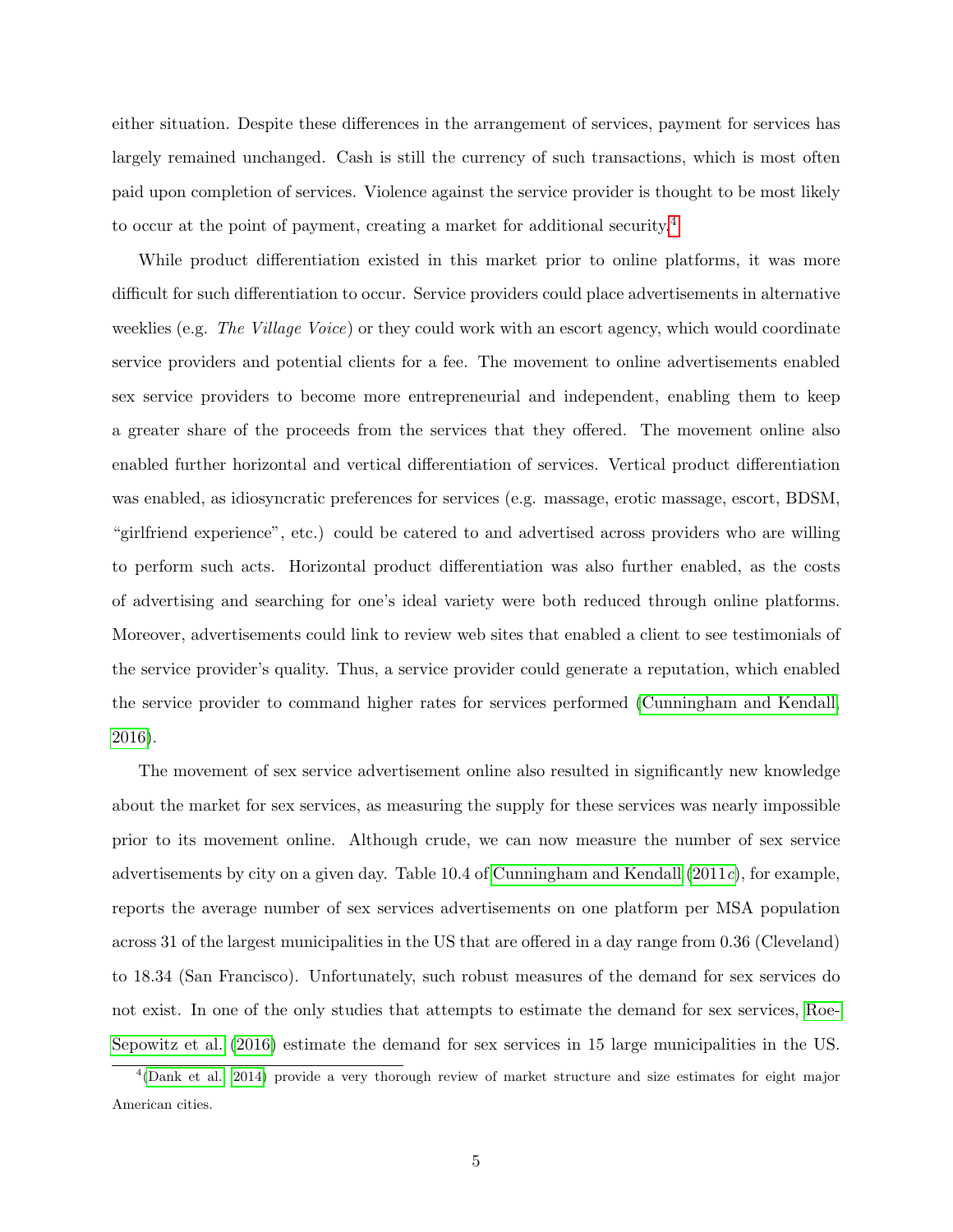either situation. Despite these differences in the arrangement of services, payment for services has largely remained unchanged. Cash is still the currency of such transactions, which is most often paid upon completion of services. Violence against the service provider is thought to be most likely to occur at the point of payment, creating a market for additional security.[4](#page-0-0)

While product differentiation existed in this market prior to online platforms, it was more difficult for such differentiation to occur. Service providers could place advertisements in alternative weeklies (e.g. The Village Voice) or they could work with an escort agency, which would coordinate service providers and potential clients for a fee. The movement to online advertisements enabled sex service providers to become more entrepreneurial and independent, enabling them to keep a greater share of the proceeds from the services that they offered. The movement online also enabled further horizontal and vertical differentiation of services. Vertical product differentiation was enabled, as idiosyncratic preferences for services (e.g. massage, erotic massage, escort, BDSM, "girlfriend experience", etc.) could be catered to and advertised across providers who are willing to perform such acts. Horizontal product differentiation was also further enabled, as the costs of advertising and searching for one's ideal variety were both reduced through online platforms. Moreover, advertisements could link to review web sites that enabled a client to see testimonials of the service provider's quality. Thus, a service provider could generate a reputation, which enabled the service provider to command higher rates for services performed [\(Cunningham and Kendall,](#page-32-3) [2016\)](#page-32-3).

The movement of sex service advertisement online also resulted in significantly new knowledge about the market for sex services, as measuring the supply for these services was nearly impossible prior to its movement online. Although crude, we can now measure the number of sex service advertisements by city on a given day. Table 10.4 of [Cunningham and Kendall](#page-32-4)  $(2011c)$  $(2011c)$ , for example, reports the average number of sex services advertisements on one platform per MSA population across 31 of the largest municipalities in the US that are offered in a day range from 0.36 (Cleveland) to 18.34 (San Francisco). Unfortunately, such robust measures of the demand for sex services do not exist. In one of the only studies that attempts to estimate the demand for sex services, [Roe-](#page-33-2)[Sepowitz et al.](#page-33-2) [\(2016\)](#page-33-2) estimate the demand for sex services in 15 large municipalities in the US.

<sup>4</sup> [\(Dank et al., 2014\)](#page-32-5) provide a very thorough review of market structure and size estimates for eight major American cities.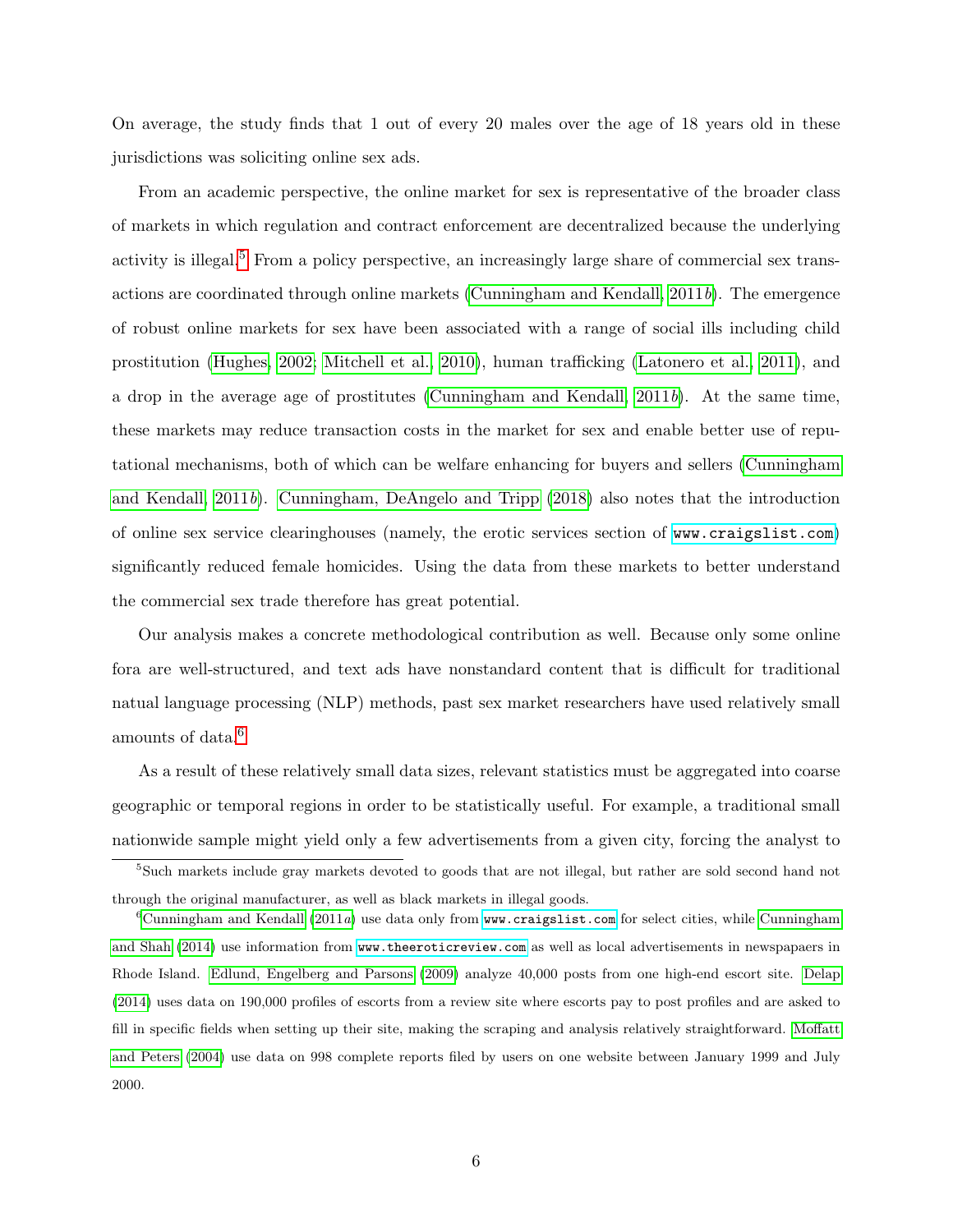On average, the study finds that 1 out of every 20 males over the age of 18 years old in these jurisdictions was soliciting online sex ads.

From an academic perspective, the online market for sex is representative of the broader class of markets in which regulation and contract enforcement are decentralized because the underlying activity is illegal.[5](#page-0-0) From a policy perspective, an increasingly large share of commercial sex transactions are coordinated through online markets (Cunningham and Kendall,  $2011b$ ). The emergence of robust online markets for sex have been associated with a range of social ills including child prostitution [\(Hughes, 2002;](#page-33-3) [Mitchell et al., 2010\)](#page-33-4), human trafficking [\(Latonero et al., 2011\)](#page-33-5), and a drop in the average age of prostitutes [\(Cunningham and Kendall, 2011](#page-32-6)b). At the same time, these markets may reduce transaction costs in the market for sex and enable better use of reputational mechanisms, both of which can be welfare enhancing for buyers and sellers [\(Cunningham](#page-32-6) [and Kendall, 2011](#page-32-6)b). [Cunningham, DeAngelo and Tripp](#page-32-7) [\(2018\)](#page-32-7) also notes that the introduction of online sex service clearinghouses (namely, the erotic services section of <www.craigslist.com>) significantly reduced female homicides. Using the data from these markets to better understand the commercial sex trade therefore has great potential.

Our analysis makes a concrete methodological contribution as well. Because only some online fora are well-structured, and text ads have nonstandard content that is difficult for traditional natual language processing (NLP) methods, past sex market researchers have used relatively small amounts of data.<sup>[6](#page-0-0)</sup>

As a result of these relatively small data sizes, relevant statistics must be aggregated into coarse geographic or temporal regions in order to be statistically useful. For example, a traditional small nationwide sample might yield only a few advertisements from a given city, forcing the analyst to

<sup>&</sup>lt;sup>5</sup>Such markets include gray markets devoted to goods that are not illegal, but rather are sold second hand not through the original manufacturer, as well as black markets in illegal goods.

<sup>&</sup>lt;sup>6</sup>[Cunningham and Kendall](#page-32-8) [\(2011](#page-32-8)*a*) use data only from <www.craigslist.com> for select cities, while [Cunningham](#page-32-9) [and Shah](#page-32-9) [\(2014\)](#page-32-9) use information from <www.theeroticreview.com> as well as local advertisements in newspapaers in Rhode Island. [Edlund, Engelberg and Parsons](#page-32-10) [\(2009\)](#page-32-10) analyze 40,000 posts from one high-end escort site. [Delap](#page-32-11) [\(2014\)](#page-32-11) uses data on 190,000 profiles of escorts from a review site where escorts pay to post profiles and are asked to fill in specific fields when setting up their site, making the scraping and analysis relatively straightforward. [Moffatt](#page-33-6) [and Peters](#page-33-6) [\(2004\)](#page-33-6) use data on 998 complete reports filed by users on one website between January 1999 and July 2000.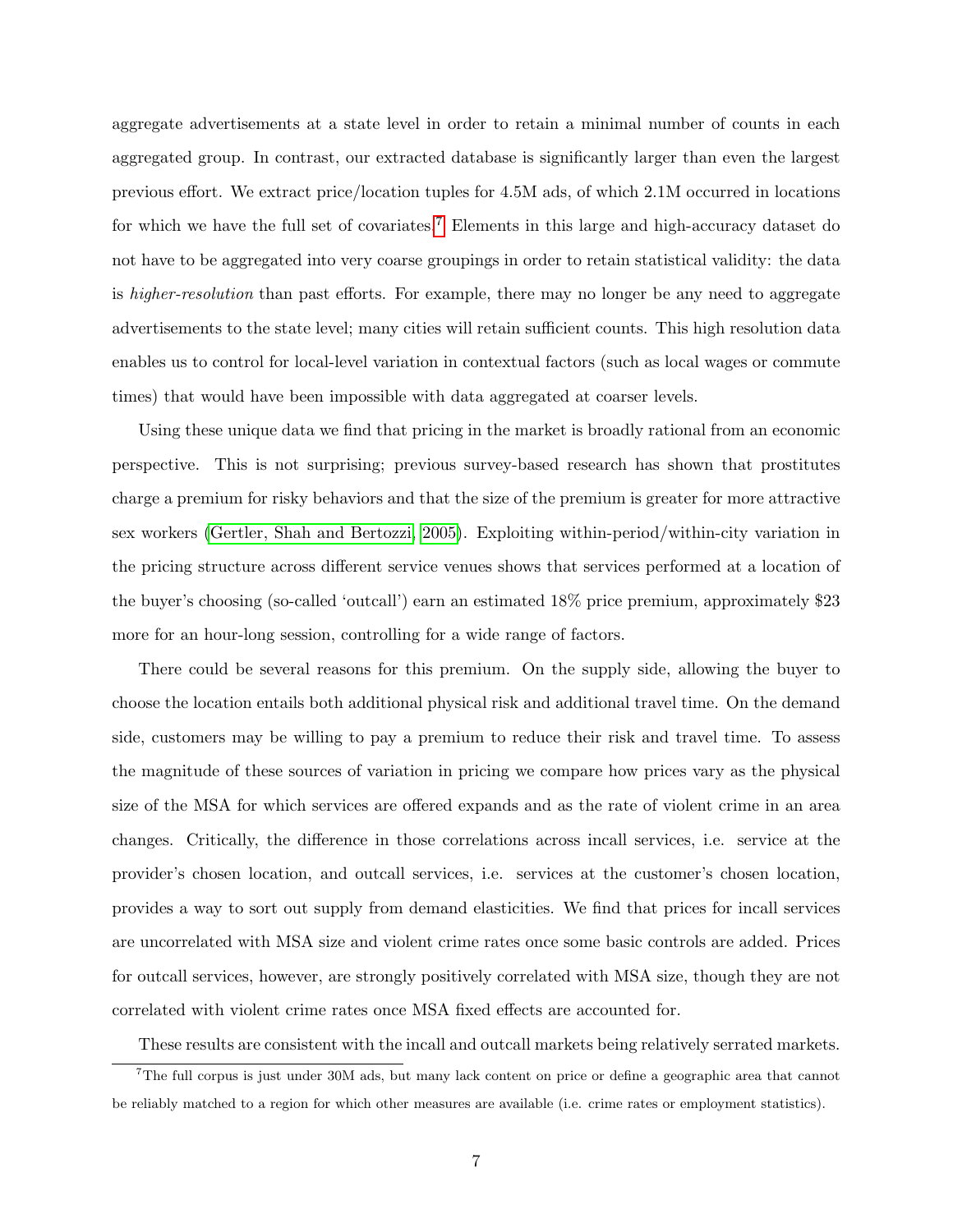aggregate advertisements at a state level in order to retain a minimal number of counts in each aggregated group. In contrast, our extracted database is significantly larger than even the largest previous effort. We extract price/location tuples for 4.5M ads, of which 2.1M occurred in locations for which we have the full set of covariates.<sup>[7](#page-0-0)</sup> Elements in this large and high-accuracy dataset do not have to be aggregated into very coarse groupings in order to retain statistical validity: the data is higher-resolution than past efforts. For example, there may no longer be any need to aggregate advertisements to the state level; many cities will retain sufficient counts. This high resolution data enables us to control for local-level variation in contextual factors (such as local wages or commute times) that would have been impossible with data aggregated at coarser levels.

Using these unique data we find that pricing in the market is broadly rational from an economic perspective. This is not surprising; previous survey-based research has shown that prostitutes charge a premium for risky behaviors and that the size of the premium is greater for more attractive sex workers [\(Gertler, Shah and Bertozzi, 2005\)](#page-32-12). Exploiting within-period/within-city variation in the pricing structure across different service venues shows that services performed at a location of the buyer's choosing (so-called 'outcall') earn an estimated 18% price premium, approximately \$23 more for an hour-long session, controlling for a wide range of factors.

There could be several reasons for this premium. On the supply side, allowing the buyer to choose the location entails both additional physical risk and additional travel time. On the demand side, customers may be willing to pay a premium to reduce their risk and travel time. To assess the magnitude of these sources of variation in pricing we compare how prices vary as the physical size of the MSA for which services are offered expands and as the rate of violent crime in an area changes. Critically, the difference in those correlations across incall services, i.e. service at the provider's chosen location, and outcall services, i.e. services at the customer's chosen location, provides a way to sort out supply from demand elasticities. We find that prices for incall services are uncorrelated with MSA size and violent crime rates once some basic controls are added. Prices for outcall services, however, are strongly positively correlated with MSA size, though they are not correlated with violent crime rates once MSA fixed effects are accounted for.

These results are consistent with the incall and outcall markets being relatively serrated markets.

<sup>&</sup>lt;sup>7</sup>The full corpus is just under 30M ads, but many lack content on price or define a geographic area that cannot be reliably matched to a region for which other measures are available (i.e. crime rates or employment statistics).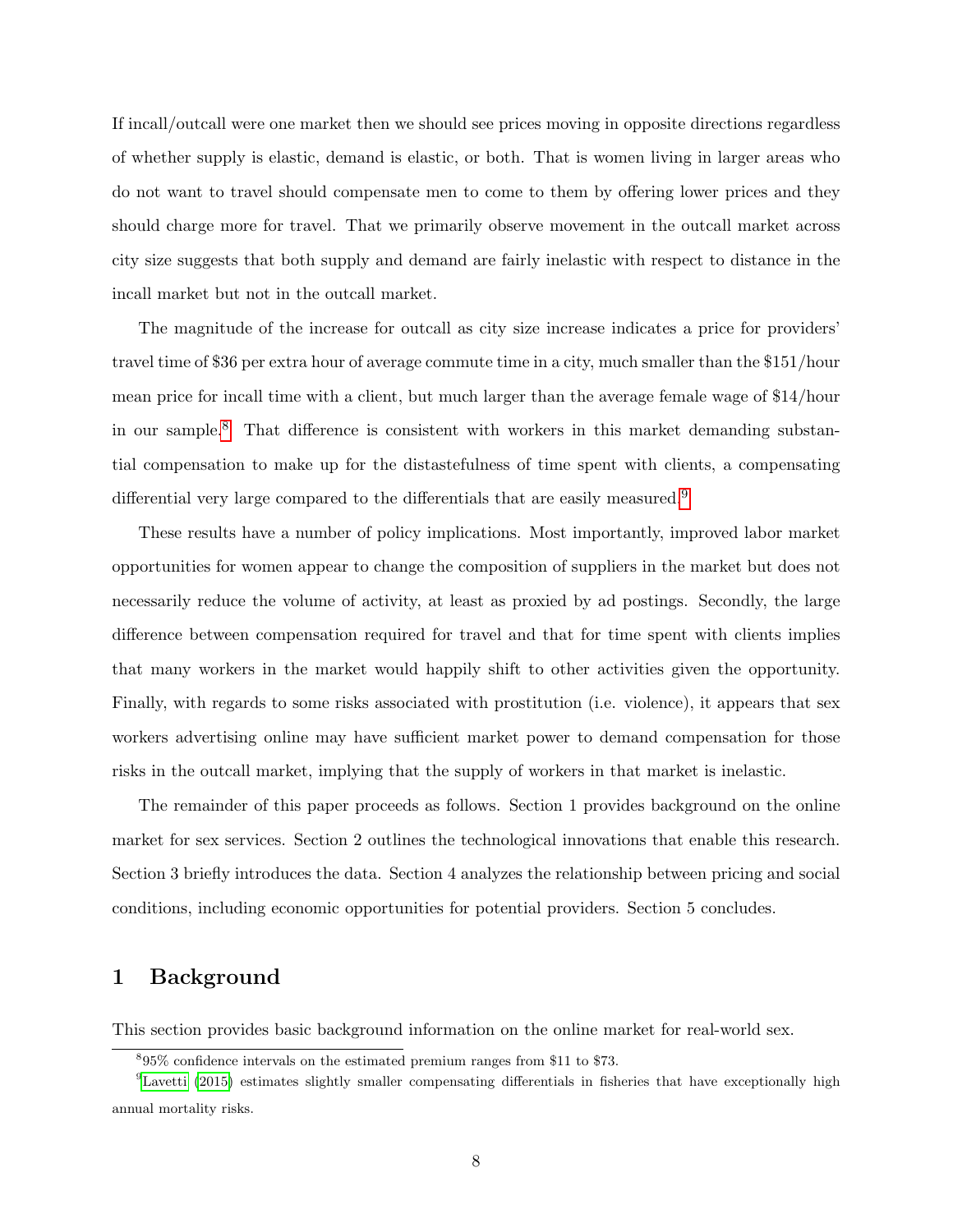If incall/outcall were one market then we should see prices moving in opposite directions regardless of whether supply is elastic, demand is elastic, or both. That is women living in larger areas who do not want to travel should compensate men to come to them by offering lower prices and they should charge more for travel. That we primarily observe movement in the outcall market across city size suggests that both supply and demand are fairly inelastic with respect to distance in the incall market but not in the outcall market.

The magnitude of the increase for outcall as city size increase indicates a price for providers' travel time of \$36 per extra hour of average commute time in a city, much smaller than the \$151/hour mean price for incall time with a client, but much larger than the average female wage of \$14/hour in our sample.[8](#page-0-0) That difference is consistent with workers in this market demanding substantial compensation to make up for the distastefulness of time spent with clients, a compensating differential very large compared to the differentials that are easily measured.<sup>[9](#page-0-0)</sup>

These results have a number of policy implications. Most importantly, improved labor market opportunities for women appear to change the composition of suppliers in the market but does not necessarily reduce the volume of activity, at least as proxied by ad postings. Secondly, the large difference between compensation required for travel and that for time spent with clients implies that many workers in the market would happily shift to other activities given the opportunity. Finally, with regards to some risks associated with prostitution (i.e. violence), it appears that sex workers advertising online may have sufficient market power to demand compensation for those risks in the outcall market, implying that the supply of workers in that market is inelastic.

The remainder of this paper proceeds as follows. Section 1 provides background on the online market for sex services. Section 2 outlines the technological innovations that enable this research. Section 3 briefly introduces the data. Section 4 analyzes the relationship between pricing and social conditions, including economic opportunities for potential providers. Section 5 concludes.

### 1 Background

This section provides basic background information on the online market for real-world sex.

<sup>8</sup> 95% confidence intervals on the estimated premium ranges from \$11 to \$73.

<sup>9</sup>[Lavetti](#page-33-7) [\(2015\)](#page-33-7) estimates slightly smaller compensating differentials in fisheries that have exceptionally high annual mortality risks.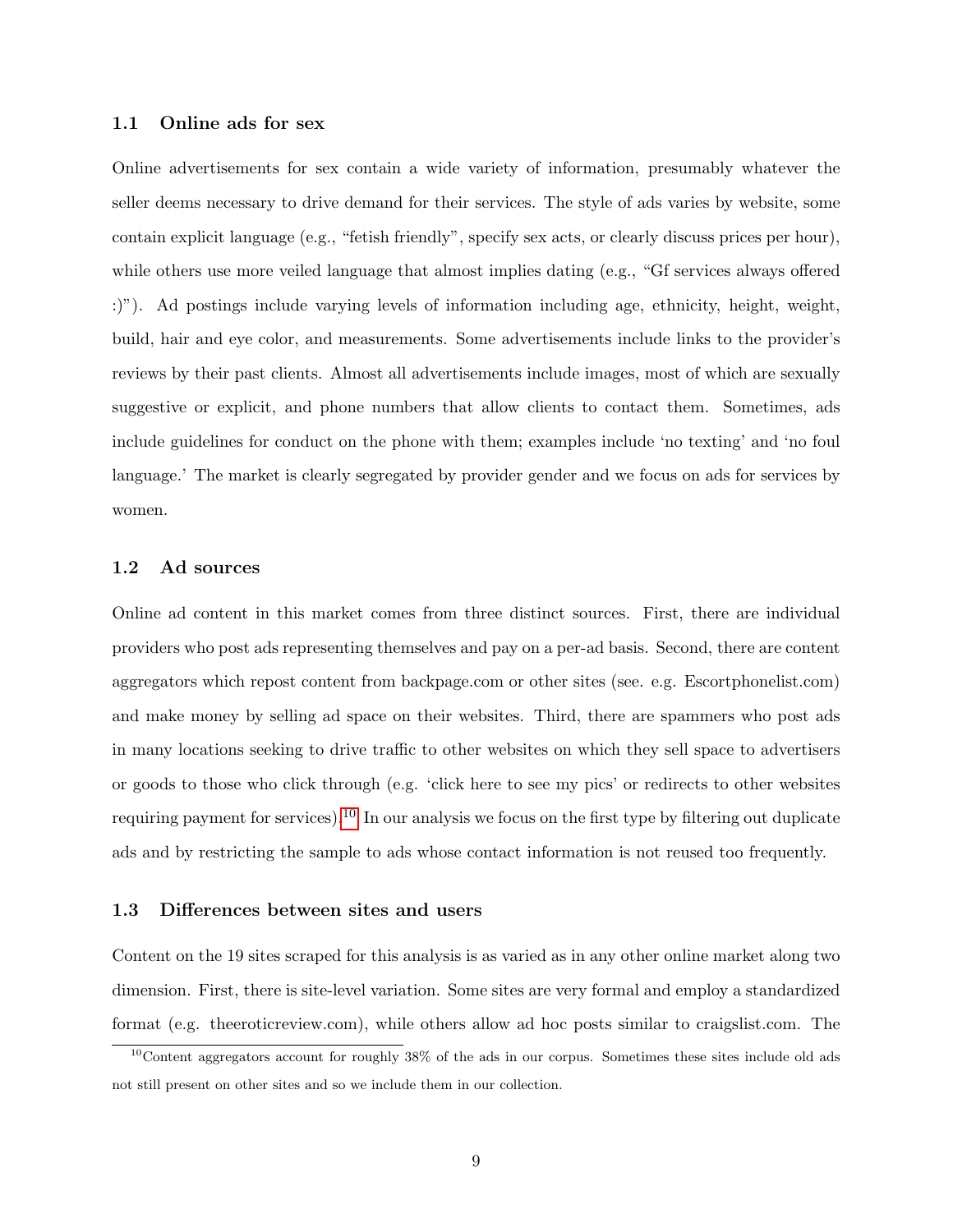#### 1.1 Online ads for sex

Online advertisements for sex contain a wide variety of information, presumably whatever the seller deems necessary to drive demand for their services. The style of ads varies by website, some contain explicit language (e.g., "fetish friendly", specify sex acts, or clearly discuss prices per hour), while others use more veiled language that almost implies dating (e.g., "Gf services always offered :)"). Ad postings include varying levels of information including age, ethnicity, height, weight, build, hair and eye color, and measurements. Some advertisements include links to the provider's reviews by their past clients. Almost all advertisements include images, most of which are sexually suggestive or explicit, and phone numbers that allow clients to contact them. Sometimes, ads include guidelines for conduct on the phone with them; examples include 'no texting' and 'no foul language.' The market is clearly segregated by provider gender and we focus on ads for services by women.

#### 1.2 Ad sources

Online ad content in this market comes from three distinct sources. First, there are individual providers who post ads representing themselves and pay on a per-ad basis. Second, there are content aggregators which repost content from backpage.com or other sites (see. e.g. Escortphonelist.com) and make money by selling ad space on their websites. Third, there are spammers who post ads in many locations seeking to drive traffic to other websites on which they sell space to advertisers or goods to those who click through (e.g. 'click here to see my pics' or redirects to other websites requiring payment for services).<sup>[10](#page-0-0)</sup> In our analysis we focus on the first type by filtering out duplicate ads and by restricting the sample to ads whose contact information is not reused too frequently.

#### 1.3 Differences between sites and users

Content on the 19 sites scraped for this analysis is as varied as in any other online market along two dimension. First, there is site-level variation. Some sites are very formal and employ a standardized format (e.g. theeroticreview.com), while others allow ad hoc posts similar to craigslist.com. The

<sup>10</sup>Content aggregators account for roughly 38% of the ads in our corpus. Sometimes these sites include old ads not still present on other sites and so we include them in our collection.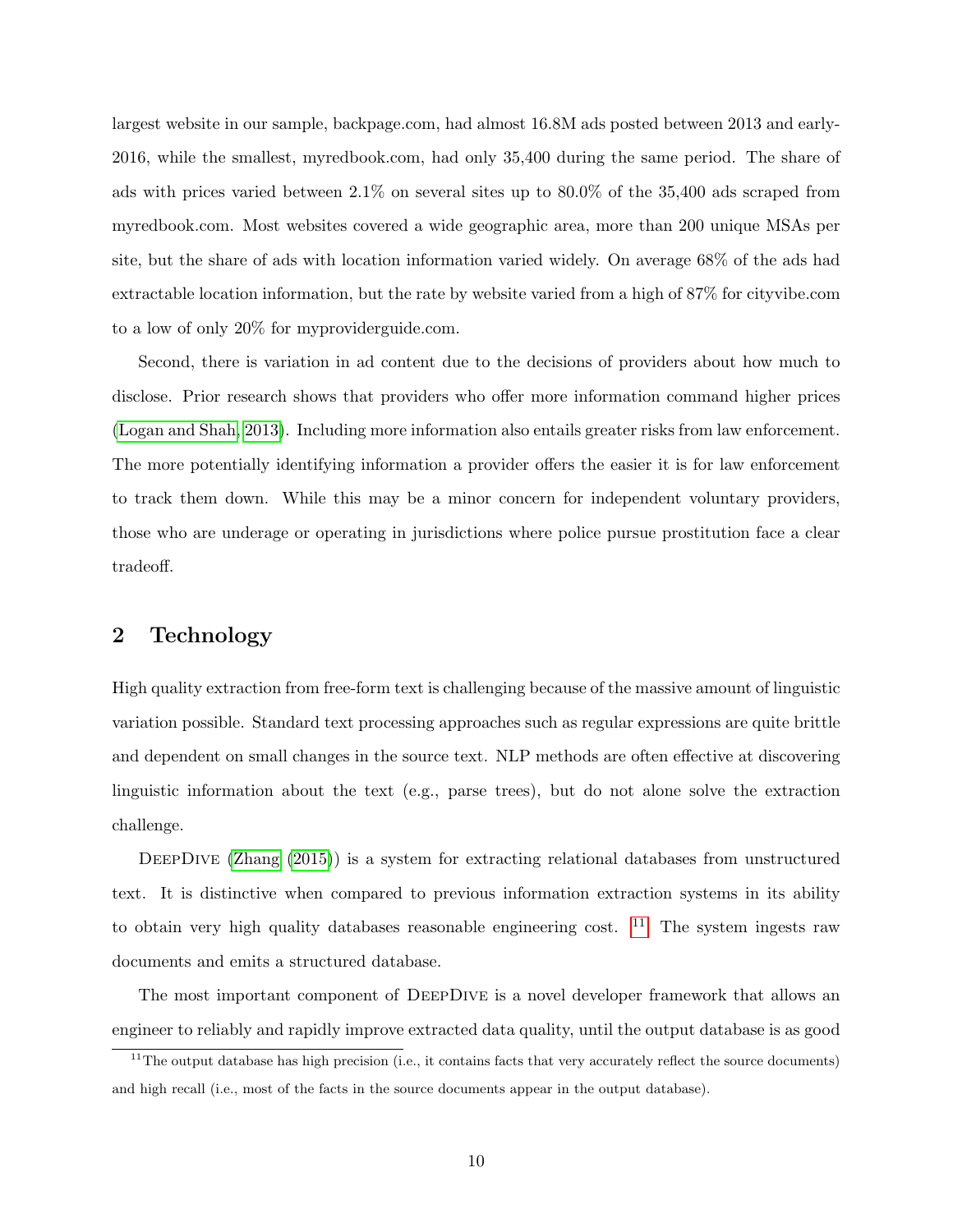largest website in our sample, backpage.com, had almost 16.8M ads posted between 2013 and early-2016, while the smallest, myredbook.com, had only 35,400 during the same period. The share of ads with prices varied between 2.1% on several sites up to 80.0% of the 35,400 ads scraped from myredbook.com. Most websites covered a wide geographic area, more than 200 unique MSAs per site, but the share of ads with location information varied widely. On average 68% of the ads had extractable location information, but the rate by website varied from a high of 87% for cityvibe.com to a low of only 20% for myproviderguide.com.

Second, there is variation in ad content due to the decisions of providers about how much to disclose. Prior research shows that providers who offer more information command higher prices [\(Logan and Shah, 2013\)](#page-33-8). Including more information also entails greater risks from law enforcement. The more potentially identifying information a provider offers the easier it is for law enforcement to track them down. While this may be a minor concern for independent voluntary providers, those who are underage or operating in jurisdictions where police pursue prostitution face a clear tradeoff.

### 2 Technology

High quality extraction from free-form text is challenging because of the massive amount of linguistic variation possible. Standard text processing approaches such as regular expressions are quite brittle and dependent on small changes in the source text. NLP methods are often effective at discovering linguistic information about the text (e.g., parse trees), but do not alone solve the extraction challenge.

DEEPDIVE [\(Zhang](#page-34-1) [\(2015\)](#page-34-1)) is a system for extracting relational databases from unstructured text. It is distinctive when compared to previous information extraction systems in its ability to obtain very high quality databases reasonable engineering cost.  $11$  The system ingests raw documents and emits a structured database.

The most important component of DeepDive is a novel developer framework that allows an engineer to reliably and rapidly improve extracted data quality, until the output database is as good

 $11$ The output database has high precision (i.e., it contains facts that very accurately reflect the source documents) and high recall (i.e., most of the facts in the source documents appear in the output database).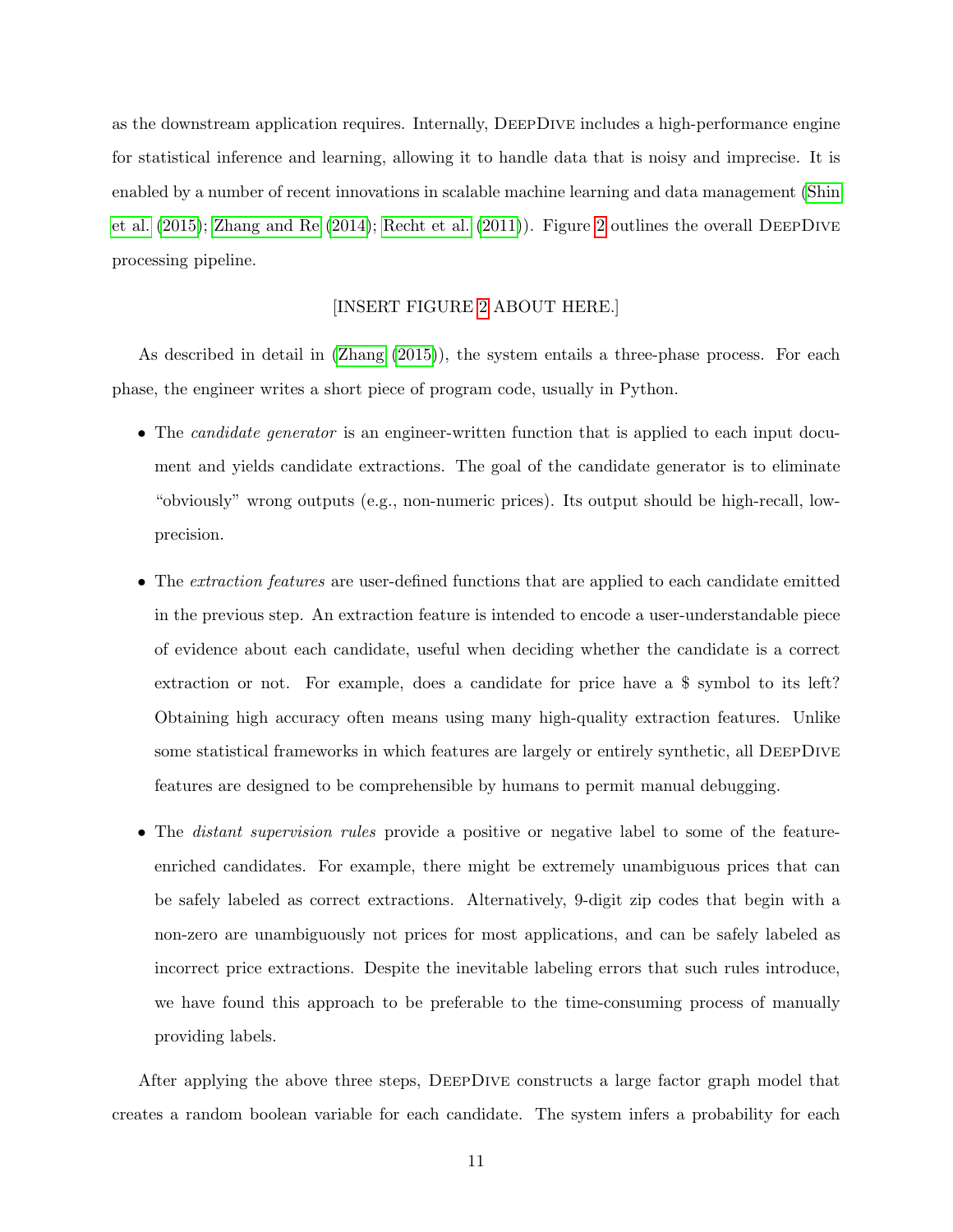as the downstream application requires. Internally, DeepDive includes a high-performance engine for statistical inference and learning, allowing it to handle data that is noisy and imprecise. It is enabled by a number of recent innovations in scalable machine learning and data management [\(Shin](#page-33-9) [et al.](#page-33-9) [\(2015\)](#page-33-9); [Zhang and Re](#page-34-2) [\(2014\)](#page-34-2); [Recht et al.](#page-33-10) [\(2011\)](#page-33-10)). Figure [2](#page-24-0) outlines the overall DeepDive processing pipeline.

#### [INSERT FIGURE [2](#page-24-0) ABOUT HERE.]

As described in detail in [\(Zhang](#page-34-1) [\(2015\)](#page-34-1)), the system entails a three-phase process. For each phase, the engineer writes a short piece of program code, usually in Python.

- The *candidate generator* is an engineer-written function that is applied to each input document and yields candidate extractions. The goal of the candidate generator is to eliminate "obviously" wrong outputs (e.g., non-numeric prices). Its output should be high-recall, lowprecision.
- The *extraction features* are user-defined functions that are applied to each candidate emitted in the previous step. An extraction feature is intended to encode a user-understandable piece of evidence about each candidate, useful when deciding whether the candidate is a correct extraction or not. For example, does a candidate for price have a \$ symbol to its left? Obtaining high accuracy often means using many high-quality extraction features. Unlike some statistical frameworks in which features are largely or entirely synthetic, all DEEPDIVE features are designed to be comprehensible by humans to permit manual debugging.
- The *distant supervision rules* provide a positive or negative label to some of the featureenriched candidates. For example, there might be extremely unambiguous prices that can be safely labeled as correct extractions. Alternatively, 9-digit zip codes that begin with a non-zero are unambiguously not prices for most applications, and can be safely labeled as incorrect price extractions. Despite the inevitable labeling errors that such rules introduce, we have found this approach to be preferable to the time-consuming process of manually providing labels.

After applying the above three steps, DeepDive constructs a large factor graph model that creates a random boolean variable for each candidate. The system infers a probability for each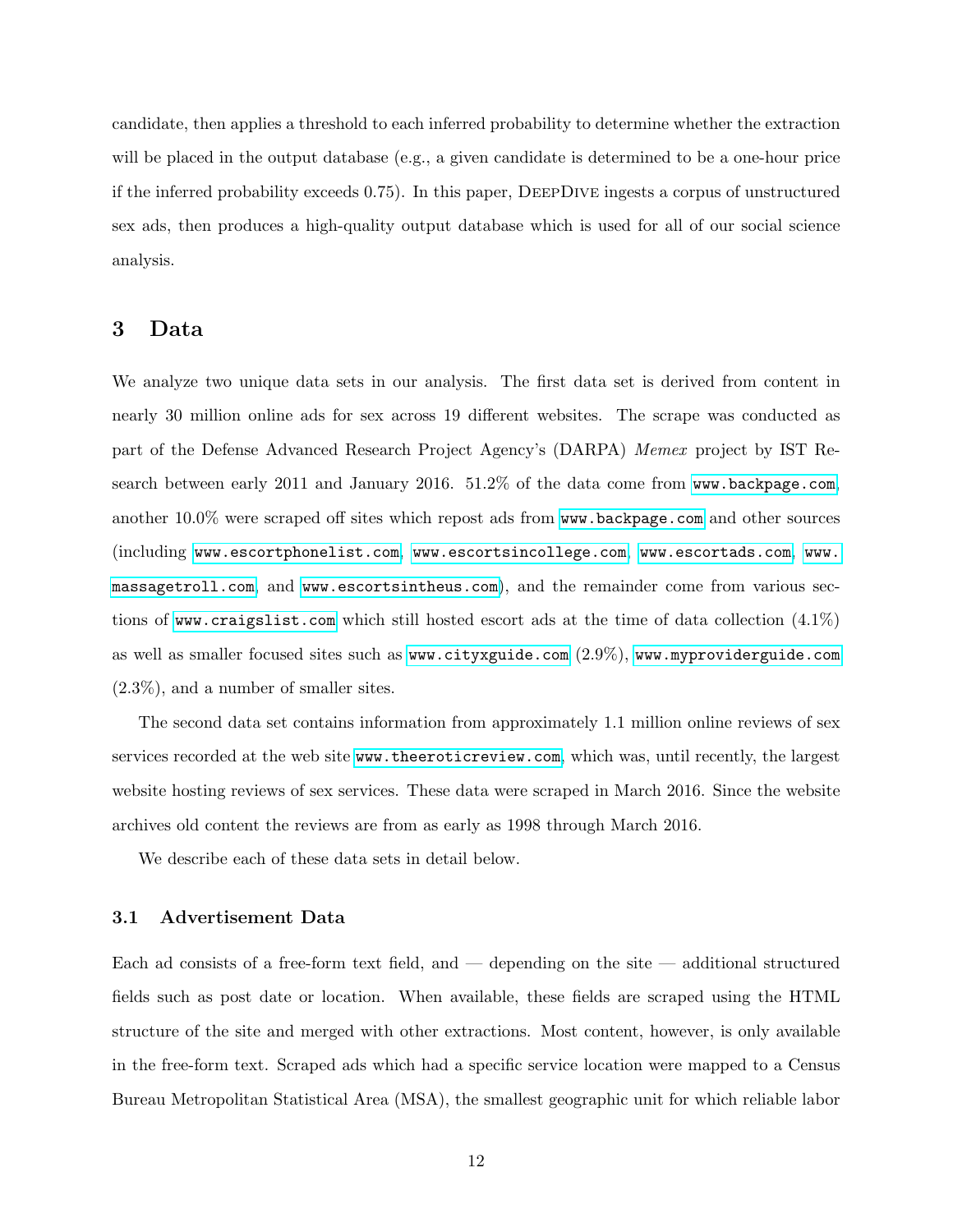candidate, then applies a threshold to each inferred probability to determine whether the extraction will be placed in the output database (e.g., a given candidate is determined to be a one-hour price if the inferred probability exceeds 0.75). In this paper, DeepDive ingests a corpus of unstructured sex ads, then produces a high-quality output database which is used for all of our social science analysis.

### 3 Data

We analyze two unique data sets in our analysis. The first data set is derived from content in nearly 30 million online ads for sex across 19 different websites. The scrape was conducted as part of the Defense Advanced Research Project Agency's (DARPA) Memex project by IST Research between early 2011 and January 2016. 51.2% of the data come from <www.backpage.com>, another 10.0% were scraped off sites which repost ads from <www.backpage.com> and other sources (including <www.escortphonelist.com>, <www.escortsincollege.com>, <www.escortads.com>, [www.](www.massagetroll.com) [massagetroll.com](www.massagetroll.com), and <www.escortsintheus.com>), and the remainder come from various sections of <www.craigslist.com> which still hosted escort ads at the time of data collection (4.1%) as well as smaller focused sites such as <www.cityxguide.com> (2.9%), <www.myproviderguide.com> (2.3%), and a number of smaller sites.

The second data set contains information from approximately 1.1 million online reviews of sex services recorded at the web site <www.theeroticreview.com>, which was, until recently, the largest website hosting reviews of sex services. These data were scraped in March 2016. Since the website archives old content the reviews are from as early as 1998 through March 2016.

We describe each of these data sets in detail below.

#### 3.1 Advertisement Data

Each ad consists of a free-form text field, and — depending on the site — additional structured fields such as post date or location. When available, these fields are scraped using the HTML structure of the site and merged with other extractions. Most content, however, is only available in the free-form text. Scraped ads which had a specific service location were mapped to a Census Bureau Metropolitan Statistical Area (MSA), the smallest geographic unit for which reliable labor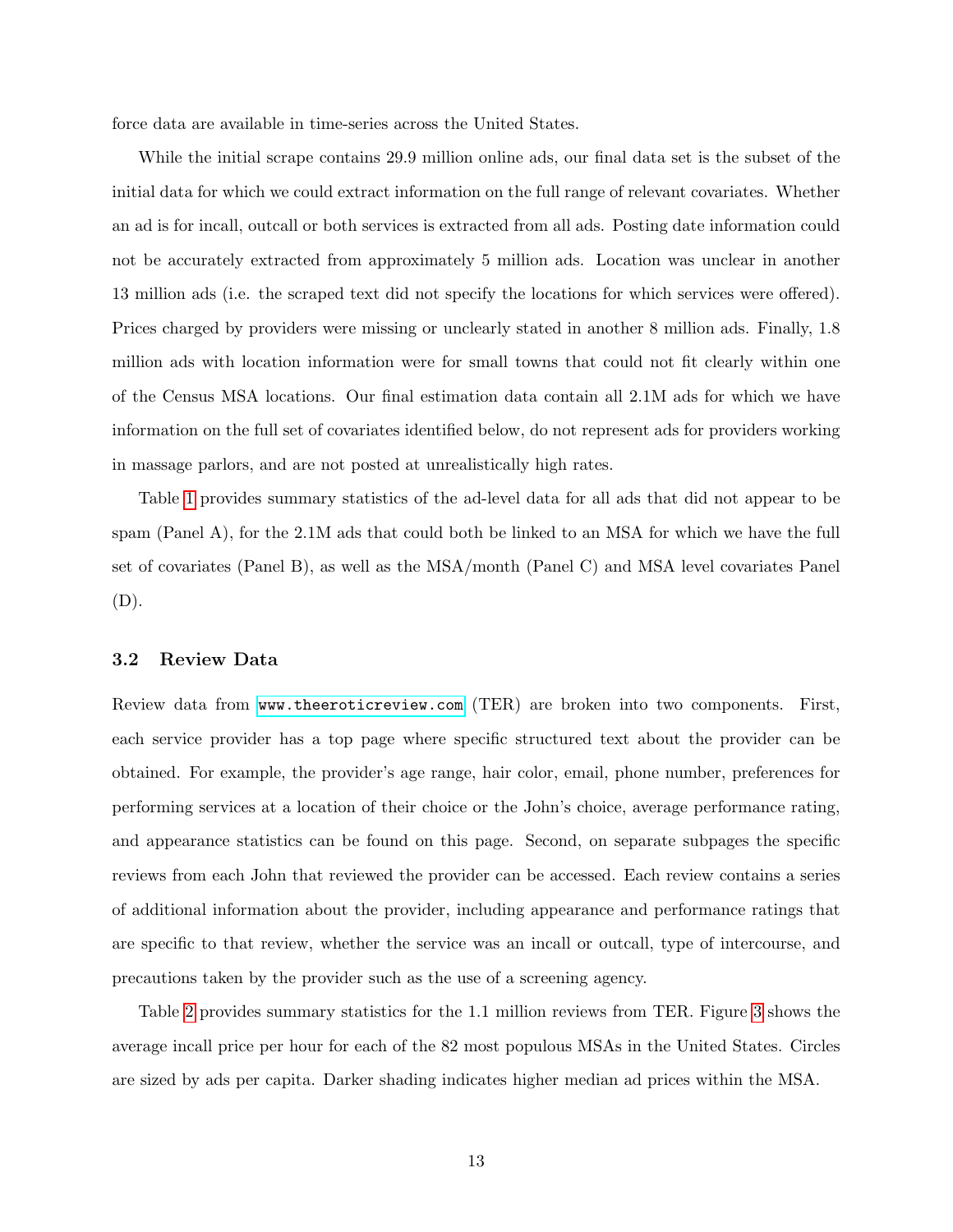force data are available in time-series across the United States.

While the initial scrape contains 29.9 million online ads, our final data set is the subset of the initial data for which we could extract information on the full range of relevant covariates. Whether an ad is for incall, outcall or both services is extracted from all ads. Posting date information could not be accurately extracted from approximately 5 million ads. Location was unclear in another 13 million ads (i.e. the scraped text did not specify the locations for which services were offered). Prices charged by providers were missing or unclearly stated in another 8 million ads. Finally, 1.8 million ads with location information were for small towns that could not fit clearly within one of the Census MSA locations. Our final estimation data contain all 2.1M ads for which we have information on the full set of covariates identified below, do not represent ads for providers working in massage parlors, and are not posted at unrealistically high rates.

Table [1](#page-27-0) provides summary statistics of the ad-level data for all ads that did not appear to be spam (Panel A), for the 2.1M ads that could both be linked to an MSA for which we have the full set of covariates (Panel B), as well as the MSA/month (Panel C) and MSA level covariates Panel  $(D).$ 

#### <span id="page-12-0"></span>3.2 Review Data

Review data from <www.theeroticreview.com> (TER) are broken into two components. First, each service provider has a top page where specific structured text about the provider can be obtained. For example, the provider's age range, hair color, email, phone number, preferences for performing services at a location of their choice or the John's choice, average performance rating, and appearance statistics can be found on this page. Second, on separate subpages the specific reviews from each John that reviewed the provider can be accessed. Each review contains a series of additional information about the provider, including appearance and performance ratings that are specific to that review, whether the service was an incall or outcall, type of intercourse, and precautions taken by the provider such as the use of a screening agency.

Table [2](#page-28-0) provides summary statistics for the 1.1 million reviews from TER. Figure [3](#page-25-0) shows the average incall price per hour for each of the 82 most populous MSAs in the United States. Circles are sized by ads per capita. Darker shading indicates higher median ad prices within the MSA.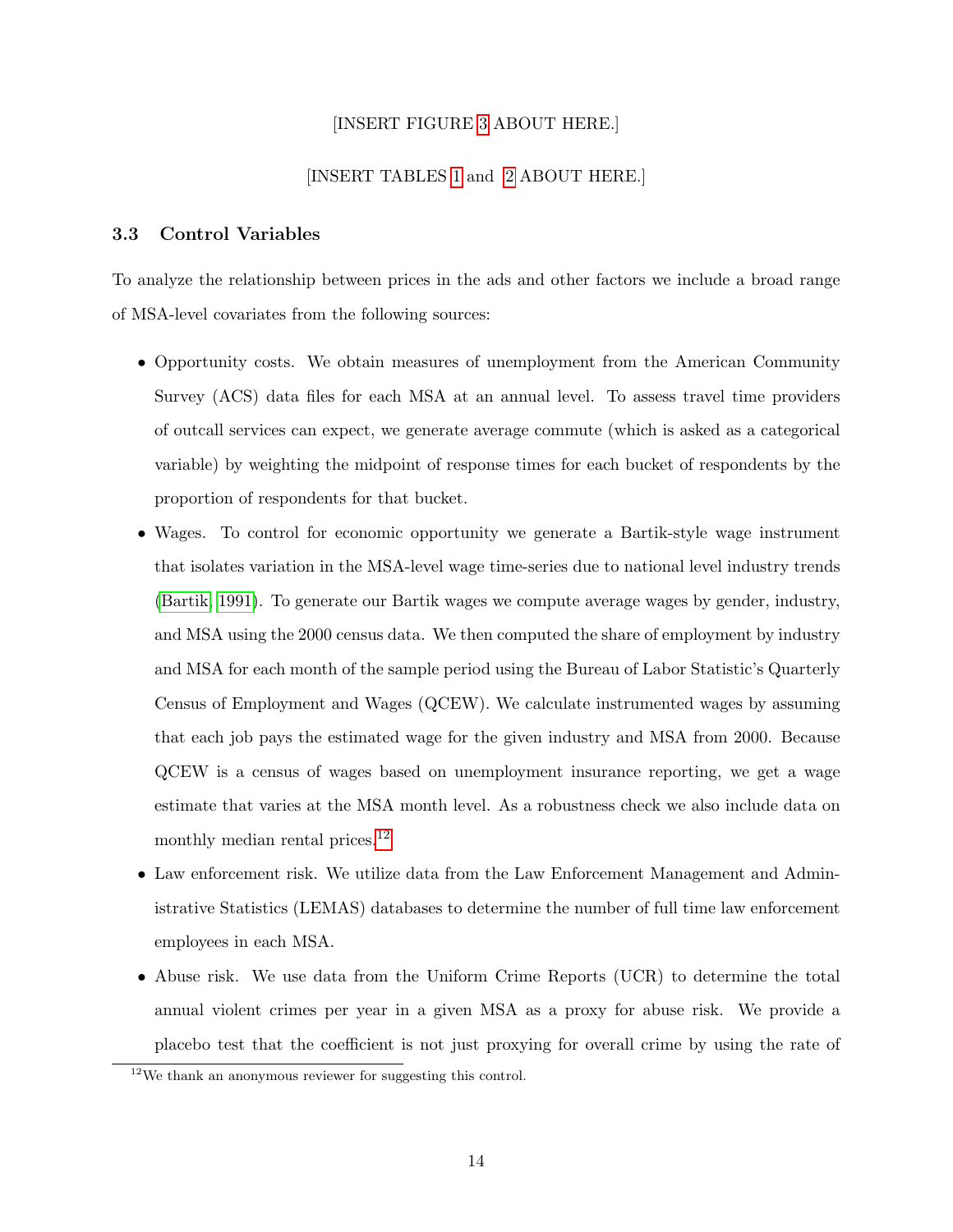#### [INSERT FIGURE [3](#page-25-0) ABOUT HERE.]

#### [INSERT TABLES [1](#page-27-0) and [2](#page-28-0) ABOUT HERE.]

#### 3.3 Control Variables

To analyze the relationship between prices in the ads and other factors we include a broad range of MSA-level covariates from the following sources:

- Opportunity costs. We obtain measures of unemployment from the American Community Survey (ACS) data files for each MSA at an annual level. To assess travel time providers of outcall services can expect, we generate average commute (which is asked as a categorical variable) by weighting the midpoint of response times for each bucket of respondents by the proportion of respondents for that bucket.
- Wages. To control for economic opportunity we generate a Bartik-style wage instrument that isolates variation in the MSA-level wage time-series due to national level industry trends [\(Bartik, 1991\)](#page-32-13). To generate our Bartik wages we compute average wages by gender, industry, and MSA using the 2000 census data. We then computed the share of employment by industry and MSA for each month of the sample period using the Bureau of Labor Statistic's Quarterly Census of Employment and Wages (QCEW). We calculate instrumented wages by assuming that each job pays the estimated wage for the given industry and MSA from 2000. Because QCEW is a census of wages based on unemployment insurance reporting, we get a wage estimate that varies at the MSA month level. As a robustness check we also include data on monthly median rental prices.<sup>[12](#page-0-0)</sup>
- Law enforcement risk. We utilize data from the Law Enforcement Management and Administrative Statistics (LEMAS) databases to determine the number of full time law enforcement employees in each MSA.
- Abuse risk. We use data from the Uniform Crime Reports (UCR) to determine the total annual violent crimes per year in a given MSA as a proxy for abuse risk. We provide a placebo test that the coefficient is not just proxying for overall crime by using the rate of

<sup>12</sup>We thank an anonymous reviewer for suggesting this control.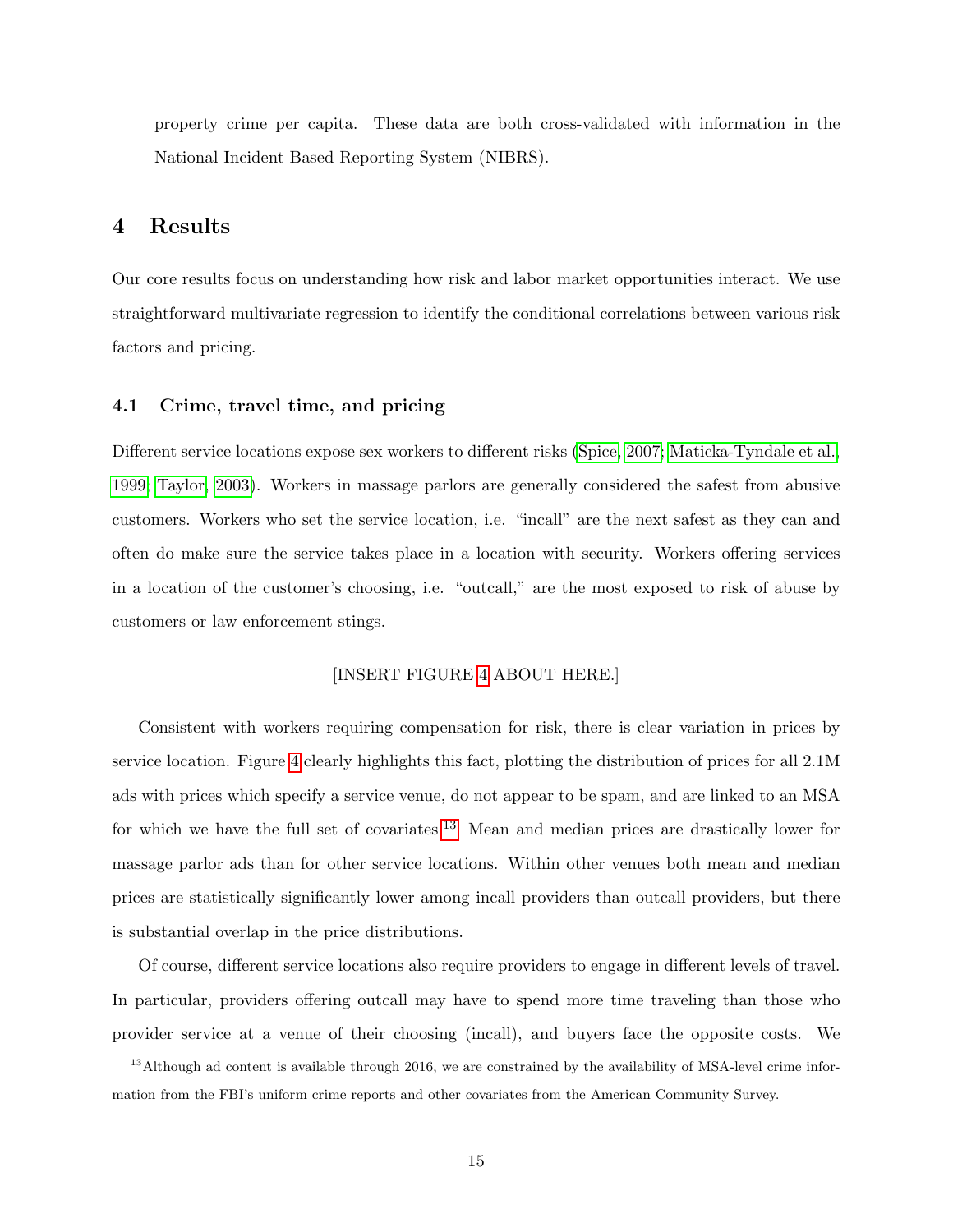property crime per capita. These data are both cross-validated with information in the National Incident Based Reporting System (NIBRS).

### 4 Results

Our core results focus on understanding how risk and labor market opportunities interact. We use straightforward multivariate regression to identify the conditional correlations between various risk factors and pricing.

#### 4.1 Crime, travel time, and pricing

Different service locations expose sex workers to different risks [\(Spice, 2007;](#page-33-11) [Maticka-Tyndale et al.,](#page-33-12) [1999;](#page-33-12) [Taylor, 2003\)](#page-34-3). Workers in massage parlors are generally considered the safest from abusive customers. Workers who set the service location, i.e. "incall" are the next safest as they can and often do make sure the service takes place in a location with security. Workers offering services in a location of the customer's choosing, i.e. "outcall," are the most exposed to risk of abuse by customers or law enforcement stings.

#### [INSERT FIGURE [4](#page-26-0) ABOUT HERE.]

Consistent with workers requiring compensation for risk, there is clear variation in prices by service location. Figure [4](#page-26-0) clearly highlights this fact, plotting the distribution of prices for all 2.1M ads with prices which specify a service venue, do not appear to be spam, and are linked to an MSA for which we have the full set of covariates.<sup>[13](#page-0-0)</sup> Mean and median prices are drastically lower for massage parlor ads than for other service locations. Within other venues both mean and median prices are statistically significantly lower among incall providers than outcall providers, but there is substantial overlap in the price distributions.

Of course, different service locations also require providers to engage in different levels of travel. In particular, providers offering outcall may have to spend more time traveling than those who provider service at a venue of their choosing (incall), and buyers face the opposite costs. We

<sup>&</sup>lt;sup>13</sup>Although ad content is available through 2016, we are constrained by the availability of MSA-level crime information from the FBI's uniform crime reports and other covariates from the American Community Survey.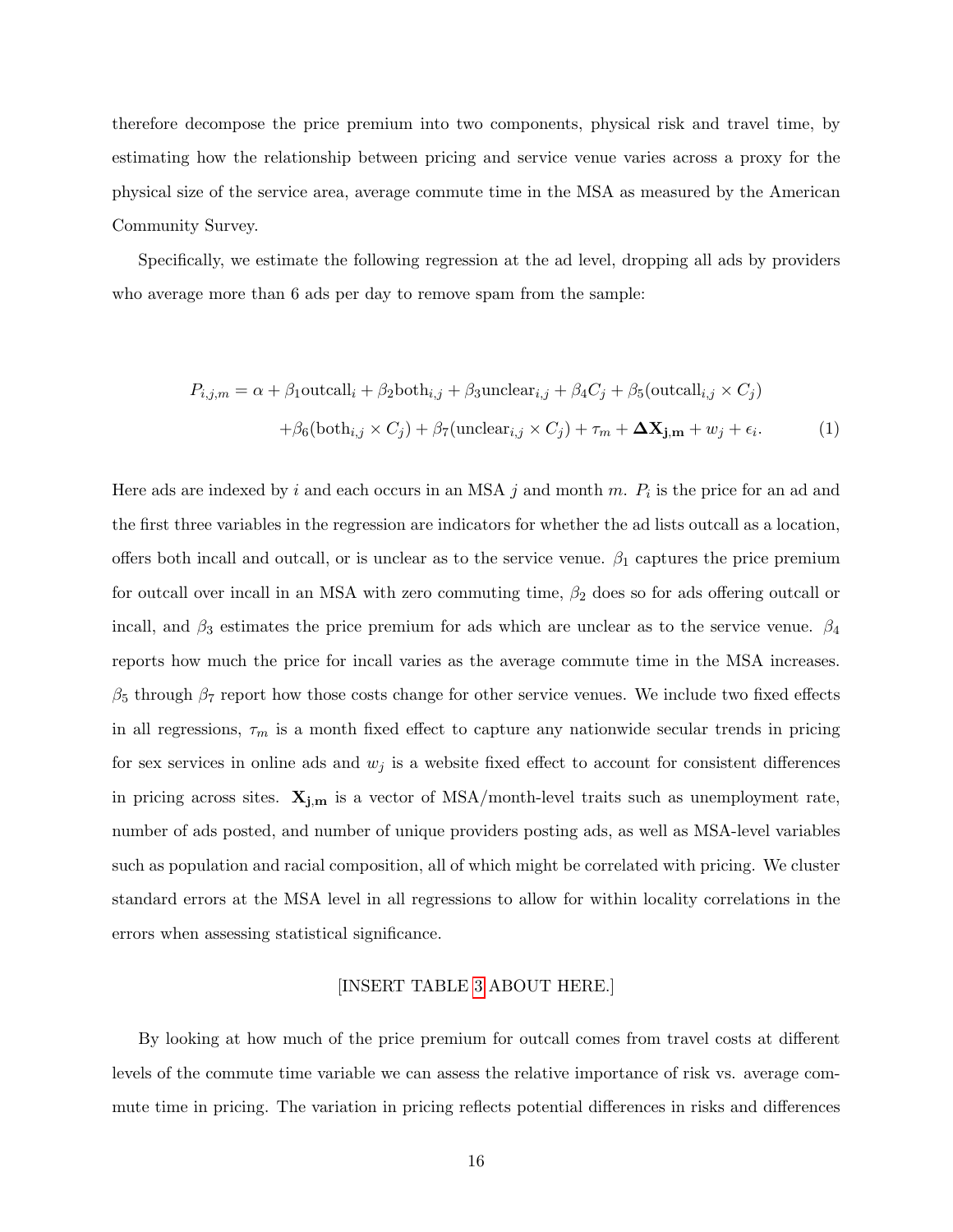therefore decompose the price premium into two components, physical risk and travel time, by estimating how the relationship between pricing and service venue varies across a proxy for the physical size of the service area, average commute time in the MSA as measured by the American Community Survey.

Specifically, we estimate the following regression at the ad level, dropping all ads by providers who average more than 6 ads per day to remove spam from the sample:

$$
P_{i,j,m} = \alpha + \beta_1 \text{outcall}_i + \beta_2 \text{both}_{i,j} + \beta_3 \text{unclear}_{i,j} + \beta_4 C_j + \beta_5 (\text{outcall}_{i,j} \times C_j)
$$

$$
+ \beta_6 (\text{both}_{i,j} \times C_j) + \beta_7 (\text{unclear}_{i,j} \times C_j) + \tau_m + \Delta \mathbf{X}_{\mathbf{j},\mathbf{m}} + w_j + \epsilon_i.
$$
 (1)

Here ads are indexed by i and each occurs in an MSA j and month m.  $P_i$  is the price for an ad and the first three variables in the regression are indicators for whether the ad lists outcall as a location, offers both incall and outcall, or is unclear as to the service venue.  $\beta_1$  captures the price premium for outcall over incall in an MSA with zero commuting time,  $\beta_2$  does so for ads offering outcall or incall, and  $\beta_3$  estimates the price premium for ads which are unclear as to the service venue.  $\beta_4$ reports how much the price for incall varies as the average commute time in the MSA increases.  $\beta_5$  through  $\beta_7$  report how those costs change for other service venues. We include two fixed effects in all regressions,  $\tau_m$  is a month fixed effect to capture any nationwide secular trends in pricing for sex services in online ads and  $w_j$  is a website fixed effect to account for consistent differences in pricing across sites.  $\mathbf{X}_{j,m}$  is a vector of MSA/month-level traits such as unemployment rate, number of ads posted, and number of unique providers posting ads, as well as MSA-level variables such as population and racial composition, all of which might be correlated with pricing. We cluster standard errors at the MSA level in all regressions to allow for within locality correlations in the errors when assessing statistical significance.

#### [INSERT TABLE [3](#page-29-0) ABOUT HERE.]

By looking at how much of the price premium for outcall comes from travel costs at different levels of the commute time variable we can assess the relative importance of risk vs. average commute time in pricing. The variation in pricing reflects potential differences in risks and differences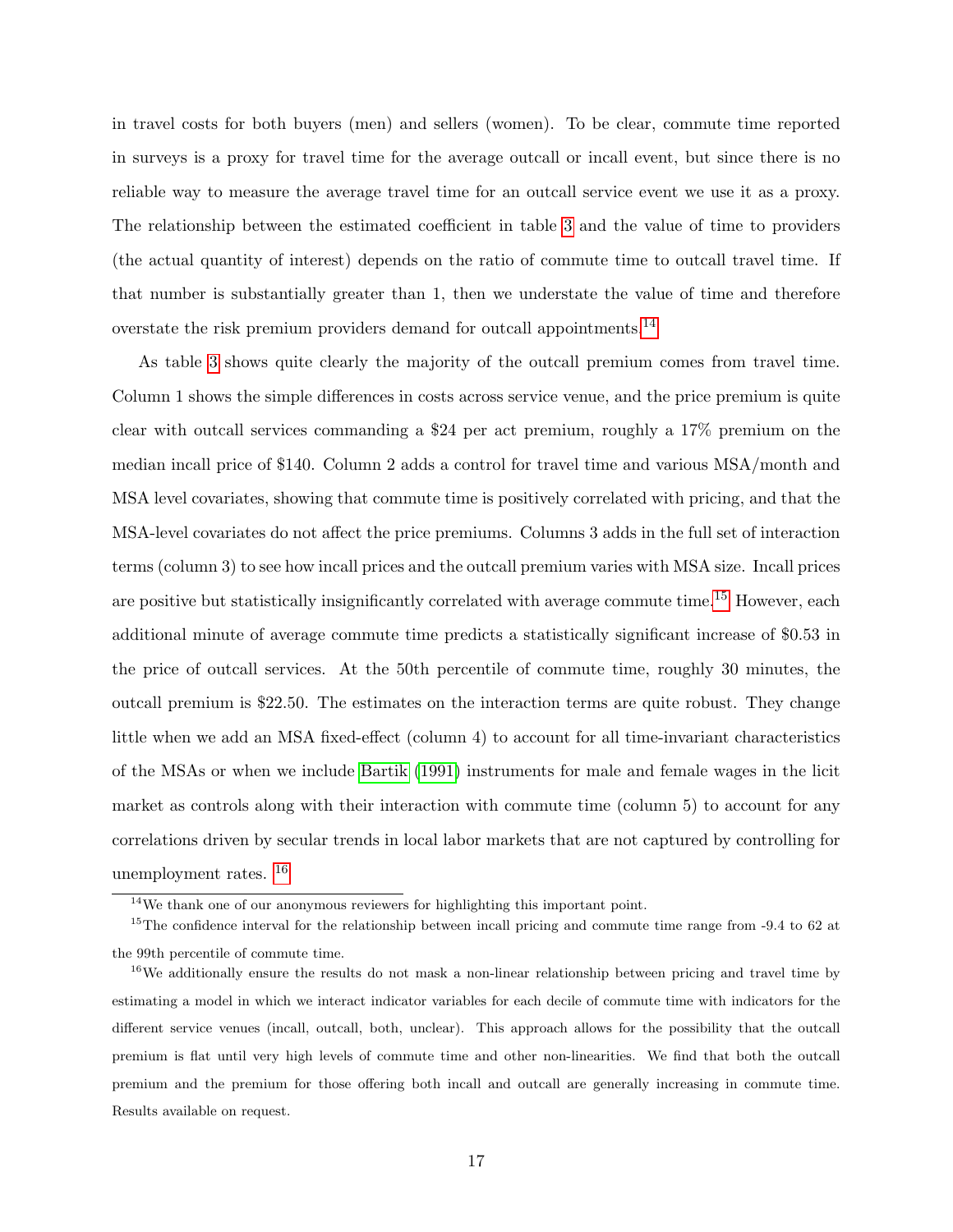in travel costs for both buyers (men) and sellers (women). To be clear, commute time reported in surveys is a proxy for travel time for the average outcall or incall event, but since there is no reliable way to measure the average travel time for an outcall service event we use it as a proxy. The relationship between the estimated coefficient in table [3](#page-29-0) and the value of time to providers (the actual quantity of interest) depends on the ratio of commute time to outcall travel time. If that number is substantially greater than 1, then we understate the value of time and therefore overstate the risk premium providers demand for outcall appointments.[14](#page-0-0)

As table [3](#page-29-0) shows quite clearly the majority of the outcall premium comes from travel time. Column 1 shows the simple differences in costs across service venue, and the price premium is quite clear with outcall services commanding a \$24 per act premium, roughly a 17% premium on the median incall price of \$140. Column 2 adds a control for travel time and various MSA/month and MSA level covariates, showing that commute time is positively correlated with pricing, and that the MSA-level covariates do not affect the price premiums. Columns 3 adds in the full set of interaction terms (column 3) to see how incall prices and the outcall premium varies with MSA size. Incall prices are positive but statistically insignificantly correlated with average commute time.<sup>[15](#page-0-0)</sup> However, each additional minute of average commute time predicts a statistically significant increase of \$0.53 in the price of outcall services. At the 50th percentile of commute time, roughly 30 minutes, the outcall premium is \$22.50. The estimates on the interaction terms are quite robust. They change little when we add an MSA fixed-effect (column 4) to account for all time-invariant characteristics of the MSAs or when we include [Bartik](#page-32-13) [\(1991\)](#page-32-13) instruments for male and female wages in the licit market as controls along with their interaction with commute time (column 5) to account for any correlations driven by secular trends in local labor markets that are not captured by controlling for unemployment rates. [16](#page-0-0)

<sup>&</sup>lt;sup>14</sup>We thank one of our anonymous reviewers for highlighting this important point.

<sup>&</sup>lt;sup>15</sup>The confidence interval for the relationship between incall pricing and commute time range from -9.4 to 62 at the 99th percentile of commute time.

<sup>&</sup>lt;sup>16</sup>We additionally ensure the results do not mask a non-linear relationship between pricing and travel time by estimating a model in which we interact indicator variables for each decile of commute time with indicators for the different service venues (incall, outcall, both, unclear). This approach allows for the possibility that the outcall premium is flat until very high levels of commute time and other non-linearities. We find that both the outcall premium and the premium for those offering both incall and outcall are generally increasing in commute time. Results available on request.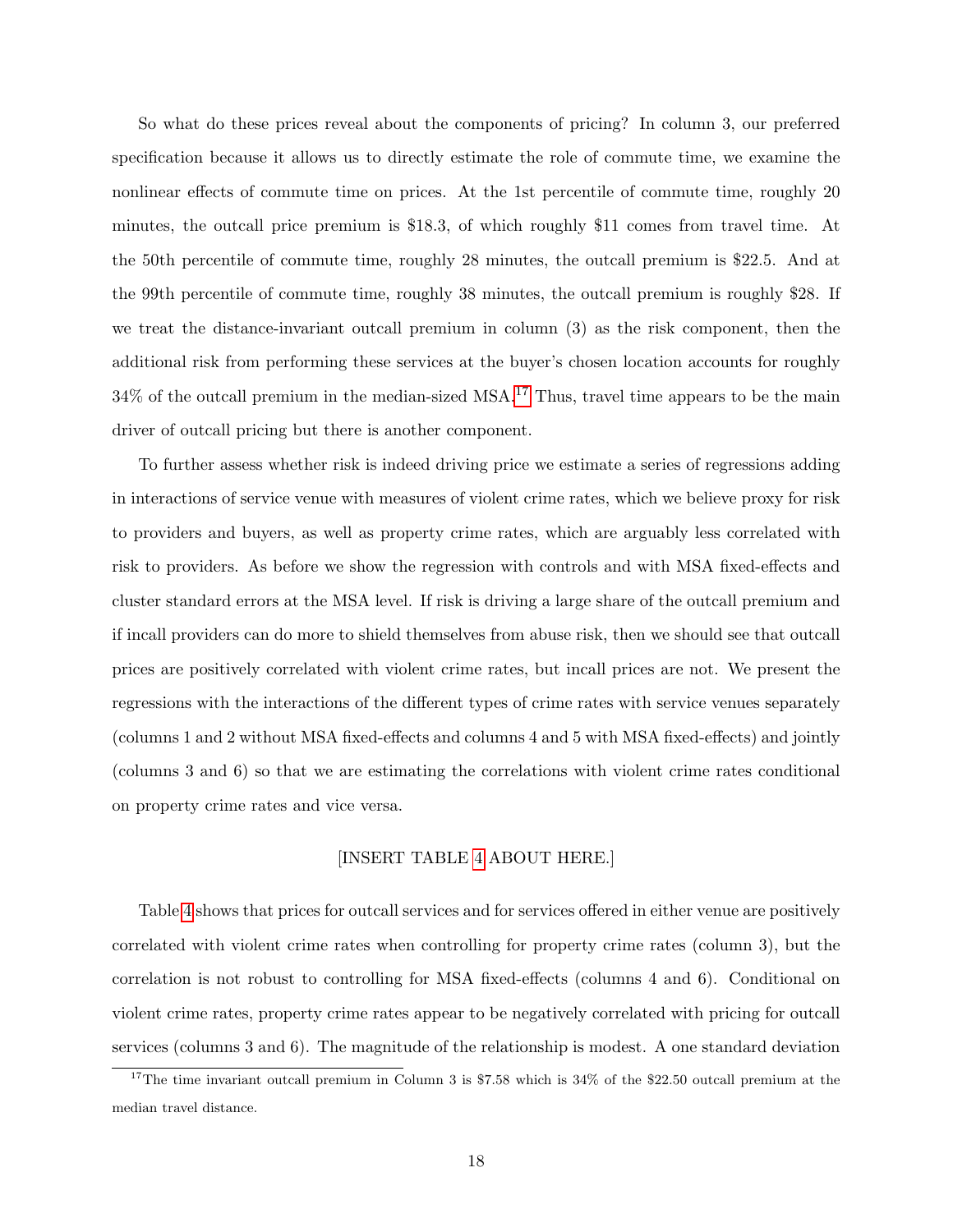So what do these prices reveal about the components of pricing? In column 3, our preferred specification because it allows us to directly estimate the role of commute time, we examine the nonlinear effects of commute time on prices. At the 1st percentile of commute time, roughly 20 minutes, the outcall price premium is \$18.3, of which roughly \$11 comes from travel time. At the 50th percentile of commute time, roughly 28 minutes, the outcall premium is \$22.5. And at the 99th percentile of commute time, roughly 38 minutes, the outcall premium is roughly \$28. If we treat the distance-invariant outcall premium in column (3) as the risk component, then the additional risk from performing these services at the buyer's chosen location accounts for roughly  $34\%$  of the outcall premium in the median-sized MSA.<sup>[17](#page-0-0)</sup> Thus, travel time appears to be the main driver of outcall pricing but there is another component.

To further assess whether risk is indeed driving price we estimate a series of regressions adding in interactions of service venue with measures of violent crime rates, which we believe proxy for risk to providers and buyers, as well as property crime rates, which are arguably less correlated with risk to providers. As before we show the regression with controls and with MSA fixed-effects and cluster standard errors at the MSA level. If risk is driving a large share of the outcall premium and if incall providers can do more to shield themselves from abuse risk, then we should see that outcall prices are positively correlated with violent crime rates, but incall prices are not. We present the regressions with the interactions of the different types of crime rates with service venues separately (columns 1 and 2 without MSA fixed-effects and columns 4 and 5 with MSA fixed-effects) and jointly (columns 3 and 6) so that we are estimating the correlations with violent crime rates conditional on property crime rates and vice versa.

#### [INSERT TABLE [4](#page-30-0) ABOUT HERE.]

Table [4](#page-30-0) shows that prices for outcall services and for services offered in either venue are positively correlated with violent crime rates when controlling for property crime rates (column 3), but the correlation is not robust to controlling for MSA fixed-effects (columns 4 and 6). Conditional on violent crime rates, property crime rates appear to be negatively correlated with pricing for outcall services (columns 3 and 6). The magnitude of the relationship is modest. A one standard deviation

<sup>&</sup>lt;sup>17</sup>The time invariant outcall premium in Column 3 is  $$7.58$  which is 34% of the \$22.50 outcall premium at the median travel distance.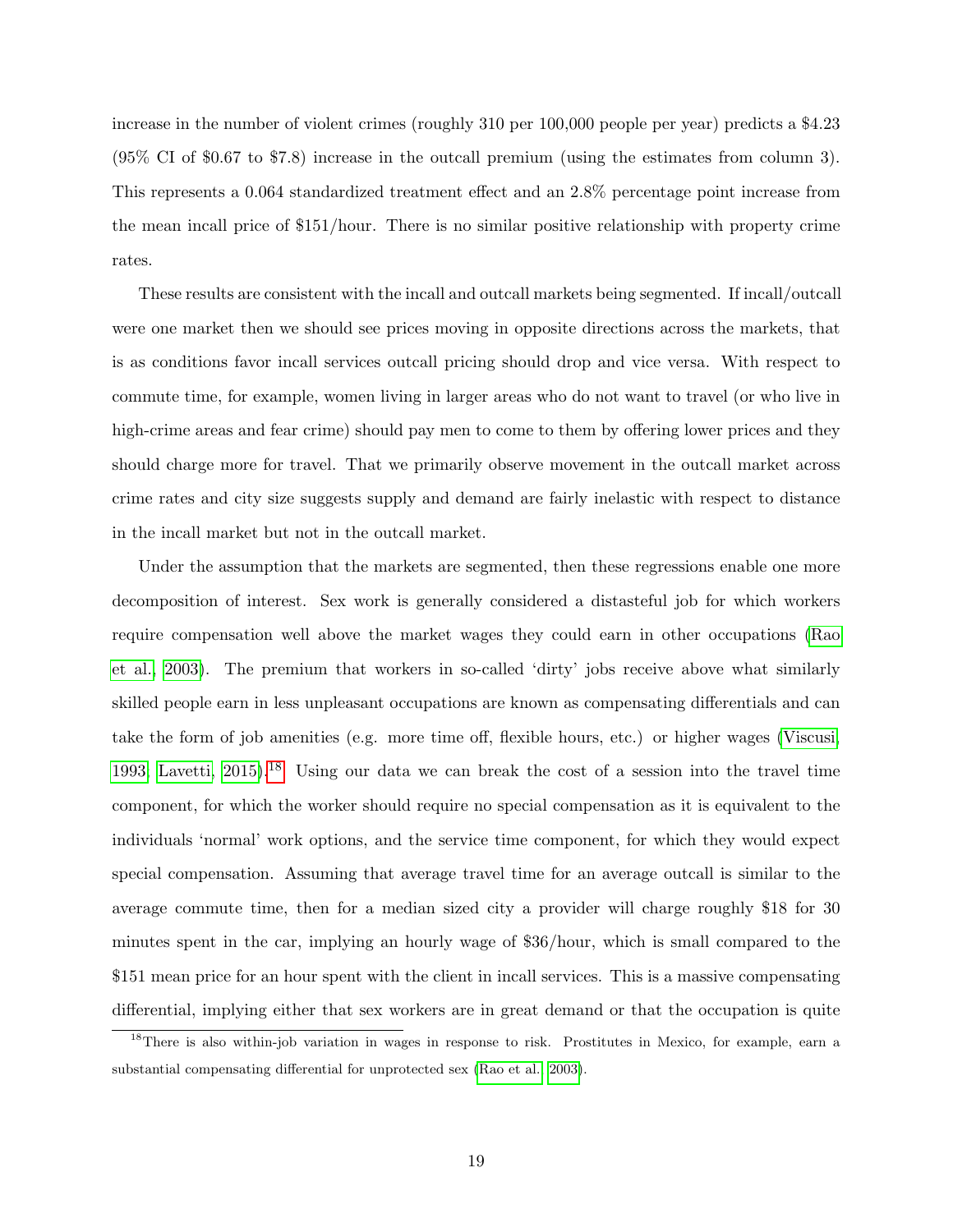increase in the number of violent crimes (roughly 310 per 100,000 people per year) predicts a \$4.23 (95% CI of \$0.67 to \$7.8) increase in the outcall premium (using the estimates from column 3). This represents a 0.064 standardized treatment effect and an 2.8% percentage point increase from the mean incall price of \$151/hour. There is no similar positive relationship with property crime rates.

These results are consistent with the incall and outcall markets being segmented. If incall/outcall were one market then we should see prices moving in opposite directions across the markets, that is as conditions favor incall services outcall pricing should drop and vice versa. With respect to commute time, for example, women living in larger areas who do not want to travel (or who live in high-crime areas and fear crime) should pay men to come to them by offering lower prices and they should charge more for travel. That we primarily observe movement in the outcall market across crime rates and city size suggests supply and demand are fairly inelastic with respect to distance in the incall market but not in the outcall market.

Under the assumption that the markets are segmented, then these regressions enable one more decomposition of interest. Sex work is generally considered a distasteful job for which workers require compensation well above the market wages they could earn in other occupations [\(Rao](#page-33-13) [et al., 2003\)](#page-33-13). The premium that workers in so-called 'dirty' jobs receive above what similarly skilled people earn in less unpleasant occupations are known as compensating differentials and can take the form of job amenities (e.g. more time off, flexible hours, etc.) or higher wages [\(Viscusi,](#page-34-4) [1993;](#page-34-4) [Lavetti, 2015\)](#page-33-7).<sup>[18](#page-0-0)</sup> Using our data we can break the cost of a session into the travel time component, for which the worker should require no special compensation as it is equivalent to the individuals 'normal' work options, and the service time component, for which they would expect special compensation. Assuming that average travel time for an average outcall is similar to the average commute time, then for a median sized city a provider will charge roughly \$18 for 30 minutes spent in the car, implying an hourly wage of \$36/hour, which is small compared to the \$151 mean price for an hour spent with the client in incall services. This is a massive compensating differential, implying either that sex workers are in great demand or that the occupation is quite

<sup>18</sup>There is also within-job variation in wages in response to risk. Prostitutes in Mexico, for example, earn a substantial compensating differential for unprotected sex [\(Rao et al., 2003\)](#page-33-13).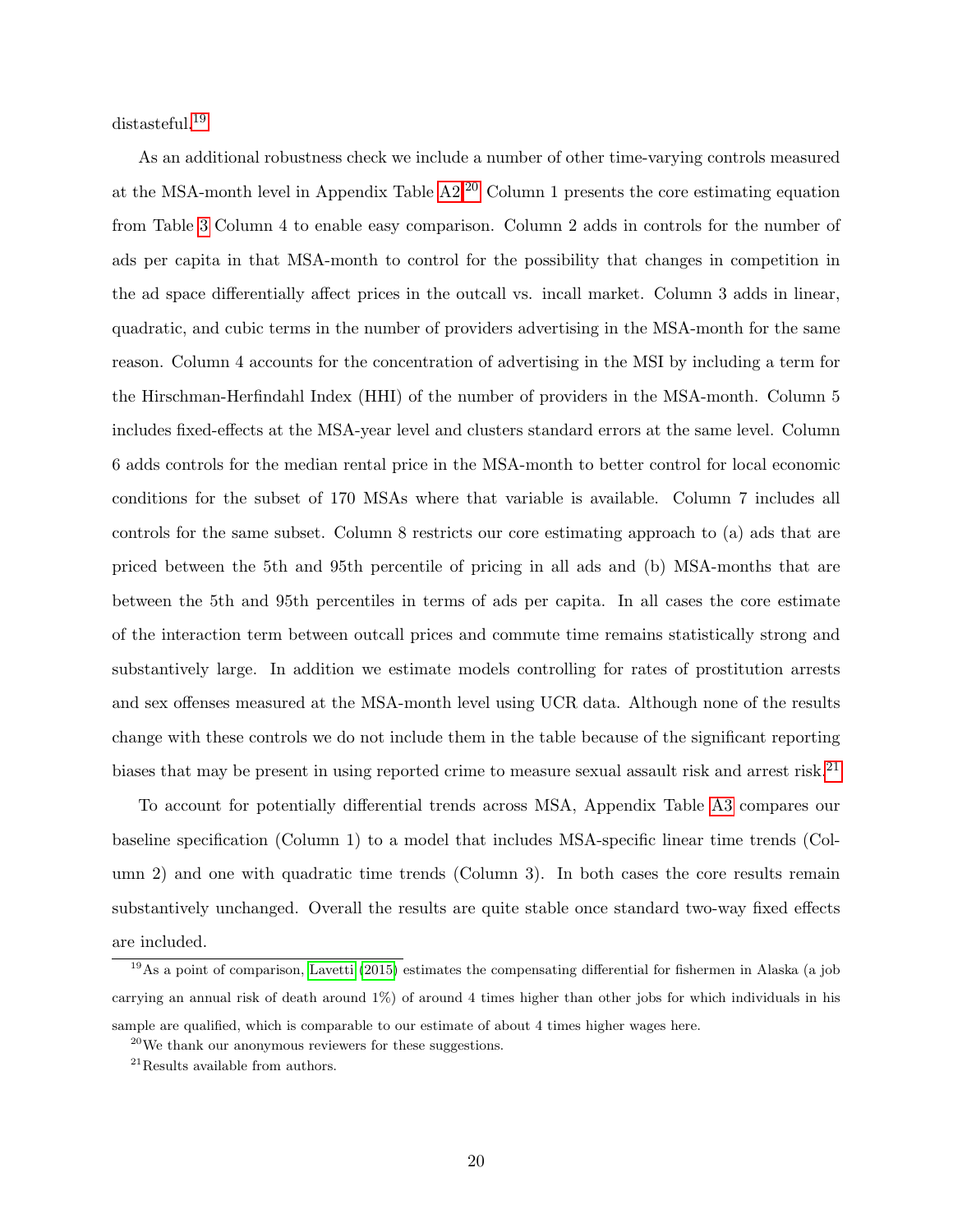distasteful.<sup>[19](#page-0-0)</sup>

As an additional robustness check we include a number of other time-varying controls measured at the MSA-month level in Appendix Table [A2.](#page-39-0)[20](#page-0-0) Column 1 presents the core estimating equation from Table [3](#page-29-0) Column 4 to enable easy comparison. Column 2 adds in controls for the number of ads per capita in that MSA-month to control for the possibility that changes in competition in the ad space differentially affect prices in the outcall vs. incall market. Column 3 adds in linear, quadratic, and cubic terms in the number of providers advertising in the MSA-month for the same reason. Column 4 accounts for the concentration of advertising in the MSI by including a term for the Hirschman-Herfindahl Index (HHI) of the number of providers in the MSA-month. Column 5 includes fixed-effects at the MSA-year level and clusters standard errors at the same level. Column 6 adds controls for the median rental price in the MSA-month to better control for local economic conditions for the subset of 170 MSAs where that variable is available. Column 7 includes all controls for the same subset. Column 8 restricts our core estimating approach to (a) ads that are priced between the 5th and 95th percentile of pricing in all ads and (b) MSA-months that are between the 5th and 95th percentiles in terms of ads per capita. In all cases the core estimate of the interaction term between outcall prices and commute time remains statistically strong and substantively large. In addition we estimate models controlling for rates of prostitution arrests and sex offenses measured at the MSA-month level using UCR data. Although none of the results change with these controls we do not include them in the table because of the significant reporting biases that may be present in using reported crime to measure sexual assault risk and arrest risk.<sup>[21](#page-0-0)</sup>

To account for potentially differential trends across MSA, Appendix Table [A3](#page-40-0) compares our baseline specification (Column 1) to a model that includes MSA-specific linear time trends (Column 2) and one with quadratic time trends (Column 3). In both cases the core results remain substantively unchanged. Overall the results are quite stable once standard two-way fixed effects are included.

 $19\text{As}$  a point of comparison, [Lavetti](#page-33-7) [\(2015\)](#page-33-7) estimates the compensating differential for fishermen in Alaska (a job carrying an annual risk of death around 1%) of around 4 times higher than other jobs for which individuals in his sample are qualified, which is comparable to our estimate of about 4 times higher wages here.

<sup>20</sup>We thank our anonymous reviewers for these suggestions.

 $^{21}$ Results available from authors.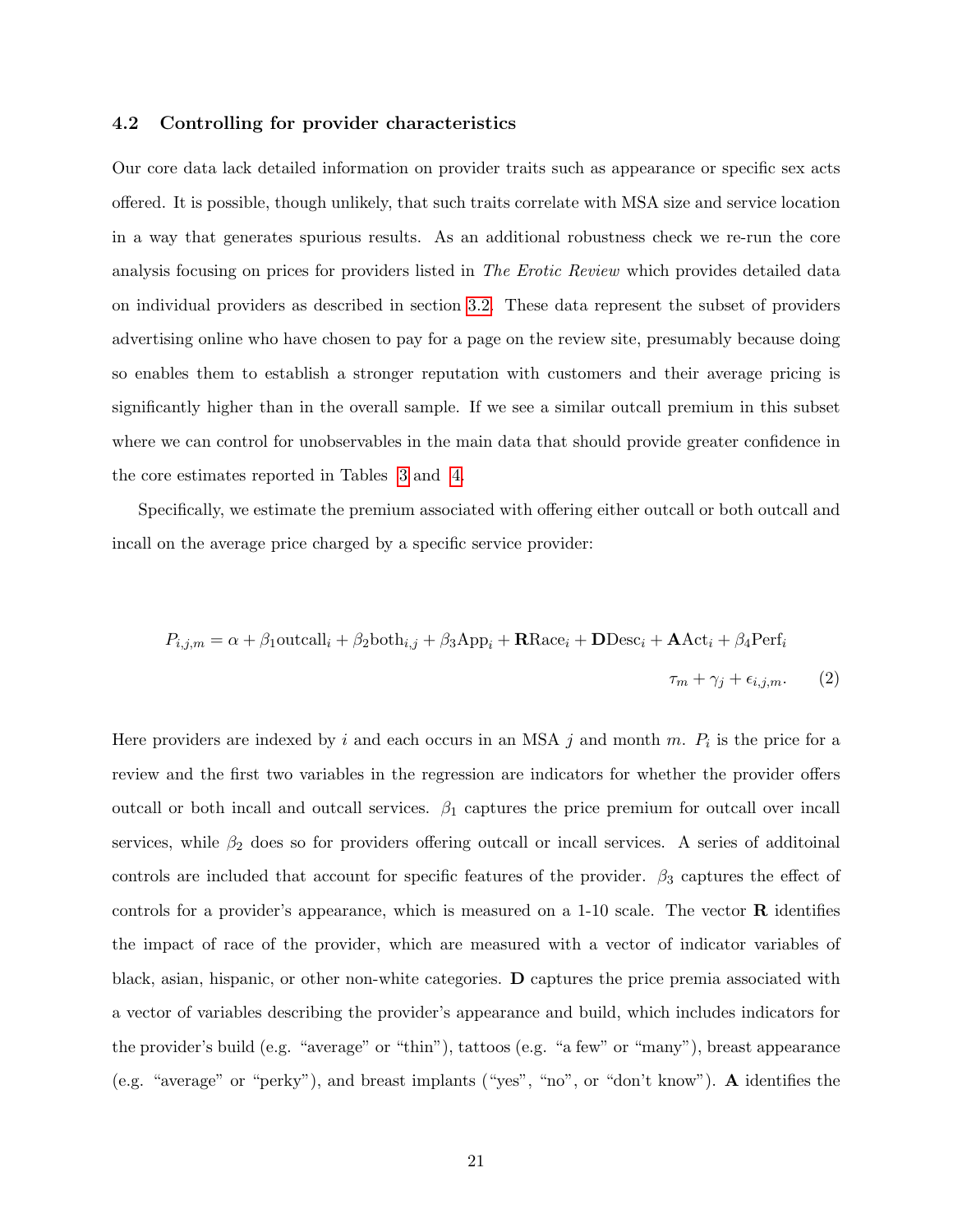#### 4.2 Controlling for provider characteristics

Our core data lack detailed information on provider traits such as appearance or specific sex acts offered. It is possible, though unlikely, that such traits correlate with MSA size and service location in a way that generates spurious results. As an additional robustness check we re-run the core analysis focusing on prices for providers listed in *The Erotic Review* which provides detailed data on individual providers as described in section [3.2.](#page-12-0) These data represent the subset of providers advertising online who have chosen to pay for a page on the review site, presumably because doing so enables them to establish a stronger reputation with customers and their average pricing is significantly higher than in the overall sample. If we see a similar outcall premium in this subset where we can control for unobservables in the main data that should provide greater confidence in the core estimates reported in Tables [3](#page-29-0) and [4.](#page-30-0)

Specifically, we estimate the premium associated with offering either outcall or both outcall and incall on the average price charged by a specific service provider:

$$
P_{i,j,m} = \alpha + \beta_1 \text{outcall}_i + \beta_2 \text{both}_{i,j} + \beta_3 \text{App}_i + \text{RRace}_i + \text{DDesc}_i + \text{AAct}_i + \beta_4 \text{Perf}_i
$$
  

$$
\tau_m + \gamma_j + \epsilon_{i,j,m}. \tag{2}
$$

Here providers are indexed by i and each occurs in an MSA j and month m.  $P_i$  is the price for a review and the first two variables in the regression are indicators for whether the provider offers outcall or both incall and outcall services.  $\beta_1$  captures the price premium for outcall over incall services, while  $\beta_2$  does so for providers offering outcall or incall services. A series of additional controls are included that account for specific features of the provider.  $\beta_3$  captures the effect of controls for a provider's appearance, which is measured on a  $1\textrm{-}10$  scale. The vector **R** identifies the impact of race of the provider, which are measured with a vector of indicator variables of black, asian, hispanic, or other non-white categories. D captures the price premia associated with a vector of variables describing the provider's appearance and build, which includes indicators for the provider's build (e.g. "average" or "thin"), tattoos (e.g. "a few" or "many"), breast appearance (e.g. "average" or "perky"), and breast implants ("yes", "no", or "don't know"). A identifies the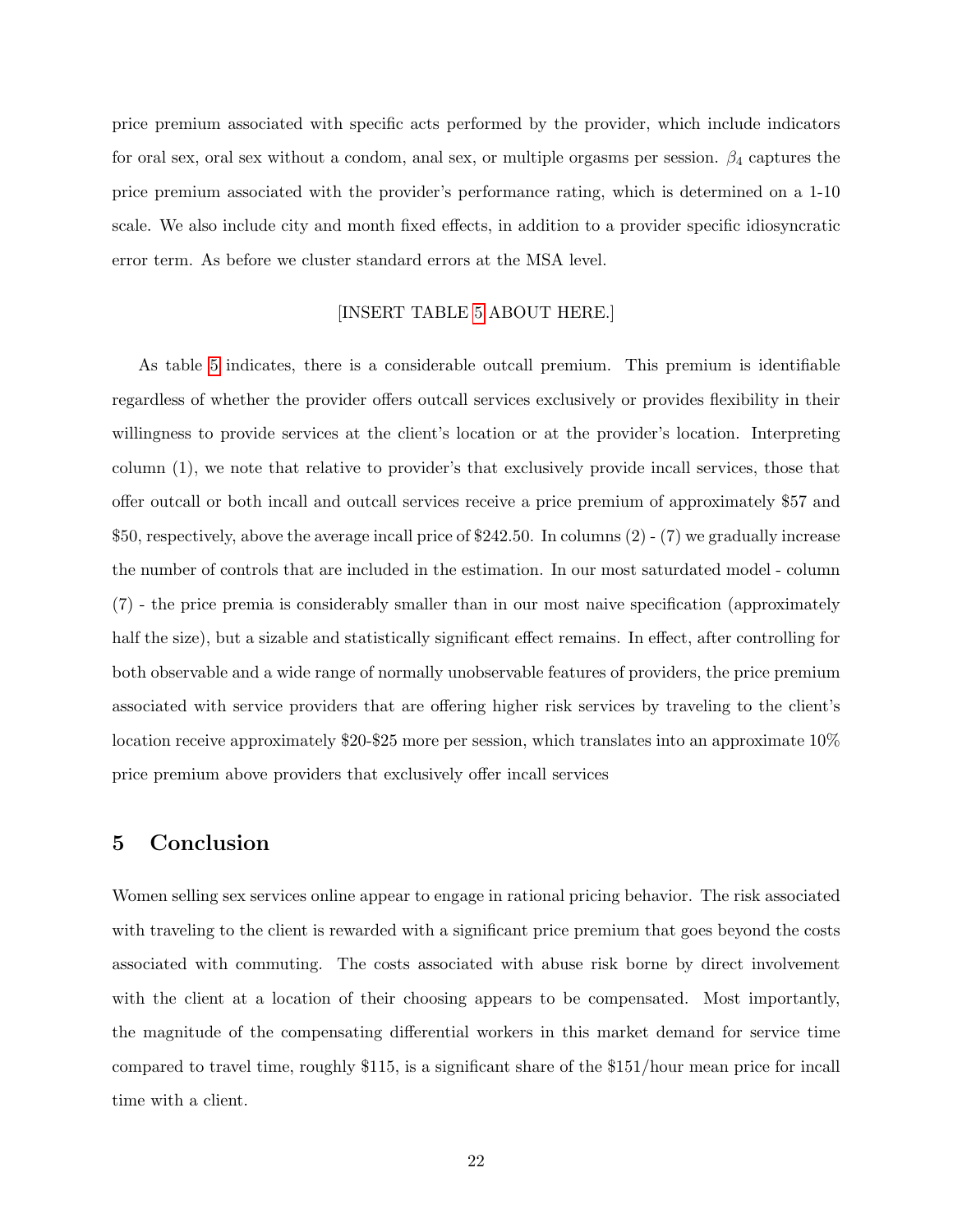price premium associated with specific acts performed by the provider, which include indicators for oral sex, oral sex without a condom, anal sex, or multiple orgasms per session.  $\beta_4$  captures the price premium associated with the provider's performance rating, which is determined on a 1-10 scale. We also include city and month fixed effects, in addition to a provider specific idiosyncratic error term. As before we cluster standard errors at the MSA level.

#### [INSERT TABLE [5](#page-31-0) ABOUT HERE.]

As table [5](#page-31-0) indicates, there is a considerable outcall premium. This premium is identifiable regardless of whether the provider offers outcall services exclusively or provides flexibility in their willingness to provide services at the client's location or at the provider's location. Interpreting column (1), we note that relative to provider's that exclusively provide incall services, those that offer outcall or both incall and outcall services receive a price premium of approximately \$57 and \$50, respectively, above the average incall price of \$242.50. In columns (2) - (7) we gradually increase the number of controls that are included in the estimation. In our most saturdated model - column (7) - the price premia is considerably smaller than in our most naive specification (approximately half the size), but a sizable and statistically significant effect remains. In effect, after controlling for both observable and a wide range of normally unobservable features of providers, the price premium associated with service providers that are offering higher risk services by traveling to the client's location receive approximately \$20-\$25 more per session, which translates into an approximate 10% price premium above providers that exclusively offer incall services

### 5 Conclusion

Women selling sex services online appear to engage in rational pricing behavior. The risk associated with traveling to the client is rewarded with a significant price premium that goes beyond the costs associated with commuting. The costs associated with abuse risk borne by direct involvement with the client at a location of their choosing appears to be compensated. Most importantly, the magnitude of the compensating differential workers in this market demand for service time compared to travel time, roughly \$115, is a significant share of the \$151/hour mean price for incall time with a client.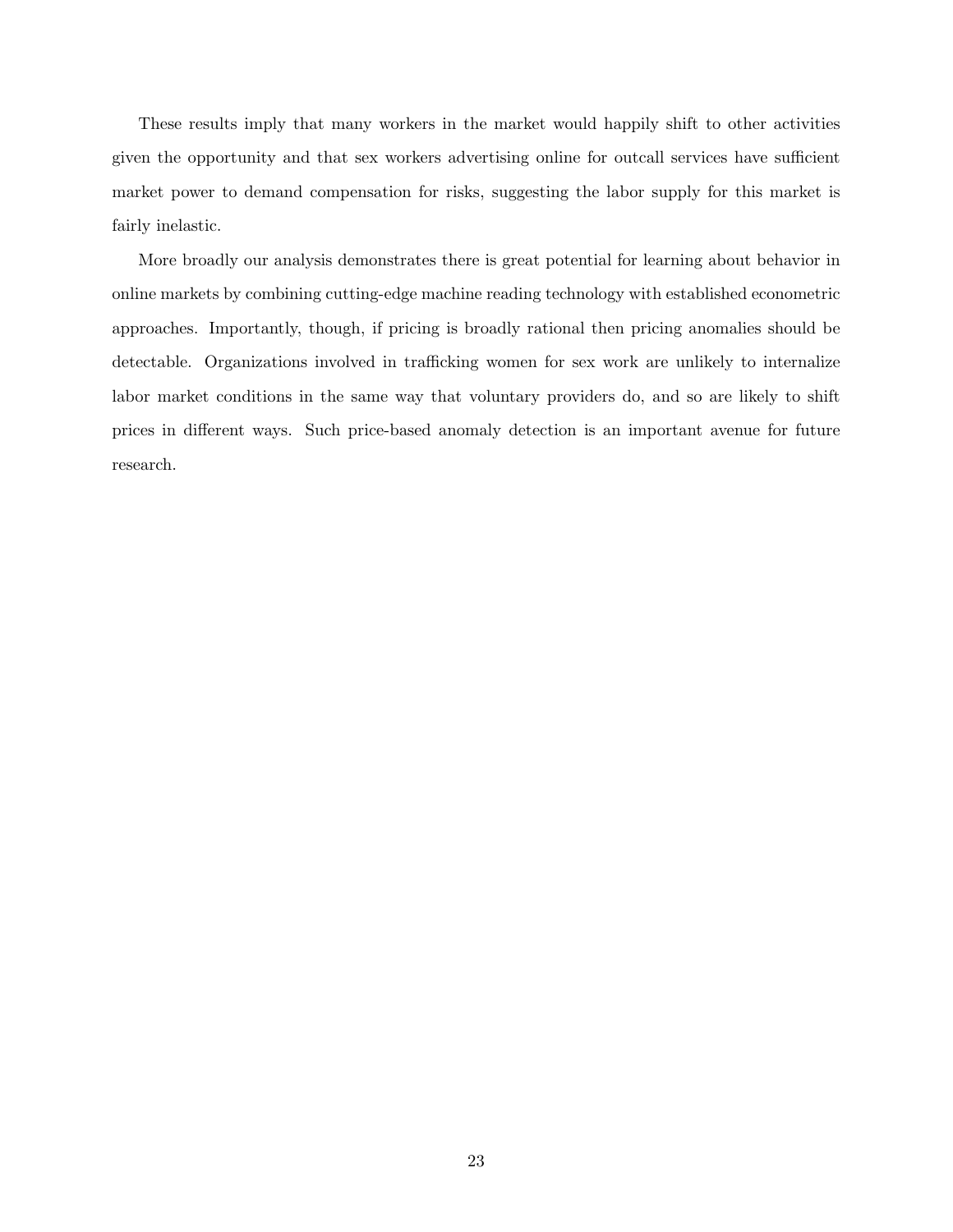These results imply that many workers in the market would happily shift to other activities given the opportunity and that sex workers advertising online for outcall services have sufficient market power to demand compensation for risks, suggesting the labor supply for this market is fairly inelastic.

More broadly our analysis demonstrates there is great potential for learning about behavior in online markets by combining cutting-edge machine reading technology with established econometric approaches. Importantly, though, if pricing is broadly rational then pricing anomalies should be detectable. Organizations involved in trafficking women for sex work are unlikely to internalize labor market conditions in the same way that voluntary providers do, and so are likely to shift prices in different ways. Such price-based anomaly detection is an important avenue for future research.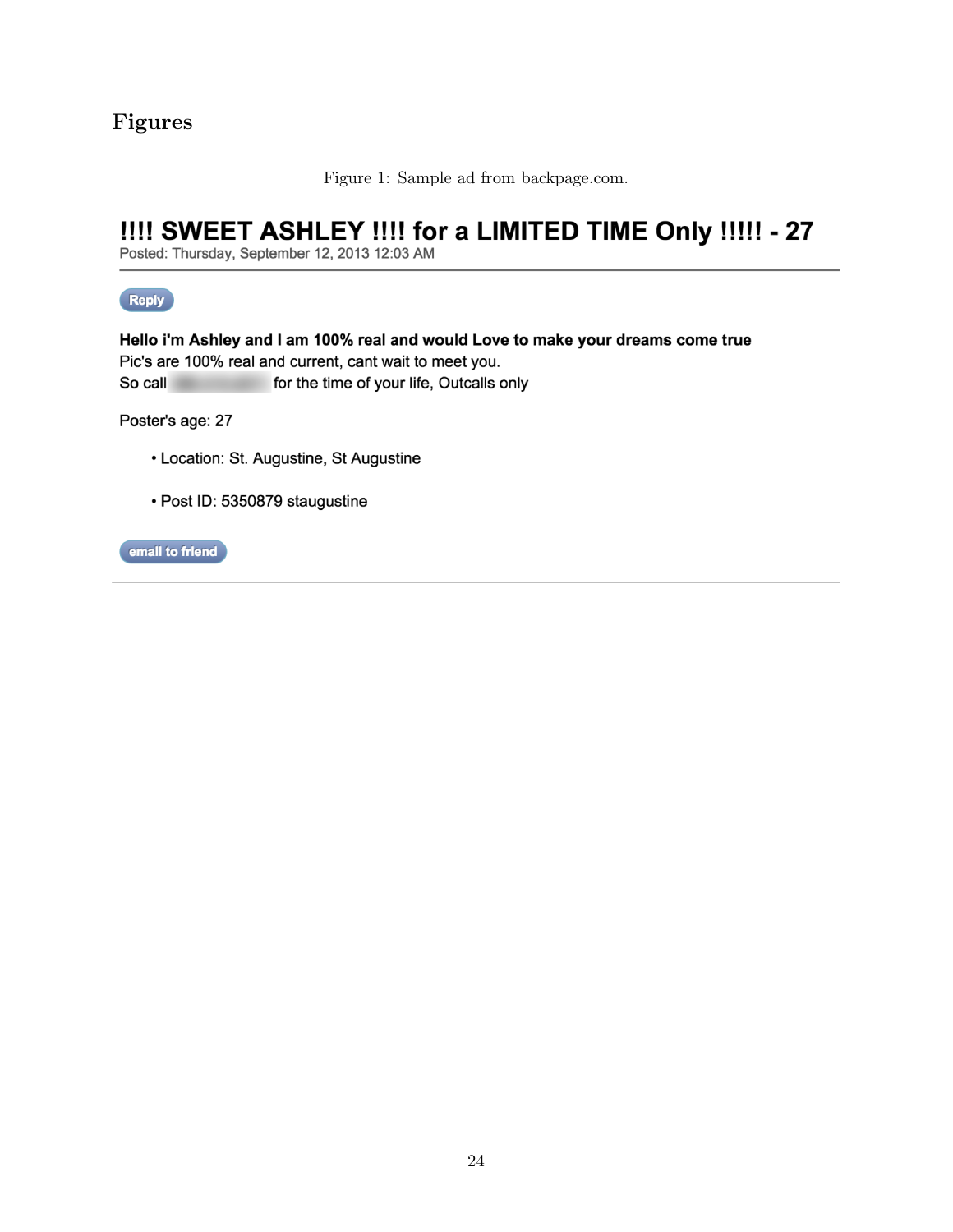Figures

Figure 1: Sample ad from backpage.com.

# <span id="page-23-0"></span>!!!! SWEET ASHLEY !!!! for a LIMITED TIME Only !!!!! - 27

Posted: Thursday, September 12, 2013 12:03 AM

Reply

Hello i'm Ashley and I am 100% real and would Love to make your dreams come true

Pic's are 100% real and current, cant wait to meet you.

So call for the time of your life, Outcalls only

Poster's age: 27

- Location: St. Augustine, St Augustine
- Post ID: 5350879 staugustine

email to friend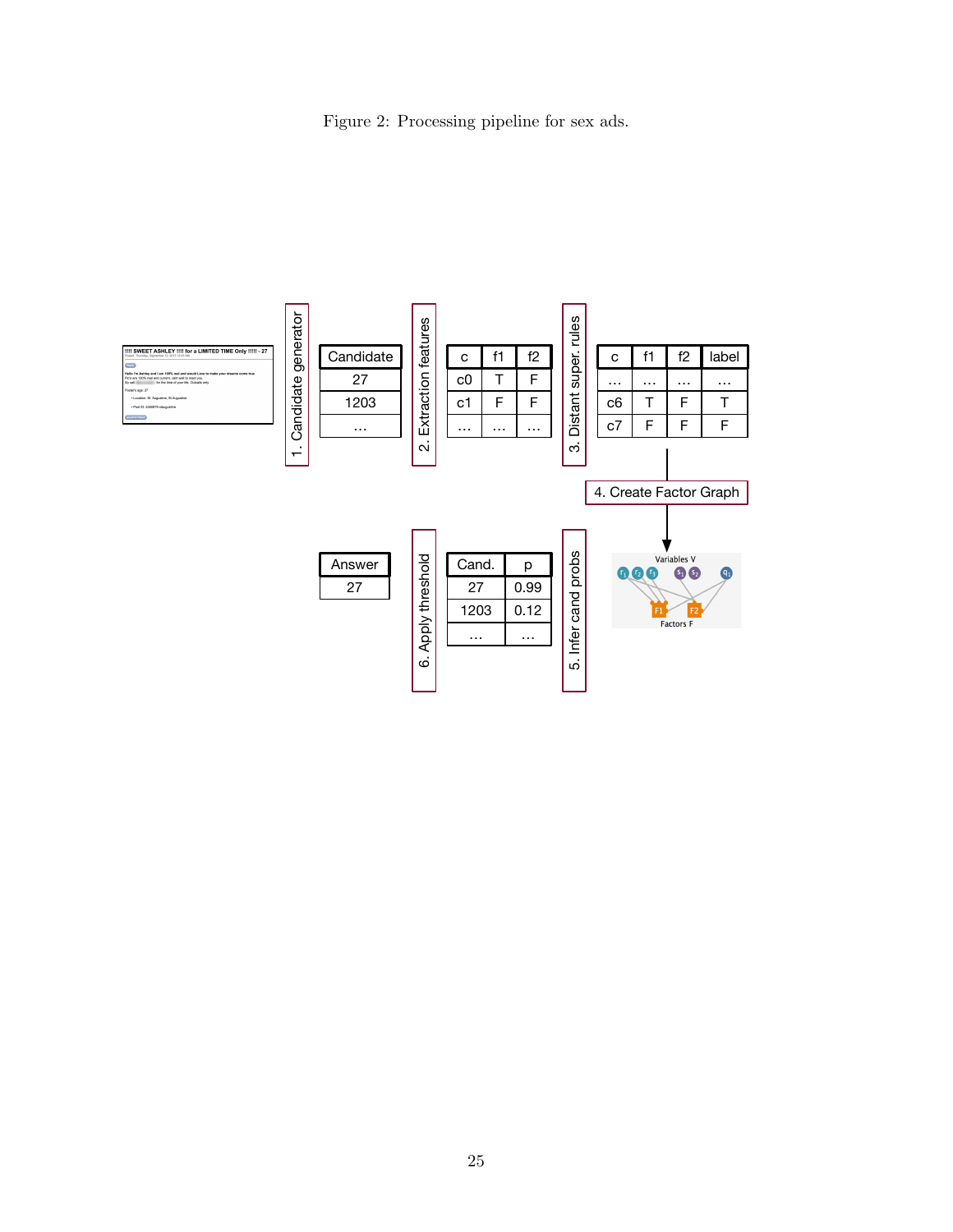Figure 2: Processing pipeline for sex ads.

<span id="page-24-0"></span>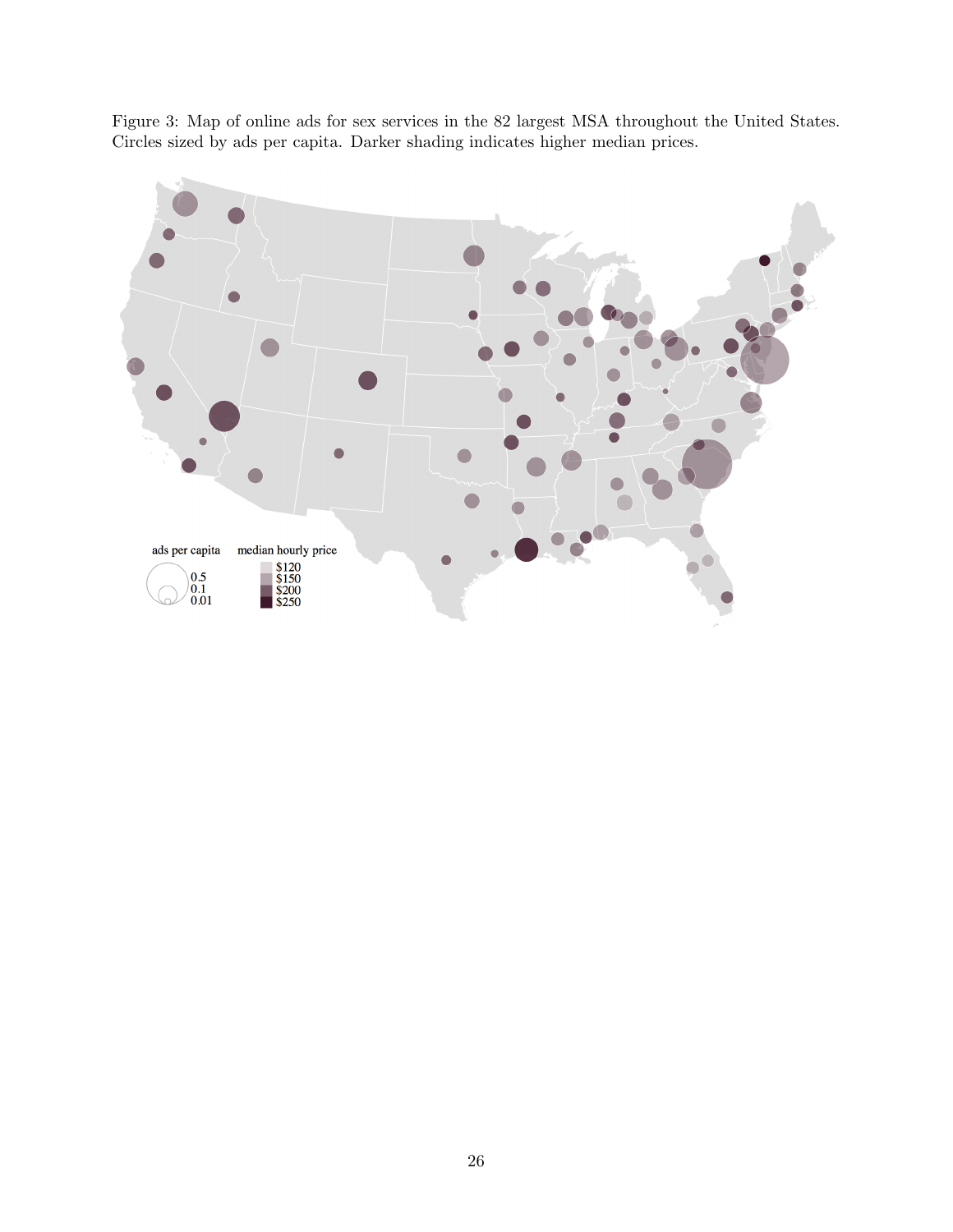<span id="page-25-0"></span>

Figure 3: Map of online ads for sex services in the 82 largest MSA throughout the United States. Circles sized by ads per capita. Darker shading indicates higher median prices.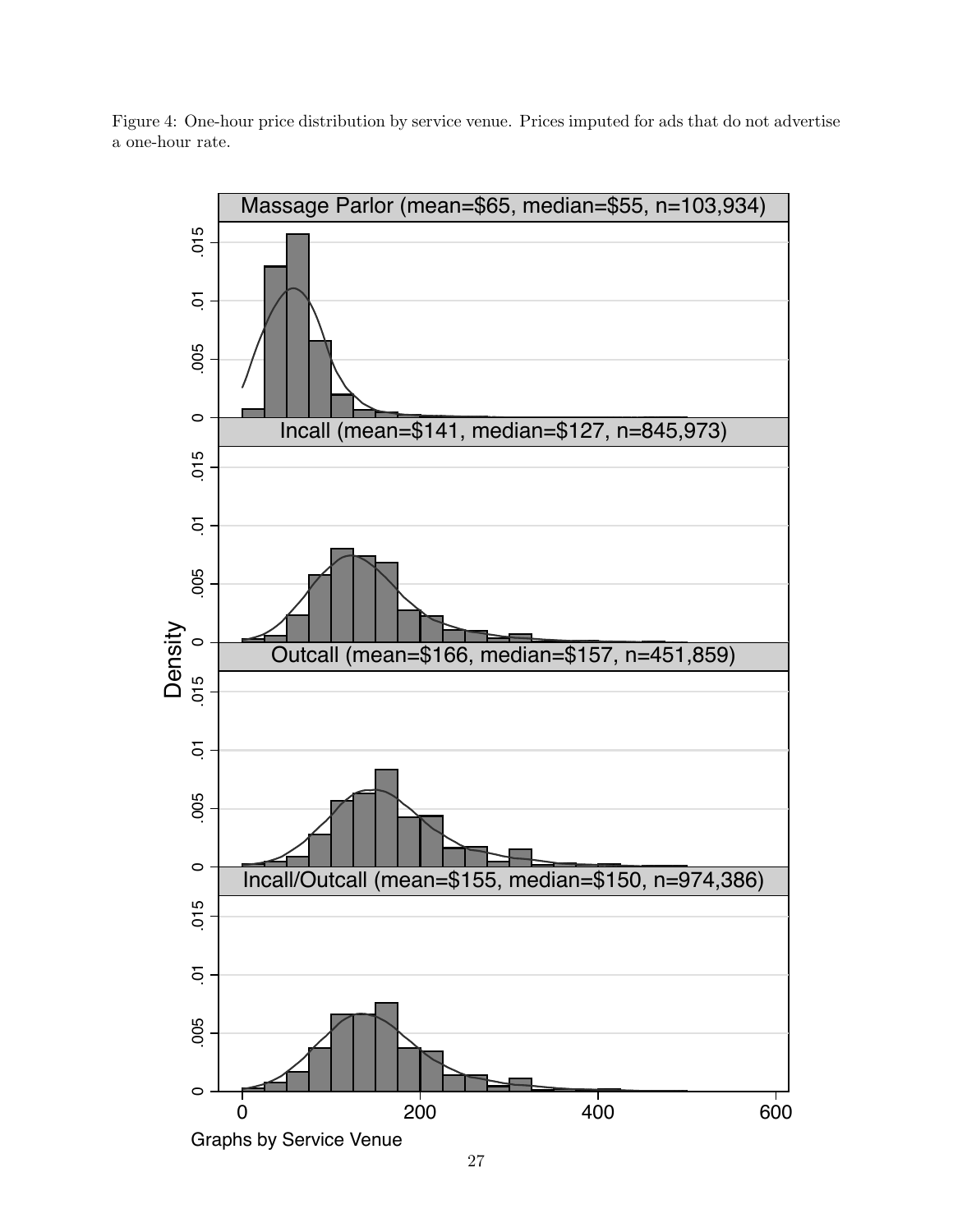<span id="page-26-0"></span>Figure 4: One-hour price distribution by service venue. Prices imputed for ads that do not advertise a one-hour rate.

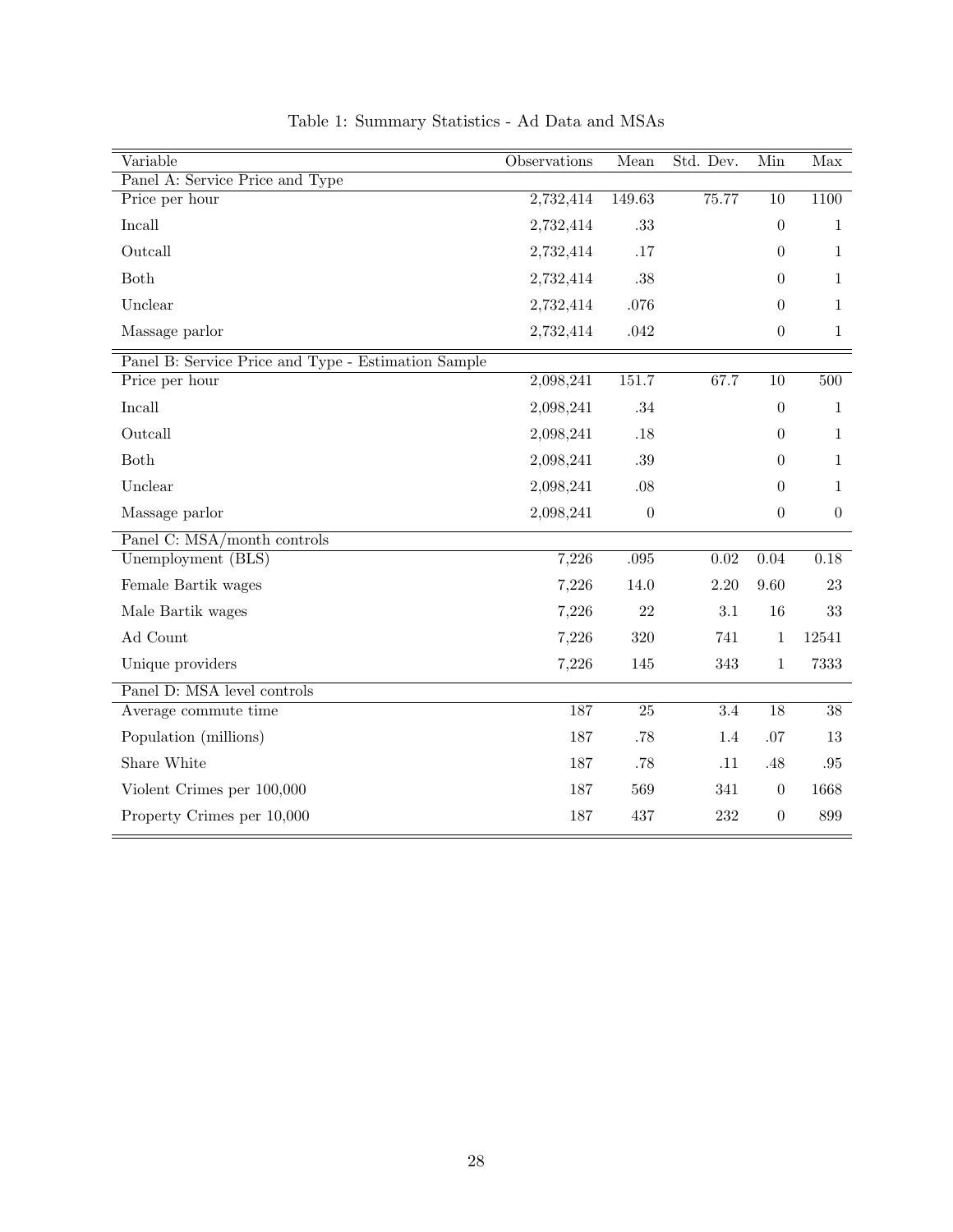<span id="page-27-0"></span>

| Variable                                            | Observations | Mean             | Std. Dev. | Min              | $\overline{\text{Max}}$ |
|-----------------------------------------------------|--------------|------------------|-----------|------------------|-------------------------|
| Panel A: Service Price and Type                     |              |                  |           |                  |                         |
| Price per hour                                      | 2,732,414    | 149.63           | 75.77     | 10               | 1100                    |
| Incall                                              | 2,732,414    | $.33\,$          |           | $\theta$         | $\mathbf{1}$            |
| Outcall                                             | 2,732,414    | .17              |           | $\theta$         | $\mathbf{1}$            |
| Both                                                | 2,732,414    | .38              |           | $\theta$         | 1                       |
| Unclear                                             | 2,732,414    | .076             |           | $\theta$         | 1                       |
| Massage parlor                                      | 2,732,414    | .042             |           | $\boldsymbol{0}$ | $\mathbf{1}$            |
| Panel B: Service Price and Type - Estimation Sample |              |                  |           |                  |                         |
| Price per hour                                      | 2,098,241    | 151.7            | 67.7      | $\overline{10}$  | 500                     |
| Incall                                              | 2,098,241    | $.34\,$          |           | $\theta$         | 1                       |
| Outcall                                             | 2,098,241    | .18              |           | $\theta$         | 1                       |
| Both                                                | 2,098,241    | $.39\,$          |           | $\theta$         | 1                       |
| Unclear                                             | 2,098,241    | $.08\,$          |           | $\theta$         | 1                       |
| Massage parlor                                      | 2,098,241    | $\boldsymbol{0}$ |           | $\boldsymbol{0}$ | $\overline{0}$          |
| Panel C: MSA/month controls                         |              |                  |           |                  |                         |
| Unemployment (BLS)                                  | 7,226        | $.095\,$         | $0.02\,$  | $0.04\,$         | 0.18                    |
| Female Bartik wages                                 | 7,226        | 14.0             | $2.20\,$  | 9.60             | 23                      |
| Male Bartik wages                                   | 7,226        | 22               | $3.1\,$   | 16               | 33                      |
| Ad Count                                            | 7,226        | 320              | 741       | $\mathbf{1}$     | 12541                   |
| Unique providers                                    | 7,226        | 145              | 343       | $\mathbf 1$      | 7333                    |
| Panel D: MSA level controls                         |              |                  |           |                  |                         |
| Average commute time                                | 187          | 25               | 3.4       | 18               | $38\,$                  |
| Population (millions)                               | 187          | .78              | 1.4       | .07              | 13                      |
| Share White                                         | 187          | .78              | .11       | .48              | .95                     |
| Violent Crimes per 100,000                          | 187          | 569              | 341       | $\boldsymbol{0}$ | 1668                    |
| Property Crimes per 10,000                          | 187          | 437              | $\bf 232$ | $\boldsymbol{0}$ | 899                     |
|                                                     |              |                  |           |                  |                         |

Table 1: Summary Statistics - Ad Data and MSAs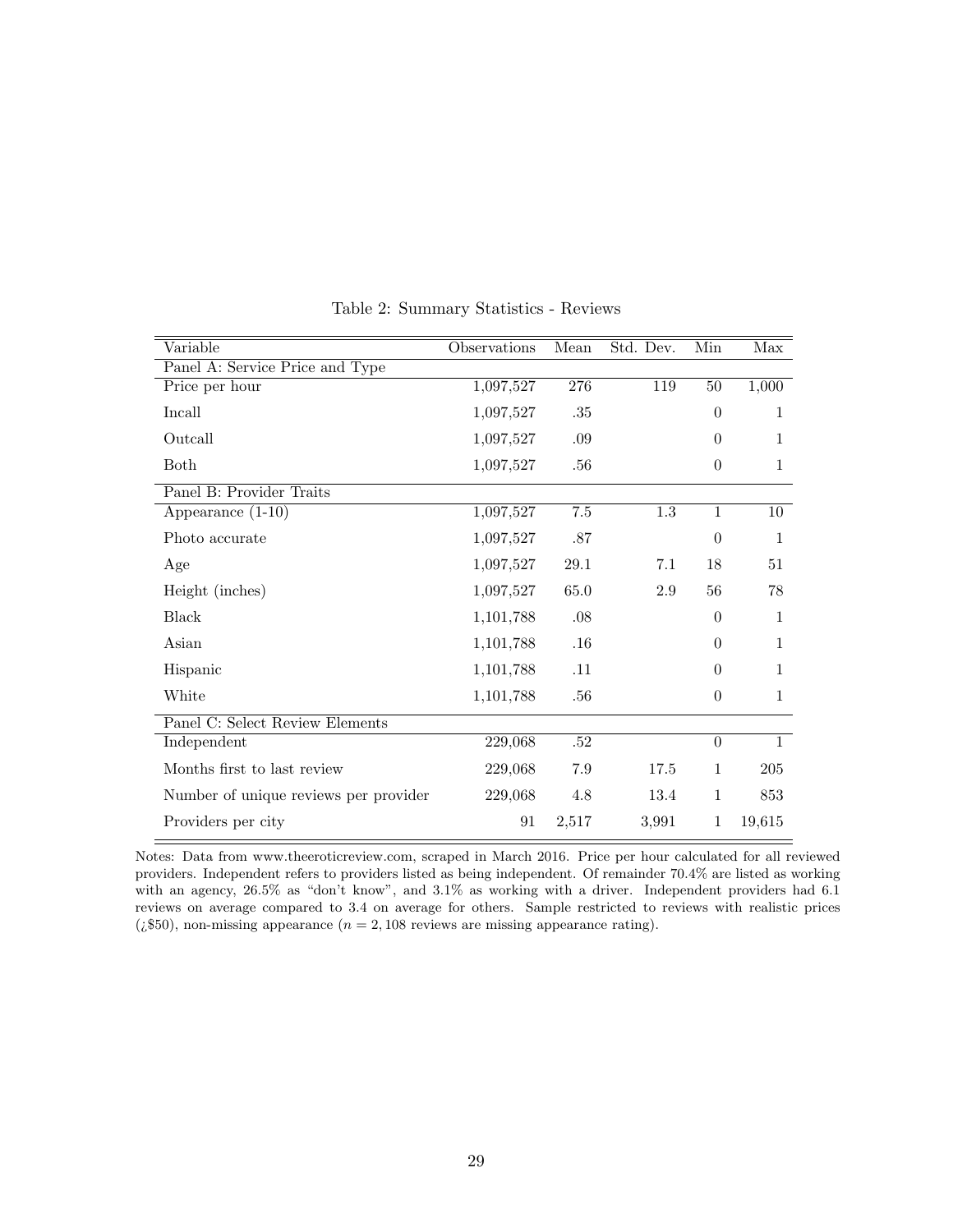<span id="page-28-0"></span>

| Variable                              | Observations | Mean             | Std. Dev. | Min          | Max          |
|---------------------------------------|--------------|------------------|-----------|--------------|--------------|
| Panel A: Service Price and Type       |              |                  |           |              |              |
| Price per hour                        | 1,097,527    | $\overline{276}$ | 119       | $50\,$       | 1,000        |
| Incall                                | 1,097,527    | $.35\,$          |           | $\theta$     | 1            |
| Outcall                               | 1,097,527    | .09              |           | $\theta$     | 1            |
| Both                                  | 1,097,527    | .56              |           | $\Omega$     | 1            |
| Panel B: Provider Traits              |              |                  |           |              |              |
| Appearance $(1-10)$                   | 1,097,527    | $7.5\,$          | $1.3\,$   | $\mathbf{1}$ | $10\,$       |
| Photo accurate                        | 1,097,527    | .87              |           | $\theta$     | $\mathbf{1}$ |
| Age                                   | 1,097,527    | $29.1\,$         | 7.1       | 18           | 51           |
| Height (inches)                       | 1,097,527    | 65.0             | 2.9       | 56           | 78           |
| Black                                 | 1,101,788    | .08              |           | $\theta$     | $\mathbf{1}$ |
| Asian                                 | 1,101,788    | .16              |           | $\theta$     | $\mathbf{1}$ |
| Hispanic                              | 1,101,788    | .11              |           | $\theta$     | $\mathbf{1}$ |
| White                                 | 1,101,788    | .56              |           | $\theta$     | 1            |
| Panel C: Select Review Elements       |              |                  |           |              |              |
| Independent                           | 229,068      | $.52\,$          |           | $\theta$     |              |
| Months first to last review           | 229,068      | 7.9              | 17.5      | $\mathbf{1}$ | 205          |
| Number of unique reviews per provider | 229,068      | 4.8              | 13.4      | $\mathbf{1}$ | 853          |
| Providers per city                    | 91           | 2,517            | 3,991     | 1            | 19,615       |

Table 2: Summary Statistics - Reviews

Notes: Data from www.theeroticreview.com, scraped in March 2016. Price per hour calculated for all reviewed providers. Independent refers to providers listed as being independent. Of remainder 70.4% are listed as working with an agency, 26.5% as "don't know", and 3.1% as working with a driver. Independent providers had 6.1 reviews on average compared to 3.4 on average for others. Sample restricted to reviews with realistic prices ( $\zeta$ \$50), non-missing appearance ( $n = 2,108$  reviews are missing appearance rating).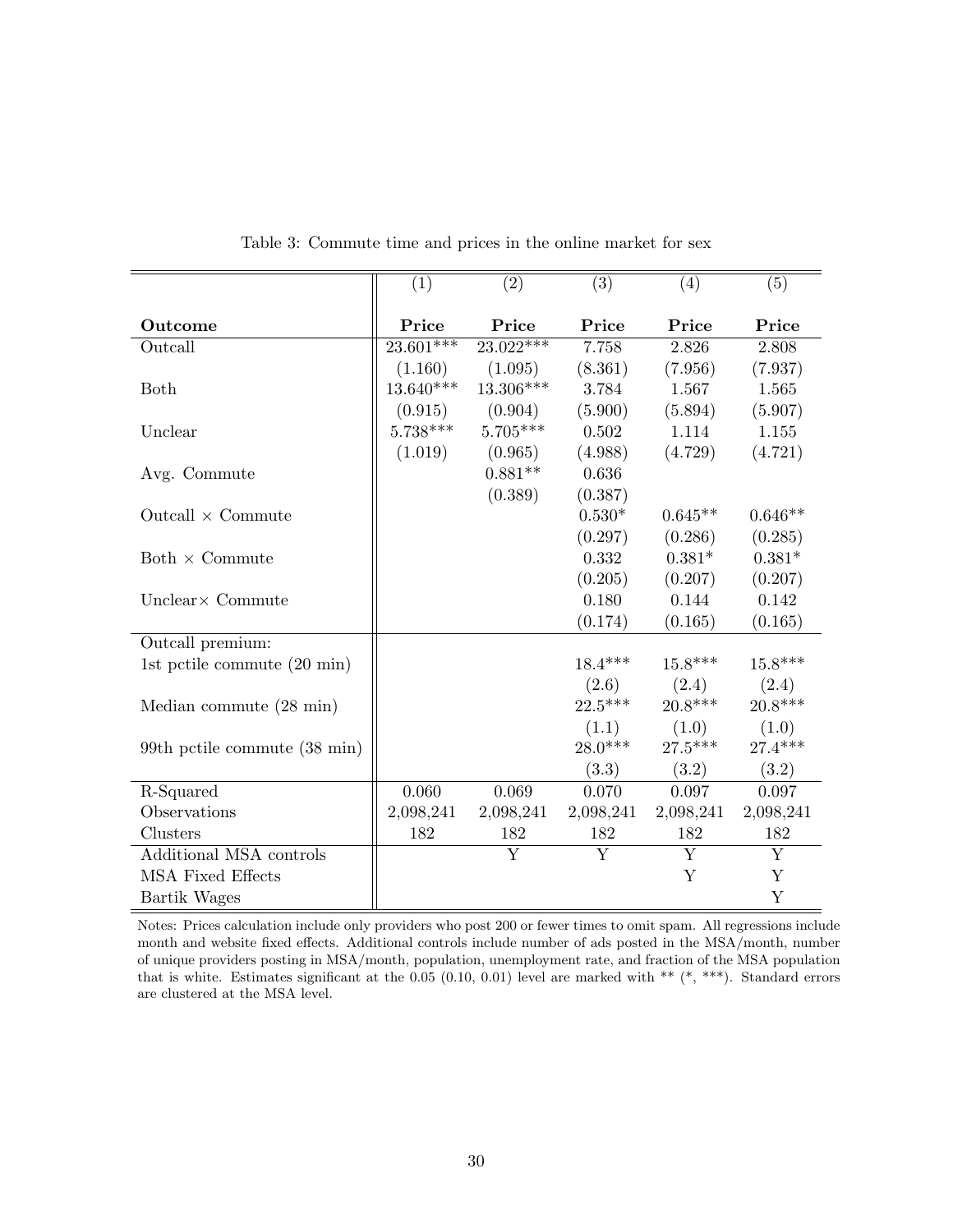<span id="page-29-0"></span>

|                                       | (1)         | (2)                     | $\overline{(3)}$ | (4)            | (5)       |
|---------------------------------------|-------------|-------------------------|------------------|----------------|-----------|
| Outcome                               | Price       | Price                   | Price            | Price          | Price     |
| Outcall                               | $23.601***$ | $23.022***$             | 7.758            | 2.826          | 2.808     |
|                                       | (1.160)     | (1.095)                 | (8.361)          | (7.956)        | (7.937)   |
| <b>Both</b>                           | $13.640***$ | $13.306***$             | 3.784            | 1.567          | 1.565     |
|                                       | (0.915)     | (0.904)                 | (5.900)          | (5.894)        | (5.907)   |
| Unclear                               | $5.738***$  | $5.705***$              | 0.502            | 1.114          | 1.155     |
|                                       | (1.019)     | (0.965)                 | (4.988)          | (4.729)        | (4.721)   |
| Avg. Commute                          |             | $0.881**$               | 0.636            |                |           |
|                                       |             | (0.389)                 | (0.387)          |                |           |
| Outcall $\times$ Commute              |             |                         | $0.530*$         | $0.645**$      | $0.646**$ |
|                                       |             |                         | (0.297)          | (0.286)        | (0.285)   |
| Both $\times$ Commute                 |             |                         | 0.332            | $0.381*$       | $0.381*$  |
|                                       |             |                         | (0.205)          | (0.207)        | (0.207)   |
| Unclear × Commute                     |             |                         | 0.180            | 0.144          | 0.142     |
|                                       |             |                         | (0.174)          | (0.165)        | (0.165)   |
| Outcall premium:                      |             |                         |                  |                |           |
| 1st pctile commute $(20 \text{ min})$ |             |                         | $18.4***$        | $15.8***$      | $15.8***$ |
|                                       |             |                         | (2.6)            | (2.4)          | (2.4)     |
| Median commute $(28 \text{ min})$     |             |                         | $22.5***$        | $20.8***$      | $20.8***$ |
|                                       |             |                         | (1.1)            | (1.0)          | (1.0)     |
| 99th petile commute (38 min)          |             |                         | $28.0***$        | $27.5***$      | 27.4***   |
|                                       |             |                         | (3.3)            | (3.2)          | (3.2)     |
| R-Squared                             | 0.060       | 0.069                   | 0.070            | 0.097          | 0.097     |
| Observations                          | 2,098,241   | 2,098,241               | 2,098,241        | 2,098,241      | 2,098,241 |
| Clusters                              | 182         | 182                     | 182              | 182            | 182       |
| Additional MSA controls               |             | $\overline{\mathrm{Y}}$ | $\overline{Y}$   | $\overline{Y}$ | Y         |
| <b>MSA Fixed Effects</b>              |             |                         |                  | Y              | Y         |
| Bartik Wages                          |             |                         |                  |                | Y         |

<span id="page-29-1"></span>Table 3: Commute time and prices in the online market for sex

Notes: Prices calculation include only providers who post 200 or fewer times to omit spam. All regressions include month and website fixed effects. Additional controls include number of ads posted in the MSA/month, number of unique providers posting in MSA/month, population, unemployment rate, and fraction of the MSA population that is white. Estimates significant at the 0.05 (0.10, 0.01) level are marked with \*\*  $(*, **^*)$ . Standard errors are clustered at the MSA level.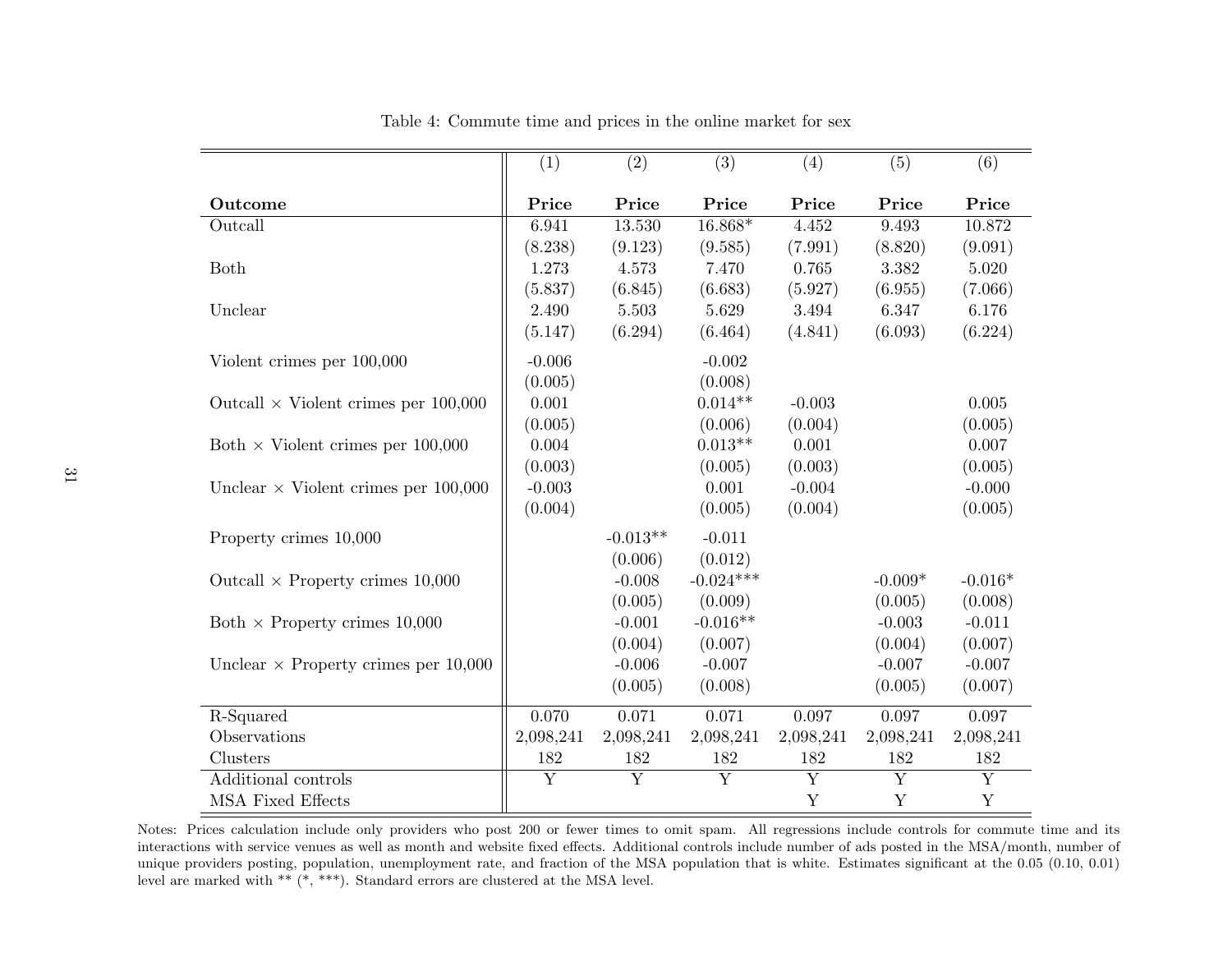|                                             | (1)                     | $\overline{(2)}$        | (3)                     | (4)                     | $\overline{(5)}$ | (6)       |
|---------------------------------------------|-------------------------|-------------------------|-------------------------|-------------------------|------------------|-----------|
| Outcome                                     | Price                   | Price                   | Price                   | Price                   | Price            | Price     |
| Outcall                                     | 6.941                   | 13.530                  | $16.868*$               | 4.452                   | 9.493            | 10.872    |
|                                             | (8.238)                 | (9.123)                 | (9.585)                 | (7.991)                 | (8.820)          | (9.091)   |
| <b>Both</b>                                 | 1.273                   | 4.573                   | 7.470                   | 0.765                   | 3.382            | 5.020     |
|                                             | (5.837)                 | (6.845)                 | (6.683)                 | (5.927)                 | (6.955)          | (7.066)   |
| Unclear                                     | 2.490                   | 5.503                   | 5.629                   | 3.494                   | 6.347            | 6.176     |
|                                             | (5.147)                 | (6.294)                 | (6.464)                 | (4.841)                 | (6.093)          | (6.224)   |
| Violent crimes per 100,000                  | $-0.006$                |                         | $-0.002$                |                         |                  |           |
|                                             | (0.005)                 |                         | (0.008)                 |                         |                  |           |
| Outcall $\times$ Violent crimes per 100,000 | 0.001                   |                         | $0.014**$               | $-0.003$                |                  | 0.005     |
|                                             | (0.005)                 |                         | (0.006)                 | (0.004)                 |                  | (0.005)   |
| Both $\times$ Violent crimes per 100,000    | 0.004                   |                         | $0.013**$               | 0.001                   |                  | 0.007     |
|                                             | (0.003)                 |                         | (0.005)                 | (0.003)                 |                  | (0.005)   |
| Unclear $\times$ Violent crimes per 100,000 | $-0.003$                |                         | 0.001                   | $-0.004$                |                  | $-0.000$  |
|                                             | (0.004)                 |                         | (0.005)                 | (0.004)                 |                  | (0.005)   |
| Property crimes 10,000                      |                         | $-0.013**$              | $-0.011$                |                         |                  |           |
|                                             |                         | (0.006)                 | (0.012)                 |                         |                  |           |
| Outcall $\times$ Property crimes 10,000     |                         | $-0.008$                | $-0.024***$             |                         | $-0.009*$        | $-0.016*$ |
|                                             |                         | (0.005)                 | (0.009)                 |                         | (0.005)          | (0.008)   |
| Both $\times$ Property crimes 10,000        |                         | $-0.001$                | $-0.016**$              |                         | $-0.003$         | $-0.011$  |
|                                             |                         | (0.004)                 | (0.007)                 |                         | (0.004)          | (0.007)   |
| Unclear $\times$ Property crimes per 10,000 |                         | $-0.006$                | $-0.007$                |                         | $-0.007$         | $-0.007$  |
|                                             |                         | (0.005)                 | (0.008)                 |                         | (0.005)          | (0.007)   |
| R-Squared                                   | 0.070                   | 0.071                   | 0.071                   | 0.097                   | 0.097            | 0.097     |
| Observations                                | 2,098,241               | 2,098,241               | 2,098,241               | 2,098,241               | 2,098,241        | 2,098,241 |
| Clusters                                    | 182                     | 182                     | 182                     | 182                     | 182              | 182       |
| Additional controls                         | $\overline{\mathrm{Y}}$ | $\overline{\mathrm{Y}}$ | $\overline{\mathrm{Y}}$ | $\overline{\mathrm{Y}}$ | $\overline{Y}$   | Y         |
| <b>MSA Fixed Effects</b>                    |                         |                         |                         | Y                       | Y                | Y         |

Table 4: Commute time and prices in the online market for sex

<span id="page-30-0"></span> Notes: Prices calculation include only providers who post 200 or fewer times to omit spam. All regressions include controls for commute time and its interactions with service venues as well as month and website fixed effects. Additional controls include number of ads posted in the MSA/month, number of unique providers posting, population, unemployment rate, and fraction of the MSA population that is white. Estimates significant at the 0.05 (0.10, 0.01)level are marked with \*\* (\*, \*\*\*). Standard errors are clustered at the MSA level.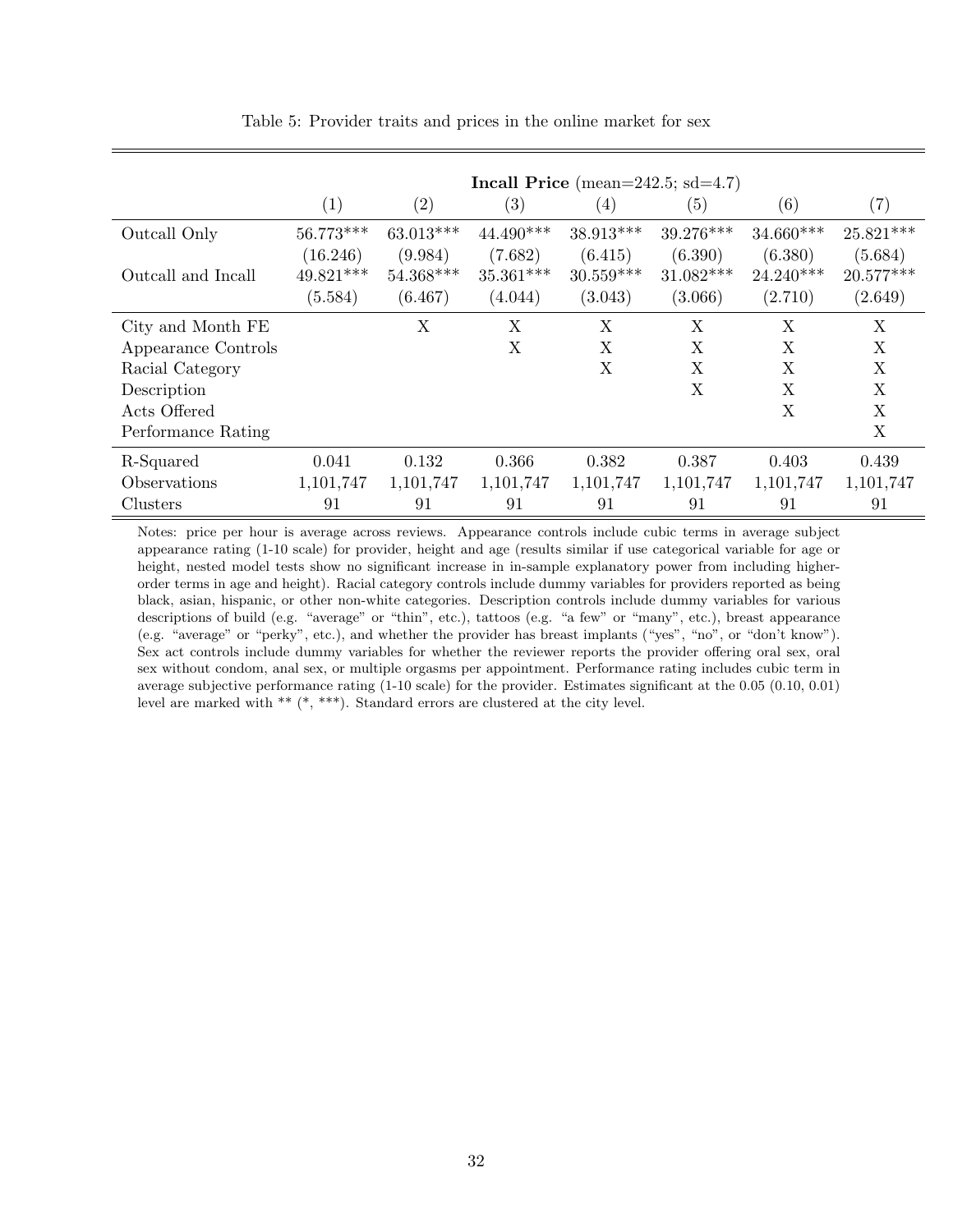<span id="page-31-0"></span>

| Incall Price (mean= $242.5$ ; sd= $4.7$ ) |                   |             |           |                   |             |             |                   |  |
|-------------------------------------------|-------------------|-------------|-----------|-------------------|-------------|-------------|-------------------|--|
|                                           | $\left( 1\right)$ | (2)         | (3)       | $\left( 4\right)$ | (5)         | (6)         | $\left( 7\right)$ |  |
| Outcall Only                              | 56.773***         | $63.013***$ | 44.490*** | $38.913***$       | 39.276***   | 34.660***   | 25.821***         |  |
|                                           | (16.246)          | (9.984)     | (7.682)   | (6.415)           | (6.390)     | (6.380)     | (5.684)           |  |
| Outcall and Incall                        | 49.821***         | 54.368***   | 35.361*** | $30.559***$       | $31.082***$ | $24.240***$ | $20.577***$       |  |
|                                           | (5.584)           | (6.467)     | (4.044)   | (3.043)           | (3.066)     | (2.710)     | (2.649)           |  |
| City and Month FE                         |                   | X           | X         | Χ                 | Χ           | X           | Χ                 |  |
| Appearance Controls                       |                   |             | X         | Χ                 | Χ           | Χ           | Χ                 |  |
| Racial Category                           |                   |             |           | X                 | X           | X           | X                 |  |
| Description                               |                   |             |           |                   | X           | X           | X                 |  |
| Acts Offered                              |                   |             |           |                   |             | X           | X                 |  |
| Performance Rating                        |                   |             |           |                   |             |             | X                 |  |
| R-Squared                                 | 0.041             | 0.132       | 0.366     | 0.382             | 0.387       | 0.403       | 0.439             |  |
| Observations                              | 1,101,747         | 1,101,747   | 1,101,747 | 1,101,747         | 1,101,747   | 1,101,747   | 1,101,747         |  |
| Clusters                                  | 91                | 91          | 91        | 91                | 91          | 91          | 91                |  |

Table 5: Provider traits and prices in the online market for sex

Notes: price per hour is average across reviews. Appearance controls include cubic terms in average subject appearance rating (1-10 scale) for provider, height and age (results similar if use categorical variable for age or height, nested model tests show no significant increase in in-sample explanatory power from including higherorder terms in age and height). Racial category controls include dummy variables for providers reported as being black, asian, hispanic, or other non-white categories. Description controls include dummy variables for various descriptions of build (e.g. "average" or "thin", etc.), tattoos (e.g. "a few" or "many", etc.), breast appearance (e.g. "average" or "perky", etc.), and whether the provider has breast implants ("yes", "no", or "don't know"). Sex act controls include dummy variables for whether the reviewer reports the provider offering oral sex, oral sex without condom, anal sex, or multiple orgasms per appointment. Performance rating includes cubic term in average subjective performance rating (1-10 scale) for the provider. Estimates significant at the 0.05 (0.10, 0.01) level are marked with \*\* (\*, \*\*\*). Standard errors are clustered at the city level.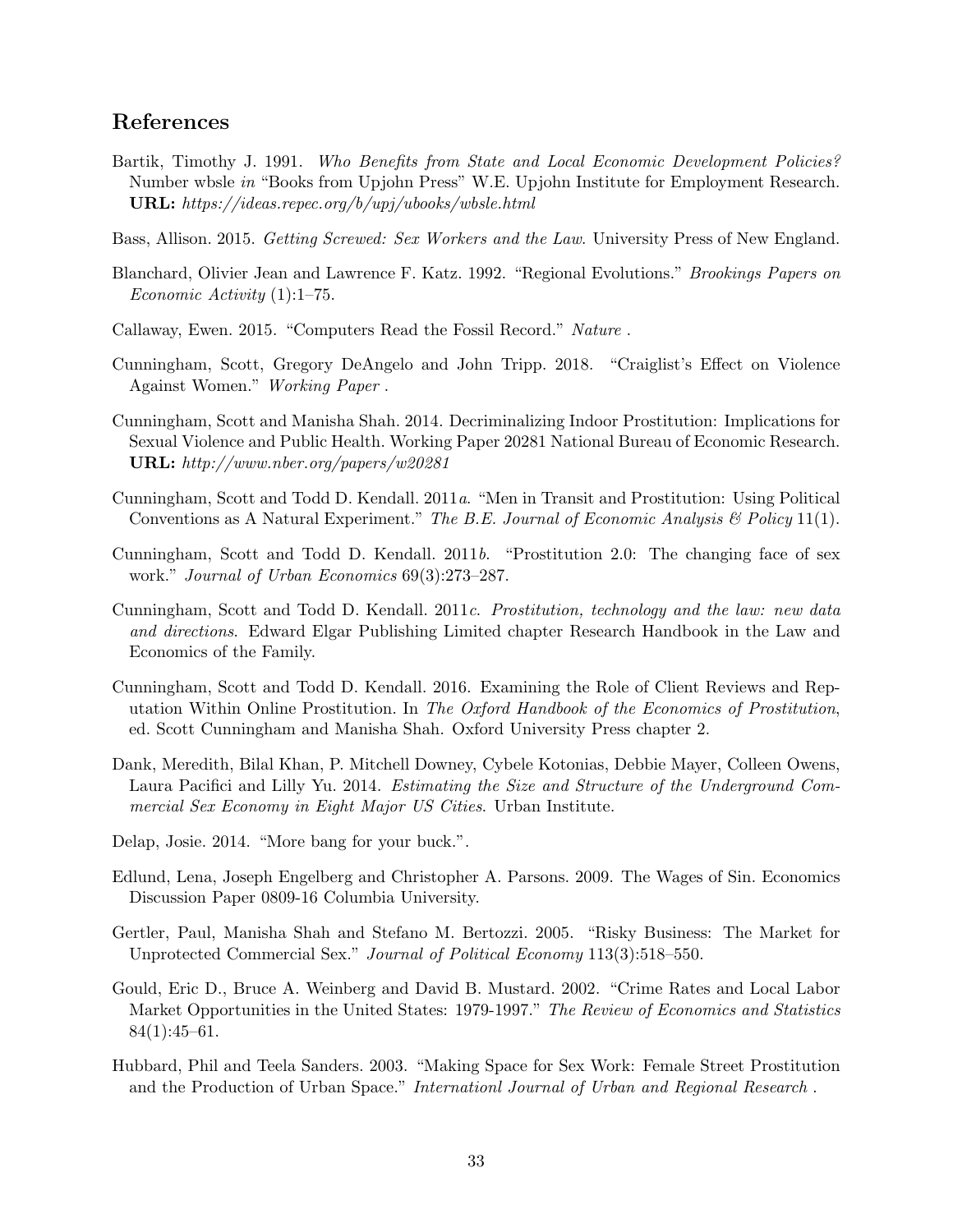### References

- <span id="page-32-13"></span>Bartik, Timothy J. 1991. Who Benefits from State and Local Economic Development Policies? Number wbsle in "Books from Upjohn Press" W.E. Upjohn Institute for Employment Research. URL: https://ideas.repec.org/b/upj/ubooks/wbsle.html
- <span id="page-32-2"></span>Bass, Allison. 2015. Getting Screwed: Sex Workers and the Law. University Press of New England.
- Blanchard, Olivier Jean and Lawrence F. Katz. 1992. "Regional Evolutions." Brookings Papers on Economic Activity (1):1–75.
- <span id="page-32-0"></span>Callaway, Ewen. 2015. "Computers Read the Fossil Record." Nature .
- <span id="page-32-7"></span>Cunningham, Scott, Gregory DeAngelo and John Tripp. 2018. "Craiglist's Effect on Violence Against Women." Working Paper .
- <span id="page-32-9"></span>Cunningham, Scott and Manisha Shah. 2014. Decriminalizing Indoor Prostitution: Implications for Sexual Violence and Public Health. Working Paper 20281 National Bureau of Economic Research. URL: http://www.nber.org/papers/w20281
- <span id="page-32-8"></span>Cunningham, Scott and Todd D. Kendall. 2011a. "Men in Transit and Prostitution: Using Political Conventions as A Natural Experiment." The B.E. Journal of Economic Analysis  $\mathscr{C}_{P}$  Policy 11(1).
- <span id="page-32-6"></span>Cunningham, Scott and Todd D. Kendall. 2011b. "Prostitution 2.0: The changing face of sex work." Journal of Urban Economics 69(3):273–287.
- <span id="page-32-4"></span>Cunningham, Scott and Todd D. Kendall. 2011c. Prostitution, technology and the law: new data and directions. Edward Elgar Publishing Limited chapter Research Handbook in the Law and Economics of the Family.
- <span id="page-32-3"></span>Cunningham, Scott and Todd D. Kendall. 2016. Examining the Role of Client Reviews and Reputation Within Online Prostitution. In The Oxford Handbook of the Economics of Prostitution, ed. Scott Cunningham and Manisha Shah. Oxford University Press chapter 2.
- <span id="page-32-5"></span>Dank, Meredith, Bilal Khan, P. Mitchell Downey, Cybele Kotonias, Debbie Mayer, Colleen Owens, Laura Pacifici and Lilly Yu. 2014. Estimating the Size and Structure of the Underground Commercial Sex Economy in Eight Major US Cities. Urban Institute.
- <span id="page-32-11"></span>Delap, Josie. 2014. "More bang for your buck.".
- <span id="page-32-10"></span>Edlund, Lena, Joseph Engelberg and Christopher A. Parsons. 2009. The Wages of Sin. Economics Discussion Paper 0809-16 Columbia University.
- <span id="page-32-12"></span>Gertler, Paul, Manisha Shah and Stefano M. Bertozzi. 2005. "Risky Business: The Market for Unprotected Commercial Sex." Journal of Political Economy 113(3):518–550.
- Gould, Eric D., Bruce A. Weinberg and David B. Mustard. 2002. "Crime Rates and Local Labor Market Opportunities in the United States: 1979-1997." The Review of Economics and Statistics  $84(1):45-61.$
- <span id="page-32-1"></span>Hubbard, Phil and Teela Sanders. 2003. "Making Space for Sex Work: Female Street Prostitution and the Production of Urban Space." Internationl Journal of Urban and Regional Research .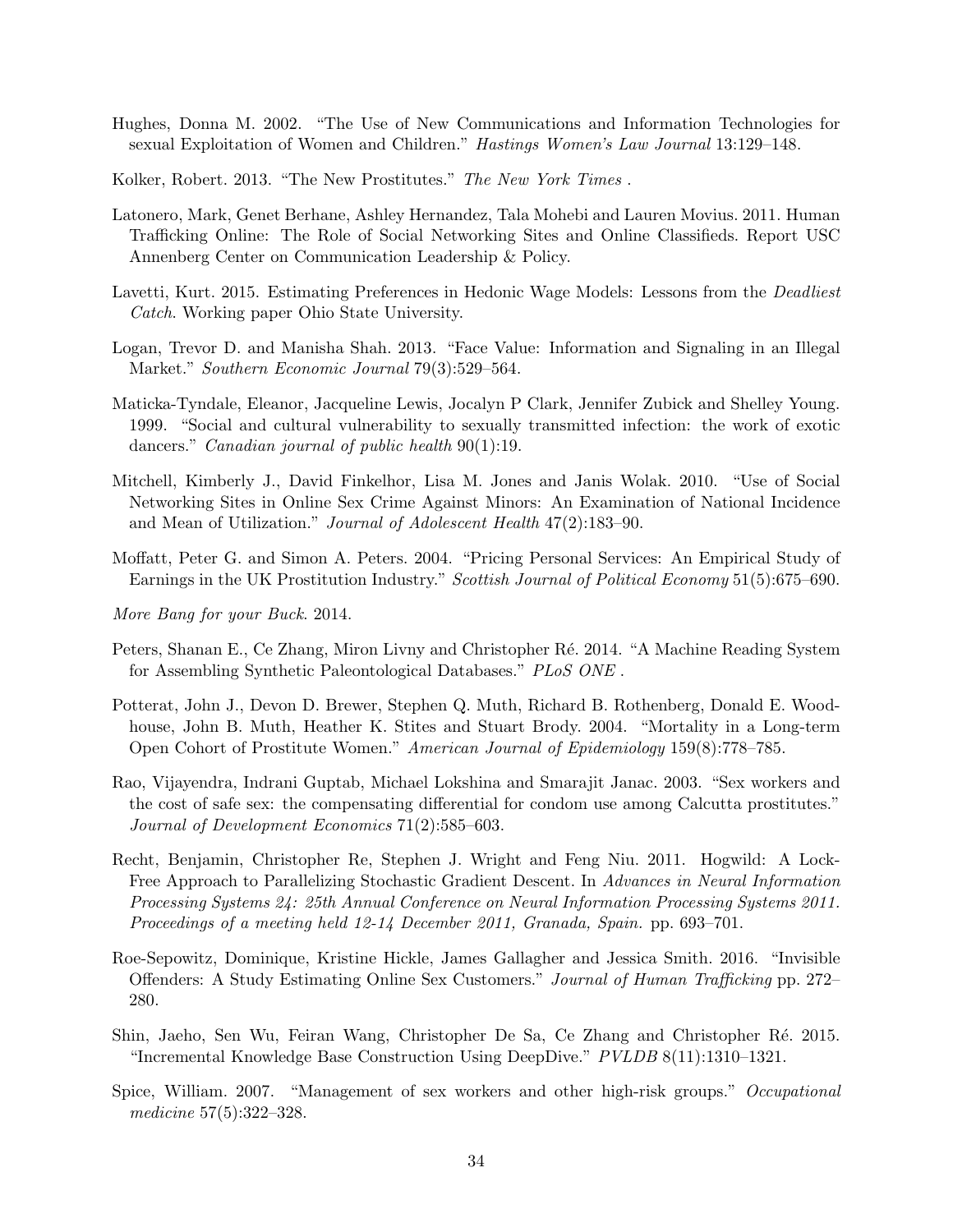- <span id="page-33-3"></span>Hughes, Donna M. 2002. "The Use of New Communications and Information Technologies for sexual Exploitation of Women and Children." Hastings Women's Law Journal 13:129–148.
- Kolker, Robert. 2013. "The New Prostitutes." The New York Times .
- <span id="page-33-5"></span>Latonero, Mark, Genet Berhane, Ashley Hernandez, Tala Mohebi and Lauren Movius. 2011. Human Trafficking Online: The Role of Social Networking Sites and Online Classifieds. Report USC Annenberg Center on Communication Leadership & Policy.
- <span id="page-33-7"></span>Lavetti, Kurt. 2015. Estimating Preferences in Hedonic Wage Models: Lessons from the Deadliest Catch. Working paper Ohio State University.
- <span id="page-33-8"></span>Logan, Trevor D. and Manisha Shah. 2013. "Face Value: Information and Signaling in an Illegal Market." Southern Economic Journal 79(3):529–564.
- <span id="page-33-12"></span>Maticka-Tyndale, Eleanor, Jacqueline Lewis, Jocalyn P Clark, Jennifer Zubick and Shelley Young. 1999. "Social and cultural vulnerability to sexually transmitted infection: the work of exotic dancers." *Canadian journal of public health* 90(1):19.
- <span id="page-33-4"></span>Mitchell, Kimberly J., David Finkelhor, Lisa M. Jones and Janis Wolak. 2010. "Use of Social Networking Sites in Online Sex Crime Against Minors: An Examination of National Incidence and Mean of Utilization." Journal of Adolescent Health 47(2):183–90.
- <span id="page-33-6"></span>Moffatt, Peter G. and Simon A. Peters. 2004. "Pricing Personal Services: An Empirical Study of Earnings in the UK Prostitution Industry." Scottish Journal of Political Economy 51(5):675–690.
- More Bang for your Buck. 2014.
- <span id="page-33-0"></span>Peters, Shanan E., Ce Zhang, Miron Livny and Christopher Ré. 2014. "A Machine Reading System for Assembling Synthetic Paleontological Databases." PLoS ONE .
- <span id="page-33-1"></span>Potterat, John J., Devon D. Brewer, Stephen Q. Muth, Richard B. Rothenberg, Donald E. Woodhouse, John B. Muth, Heather K. Stites and Stuart Brody. 2004. "Mortality in a Long-term Open Cohort of Prostitute Women." American Journal of Epidemiology 159(8):778–785.
- <span id="page-33-13"></span>Rao, Vijayendra, Indrani Guptab, Michael Lokshina and Smarajit Janac. 2003. "Sex workers and the cost of safe sex: the compensating differential for condom use among Calcutta prostitutes." Journal of Development Economics 71(2):585–603.
- <span id="page-33-10"></span>Recht, Benjamin, Christopher Re, Stephen J. Wright and Feng Niu. 2011. Hogwild: A Lock-Free Approach to Parallelizing Stochastic Gradient Descent. In Advances in Neural Information Processing Systems 24: 25th Annual Conference on Neural Information Processing Systems 2011. Proceedings of a meeting held 12-14 December 2011, Granada, Spain. pp. 693–701.
- <span id="page-33-2"></span>Roe-Sepowitz, Dominique, Kristine Hickle, James Gallagher and Jessica Smith. 2016. "Invisible Offenders: A Study Estimating Online Sex Customers." Journal of Human Trafficking pp. 272– 280.
- <span id="page-33-9"></span>Shin, Jaeho, Sen Wu, Feiran Wang, Christopher De Sa, Ce Zhang and Christopher Ré. 2015. "Incremental Knowledge Base Construction Using DeepDive." PVLDB 8(11):1310–1321.
- <span id="page-33-11"></span>Spice, William. 2007. "Management of sex workers and other high-risk groups." Occupational medicine 57(5):322–328.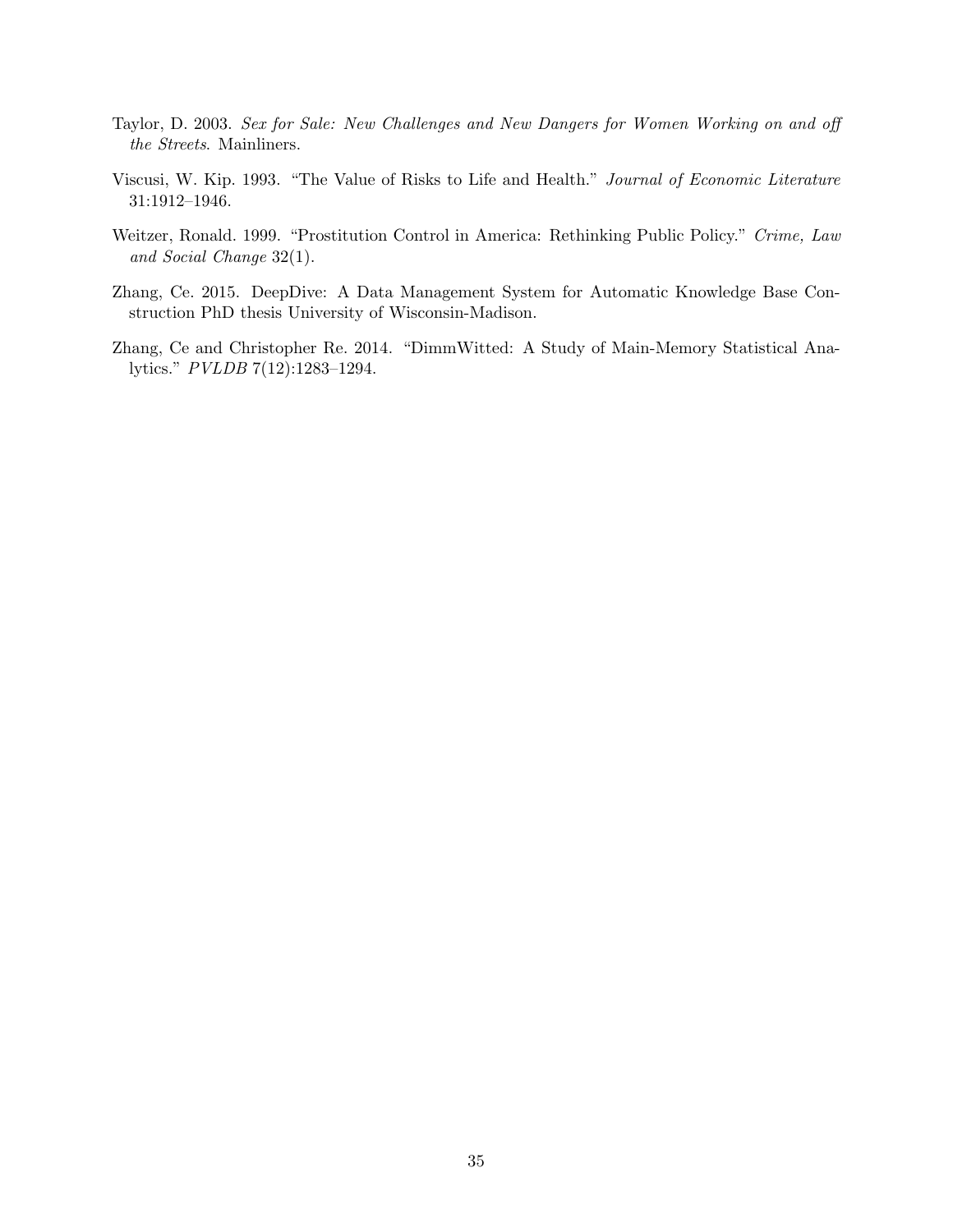- <span id="page-34-3"></span>Taylor, D. 2003. Sex for Sale: New Challenges and New Dangers for Women Working on and off the Streets. Mainliners.
- <span id="page-34-4"></span>Viscusi, W. Kip. 1993. "The Value of Risks to Life and Health." Journal of Economic Literature 31:1912–1946.
- <span id="page-34-0"></span>Weitzer, Ronald. 1999. "Prostitution Control in America: Rethinking Public Policy." Crime, Law and Social Change 32(1).
- <span id="page-34-1"></span>Zhang, Ce. 2015. DeepDive: A Data Management System for Automatic Knowledge Base Construction PhD thesis University of Wisconsin-Madison.
- <span id="page-34-2"></span>Zhang, Ce and Christopher Re. 2014. "DimmWitted: A Study of Main-Memory Statistical Analytics." PVLDB 7(12):1283–1294.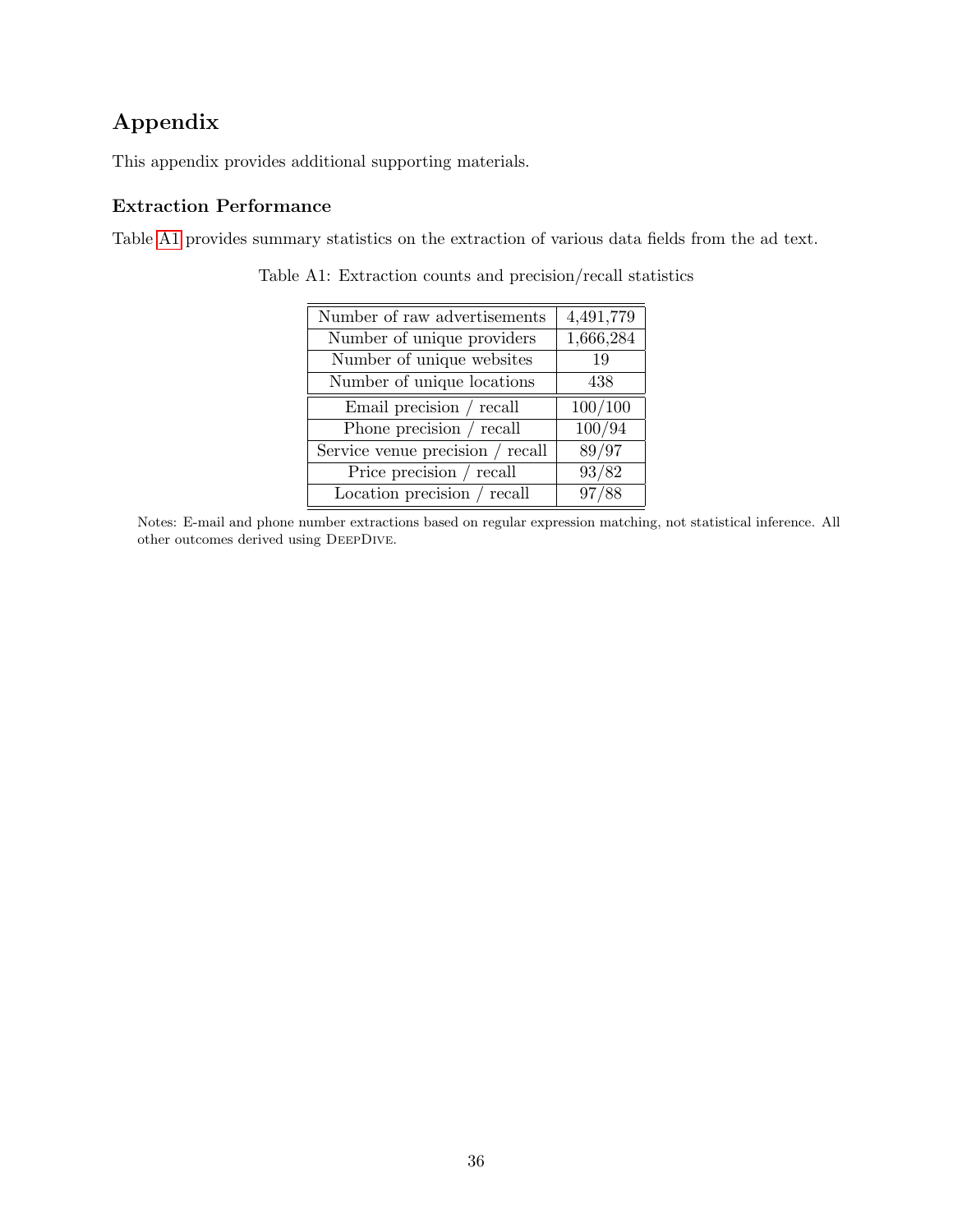# Appendix

This appendix provides additional supporting materials.

### Extraction Performance

<span id="page-35-0"></span>Table [A1](#page-35-0) provides summary statistics on the extraction of various data fields from the ad text.

| Number of raw advertisements     | 4,491,779 |
|----------------------------------|-----------|
| Number of unique providers       | 1,666,284 |
| Number of unique websites        | 19        |
| Number of unique locations       | 438       |
| Email precision / recall         | 100/100   |
| Phone precision / recall         | 100/94    |
| Service venue precision / recall | 89/97     |
| Price precision / recall         | 93/82     |
| Location precision / recall      | 97/88     |

Table A1: Extraction counts and precision/recall statistics

Notes: E-mail and phone number extractions based on regular expression matching, not statistical inference. All other outcomes derived using DeepDive.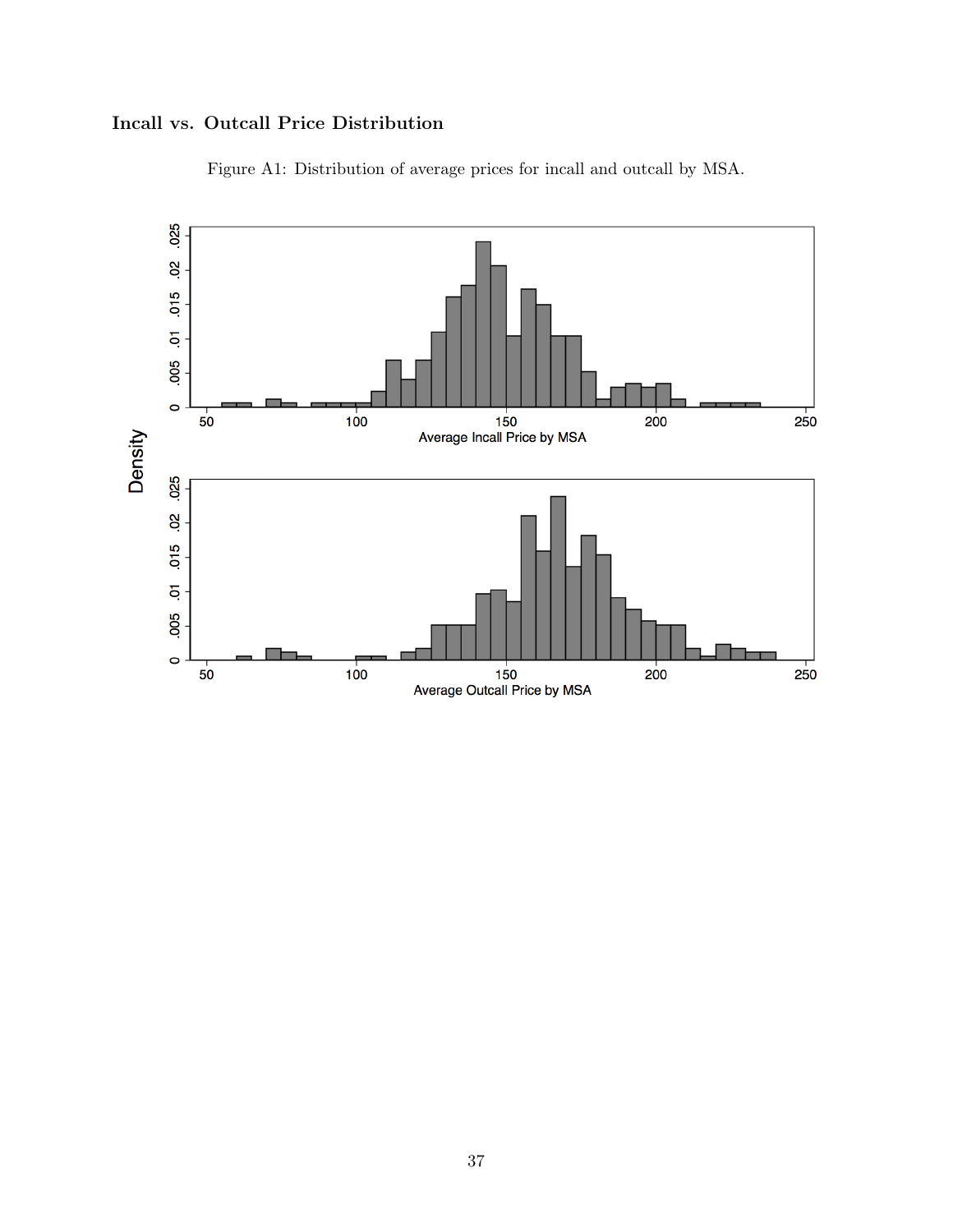## Incall vs. Outcall Price Distribution



Figure A1: Distribution of average prices for incall and outcall by MSA.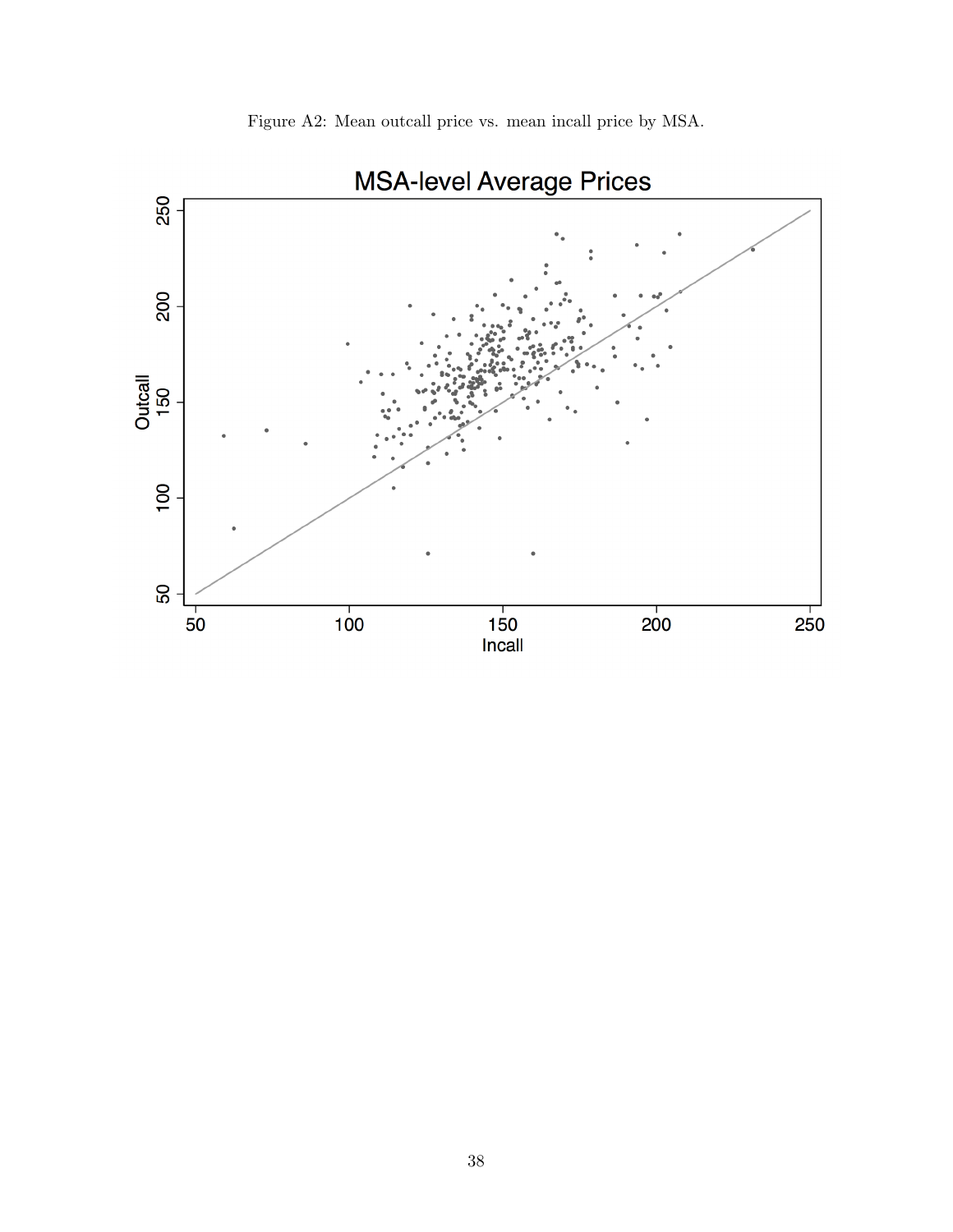

Figure A2: Mean outcall price vs. mean incall price by MSA.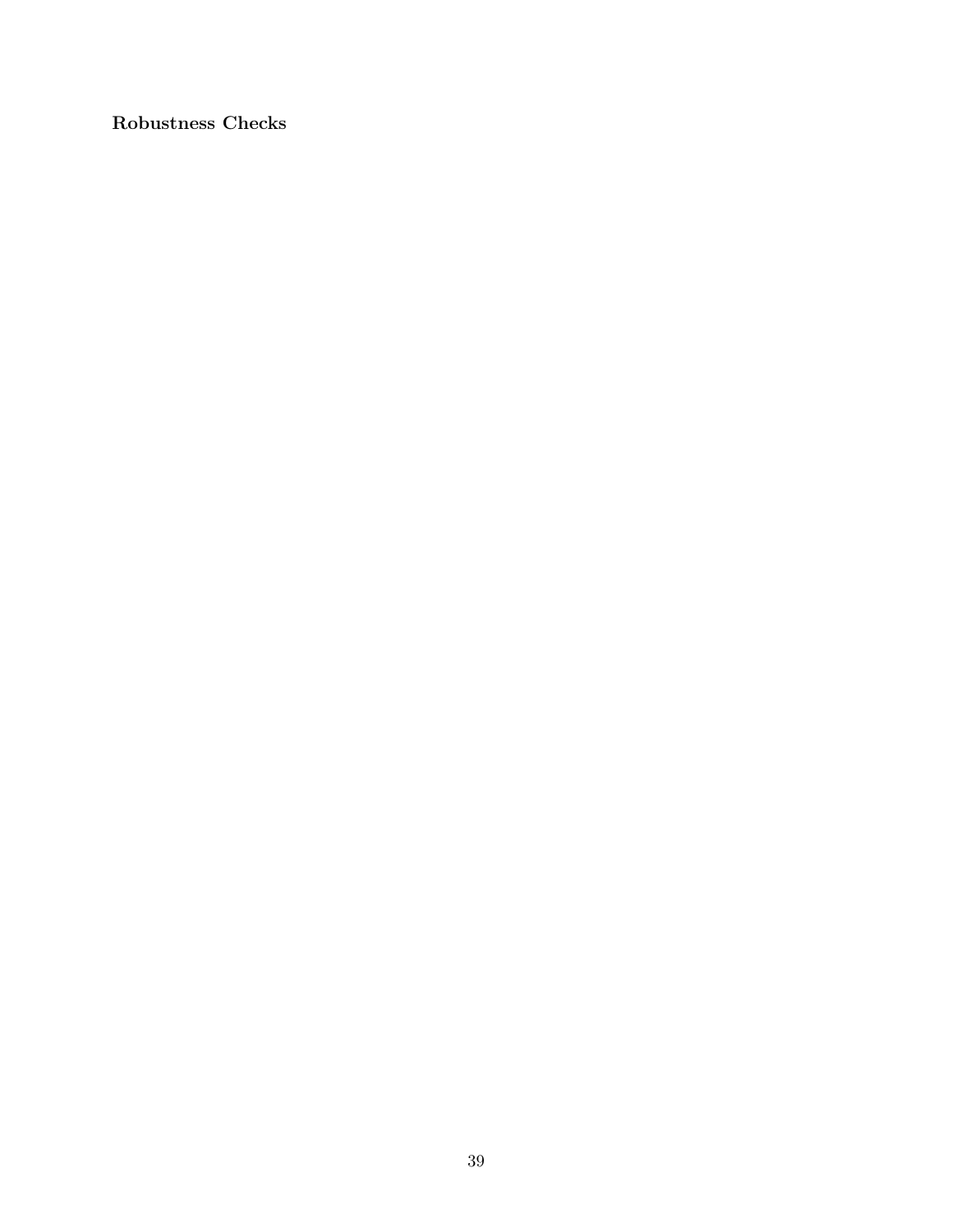Robustness Checks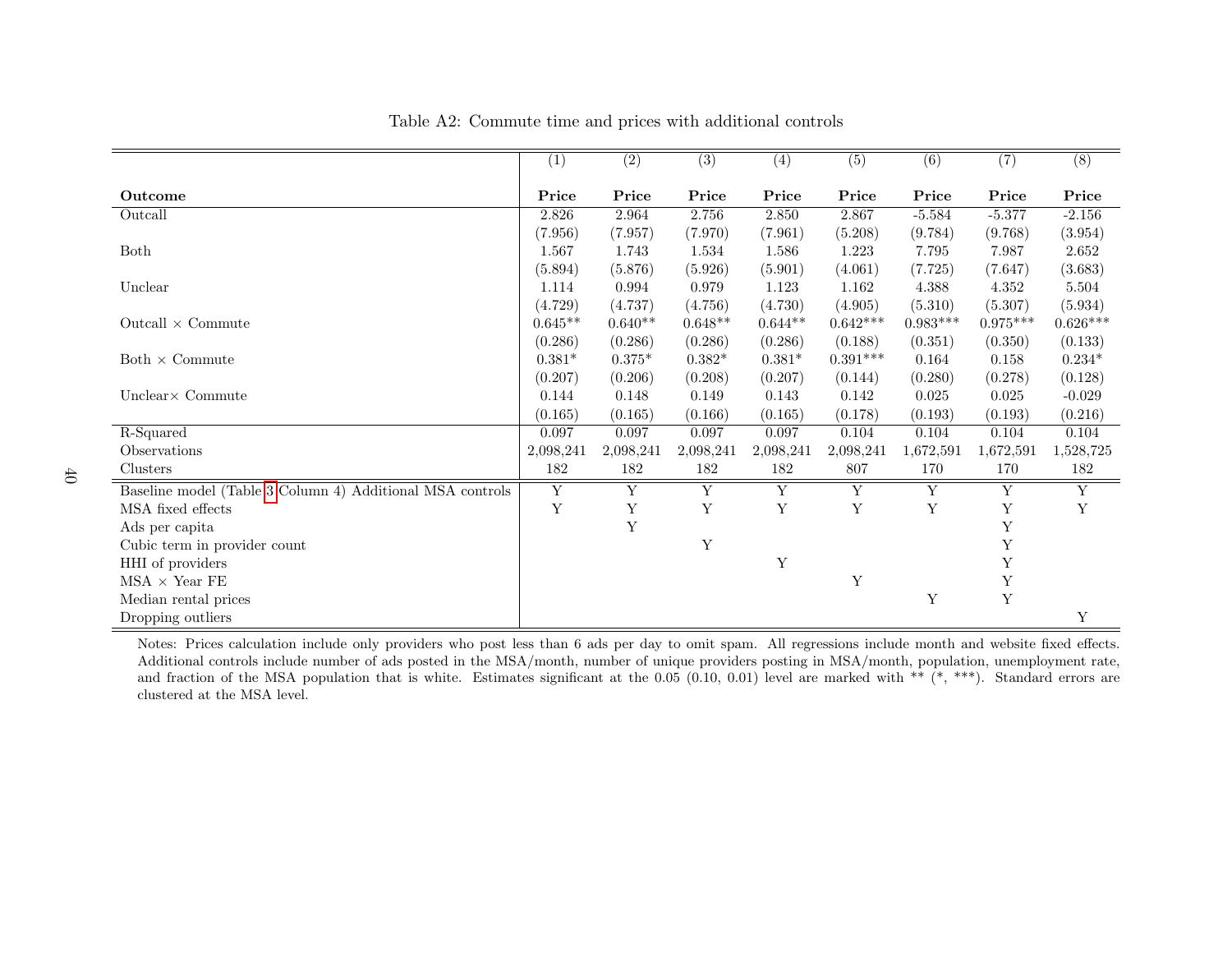|                                                           | (1)       | (2)         | (3)       | (4)            | (5)             | (6)        | (7)         | $\overline{(8)}$ |
|-----------------------------------------------------------|-----------|-------------|-----------|----------------|-----------------|------------|-------------|------------------|
| Outcome                                                   | Price     | Price       | Price     | Price          | Price           | Price      | Price       | Price            |
| Outcall                                                   | $2.826\,$ | 2.964       | $2.756\,$ | $2.850\,$      | 2.867           | $-5.584$   | $-5.377$    | $-2.156$         |
|                                                           | (7.956)   | (7.957)     | (7.970)   | (7.961)        | (5.208)         | (9.784)    | (9.768)     | (3.954)          |
| Both                                                      | 1.567     | 1.743       | 1.534     | 1.586          | 1.223           | 7.795      | 7.987       | 2.652            |
|                                                           | (5.894)   | (5.876)     | (5.926)   | (5.901)        | (4.061)         | (7.725)    | (7.647)     | (3.683)          |
| Unclear                                                   | 1.114     | 0.994       | 0.979     | 1.123          | 1.162           | 4.388      | $4.352\,$   | $5.504\,$        |
|                                                           | (4.729)   | (4.737)     | (4.756)   | (4.730)        | (4.905)         | (5.310)    | (5.307)     | (5.934)          |
| Outcall $\times$ Commute                                  | $0.645**$ | $0.640**$   | $0.648**$ | $0.644**$      | $0.642***$      | $0.983***$ | $0.975***$  | $0.626***$       |
|                                                           | (0.286)   | (0.286)     | (0.286)   | (0.286)        | (0.188)         | (0.351)    | (0.350)     | (0.133)          |
| Both $\times$ Commute                                     | $0.381*$  | $0.375*$    | $0.382*$  | $0.381*$       | $0.391^{***}\;$ | 0.164      | $0.158\,$   | $0.234*$         |
|                                                           | (0.207)   | (0.206)     | (0.208)   | (0.207)        | (0.144)         | (0.280)    | (0.278)     | (0.128)          |
| Unclear $\times$ Commute                                  | 0.144     | 0.148       | 0.149     | 0.143          | 0.142           | 0.025      | 0.025       | $-0.029$         |
|                                                           | (0.165)   | (0.165)     | (0.166)   | (0.165)        | (0.178)         | (0.193)    | (0.193)     | (0.216)          |
| R-Squared                                                 | 0.097     | 0.097       | 0.097     | 0.097          | 0.104           | 0.104      | 0.104       | 0.104            |
| Observations                                              | 2,098,241 | 2,098,241   | 2,098,241 | 2,098,241      | 2,098,241       | 1,672,591  | 1,672,591   | 1,528,725        |
| Clusters                                                  | 182       | 182         | 182       | 182            | 807             | 170        | 170         | 182              |
| Baseline model (Table 3 Column 4) Additional MSA controls | Υ         | Y           | Υ         | $\overline{Y}$ | Y               | Y          | Υ           | Y                |
| MSA fixed effects                                         | Y         | $\mathbf Y$ | Y         | Y              | Y               | Y          | Y           | Y                |
| Ads per capita                                            |           | $\mathbf Y$ |           |                |                 |            | Y           |                  |
| Cubic term in provider count                              |           |             | Υ         |                |                 |            | $\mathbf Y$ |                  |
| HHI of providers                                          |           |             |           | Υ              |                 |            | $\mathbf Y$ |                  |
| $\operatorname{MSA}\times\operatorname{Year}$ FE          |           |             |           |                | Y               |            | Y           |                  |
| Median rental prices                                      |           |             |           |                |                 | Y          | Y           |                  |
| Dropping outliers                                         |           |             |           |                |                 |            |             | Υ                |

Table A2: Commute time and prices with additional controls

<span id="page-39-0"></span> Notes: Prices calculation include only providers who post less than 6 ads per day to omit spam. All regressions include month and website fixed effects. Additional controls include number of ads posted in the MSA/month, number of unique providers posting in MSA/month, population, unemployment rate,and fraction of the MSA population that is white. Estimates significant at the  $0.05$   $(0.10, 0.01)$  level are marked with \*\* (\*, \*\*\*). Standard errors are clustered at the MSA level.